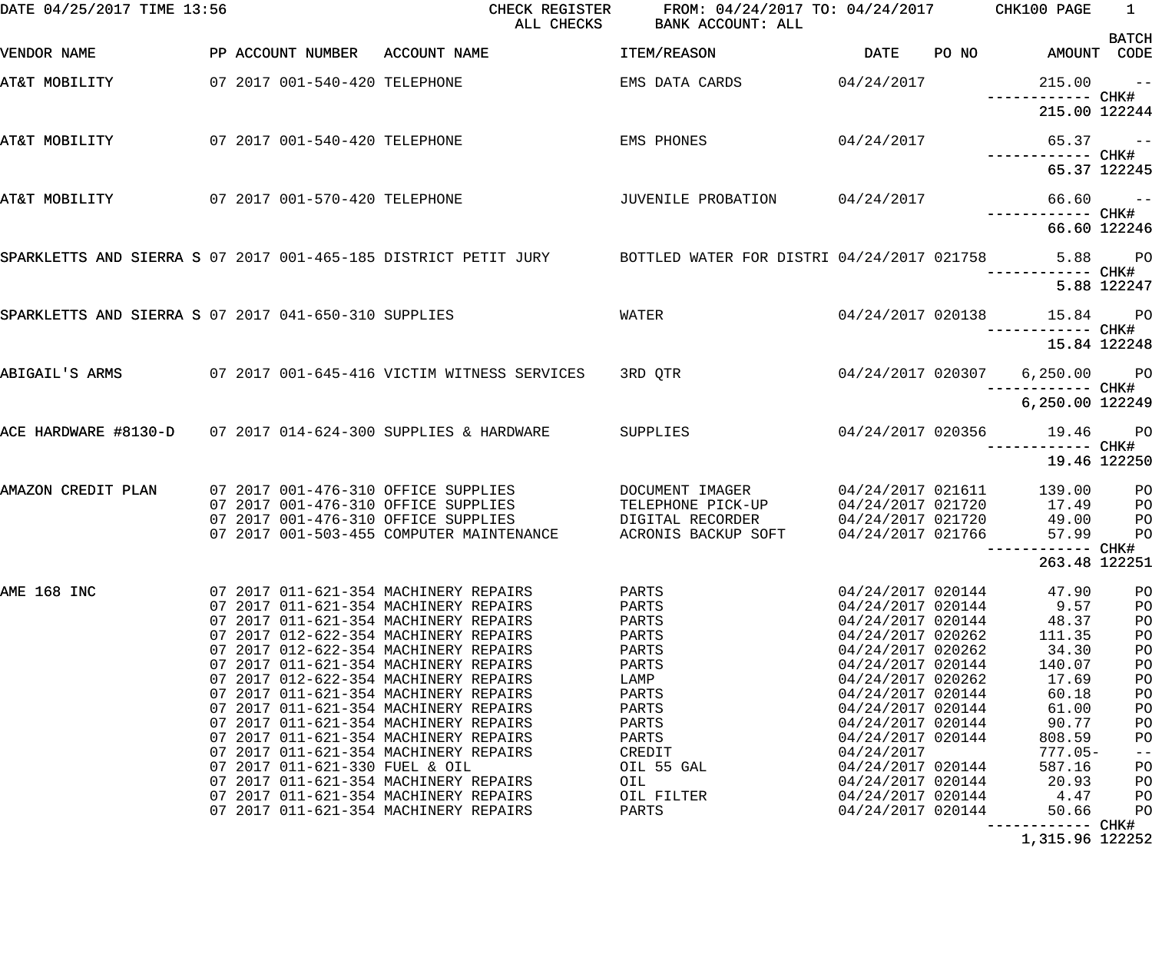| DATE 04/25/2017 TIME 13:56                                   |                                | ALL CHECKS                                                                                                         | CHECK REGISTER FROM: 04/24/2017 TO: 04/24/2017 CHK100 PAGE<br>BANK ACCOUNT: ALL |                                        |                                                 | $\sim$ 1     |
|--------------------------------------------------------------|--------------------------------|--------------------------------------------------------------------------------------------------------------------|---------------------------------------------------------------------------------|----------------------------------------|-------------------------------------------------|--------------|
| VENDOR NAME                                                  |                                | PP ACCOUNT NUMBER ACCOUNT NAME                                                                                     | ITEM/REASON                                                                     |                                        | DATE PO NO AMOUNT CODE                          | <b>BATCH</b> |
| AT&T MOBILITY                                                | 07 2017 001-540-420 TELEPHONE  |                                                                                                                    | EMS DATA CARDS                                                                  | 04/24/2017                             | $215.00 - -$<br>------------ CHK#               |              |
|                                                              |                                |                                                                                                                    |                                                                                 |                                        | 215.00 122244                                   |              |
| AT&T MOBILITY                                                | 07 2017 001-540-420 TELEPHONE  |                                                                                                                    | EMS PHONES                                                                      |                                        | $04/24/2017$ 65.37 --                           |              |
|                                                              |                                |                                                                                                                    |                                                                                 |                                        | 65.37 122245                                    |              |
| AT&T MOBILITY                                                | 07 2017 001-570-420 TELEPHONE  |                                                                                                                    | -- JUVENILE PROBATION 04/24/2017<br>+----------- CHK+                           |                                        |                                                 |              |
|                                                              |                                |                                                                                                                    |                                                                                 |                                        | 66.60 122246                                    |              |
|                                                              |                                | SPARKLETTS AND SIERRA S 07 2017 001-465-185 DISTRICT PETIT JURY BOTTLED WATER FOR DISTRI 04/24/2017 021758 5.88 PO |                                                                                 |                                        |                                                 |              |
|                                                              |                                |                                                                                                                    |                                                                                 |                                        |                                                 | 5.88 122247  |
| SPARKLETTS AND SIERRA S 07 2017 041-650-310 SUPPLIES         |                                |                                                                                                                    | WATER                                                                           |                                        | 04/24/2017 020138 15.84 PO<br>------------ CHK# |              |
|                                                              |                                |                                                                                                                    |                                                                                 |                                        | 15.84 122248                                    |              |
| ABIGAIL'S ARMS                                               |                                | 07 2017 001-645-416 VICTIM WITNESS SERVICES                                                                        | 3RD QTR                                                                         | 04/24/2017 020307                      | 6,250.00 PO                                     |              |
| ACE HARDWARE #8130-D 07 2017 014-624-300 SUPPLIES & HARDWARE |                                |                                                                                                                    |                                                                                 |                                        | 6,250.00 122249<br>04/24/2017 020356 19.46 PO   |              |
|                                                              |                                |                                                                                                                    | SUPPLIES                                                                        |                                        | 19.46 122250                                    |              |
| AMAZON CREDIT PLAN                                           |                                | 07 2017 001-476-310 OFFICE SUPPLIES                                                                                | DOCUMENT IMAGER                                                                 | 04/24/2017 021611                      | 139.00                                          | PO           |
|                                                              |                                | 07 2017 001-476-310 OFFICE SUPPLIES                                                                                | TELEPHONE PICK-UP                                                               |                                        | 04/24/2017 021720 17.49                         | PO           |
|                                                              |                                | 07 2017 001-476-310 OFFICE SUPPLIES                                                                                | DIGITAL RECORDER                                                                | 04/24/2017 021720                      | 49.00                                           | PO           |
|                                                              |                                | 07 2017 001-503-455 COMPUTER MAINTENANCE                                                                           | ACRONIS BACKUP SOFT                                                             | 04/24/2017 021766                      | 57.99<br>------------ CHK#                      | PO           |
|                                                              |                                |                                                                                                                    |                                                                                 |                                        | 263.48 122251                                   |              |
| AME 168 INC                                                  |                                | 07 2017 011-621-354 MACHINERY REPAIRS                                                                              | PARTS                                                                           | 04/24/2017 020144                      | 47.90                                           | PO           |
|                                                              |                                | 07 2017 011-621-354 MACHINERY REPAIRS                                                                              | PARTS                                                                           | 04/24/2017 020144                      | 9.57                                            | PO           |
|                                                              |                                | 07 2017 011-621-354 MACHINERY REPAIRS                                                                              | PARTS                                                                           | 04/24/2017 020144                      | 48.37                                           | PO           |
|                                                              |                                | 07 2017 012-622-354 MACHINERY REPAIRS                                                                              | PARTS                                                                           | 04/24/2017 020262                      | 111.35                                          | PO           |
|                                                              |                                | 07 2017 012-622-354 MACHINERY REPAIRS                                                                              | PARTS                                                                           | 04/24/2017 020262                      | 34.30                                           | PO           |
|                                                              |                                | 07 2017 011-621-354 MACHINERY REPAIRS                                                                              | PARTS                                                                           | 04/24/2017 020144                      | 140.07                                          | PO           |
|                                                              |                                | 07 2017 012-622-354 MACHINERY REPAIRS<br>07 2017 011-621-354 MACHINERY REPAIRS                                     | LAMP                                                                            | 04/24/2017 020262                      | 17.69                                           | PO           |
|                                                              |                                | 07 2017 011-621-354 MACHINERY REPAIRS                                                                              | PARTS<br>PARTS                                                                  | 04/24/2017 020144<br>04/24/2017 020144 | 60.18<br>61.00                                  | PO<br>PO     |
|                                                              |                                | 07 2017 011-621-354 MACHINERY REPAIRS                                                                              | PARTS                                                                           | 04/24/2017 020144                      | 90.77                                           | PO           |
|                                                              |                                | 07 2017 011-621-354 MACHINERY REPAIRS                                                                              | PARTS                                                                           | 04/24/2017 020144                      | 808.59                                          | PO           |
|                                                              |                                | 07 2017 011-621-354 MACHINERY REPAIRS                                                                              | CREDIT                                                                          | 04/24/2017                             | $777.05-$                                       | $- -$        |
|                                                              | 07 2017 011-621-330 FUEL & OIL |                                                                                                                    | OIL 55 GAL                                                                      | 04/24/2017 020144                      | 587.16                                          | PO           |
|                                                              |                                | 07 2017 011-621-354 MACHINERY REPAIRS                                                                              | OIL                                                                             | 04/24/2017 020144                      | 20.93                                           | PO           |
|                                                              |                                | 07 2017 011-621-354 MACHINERY REPAIRS                                                                              | OIL FILTER                                                                      | 04/24/2017 020144                      | 4.47                                            | PO           |
|                                                              |                                | 07 2017 011-621-354 MACHINERY REPAIRS                                                                              | PARTS                                                                           | 04/24/2017 020144                      | 50.66                                           | PO           |
|                                                              |                                |                                                                                                                    |                                                                                 |                                        | ------------ CHK#                               |              |

1,315.96 122252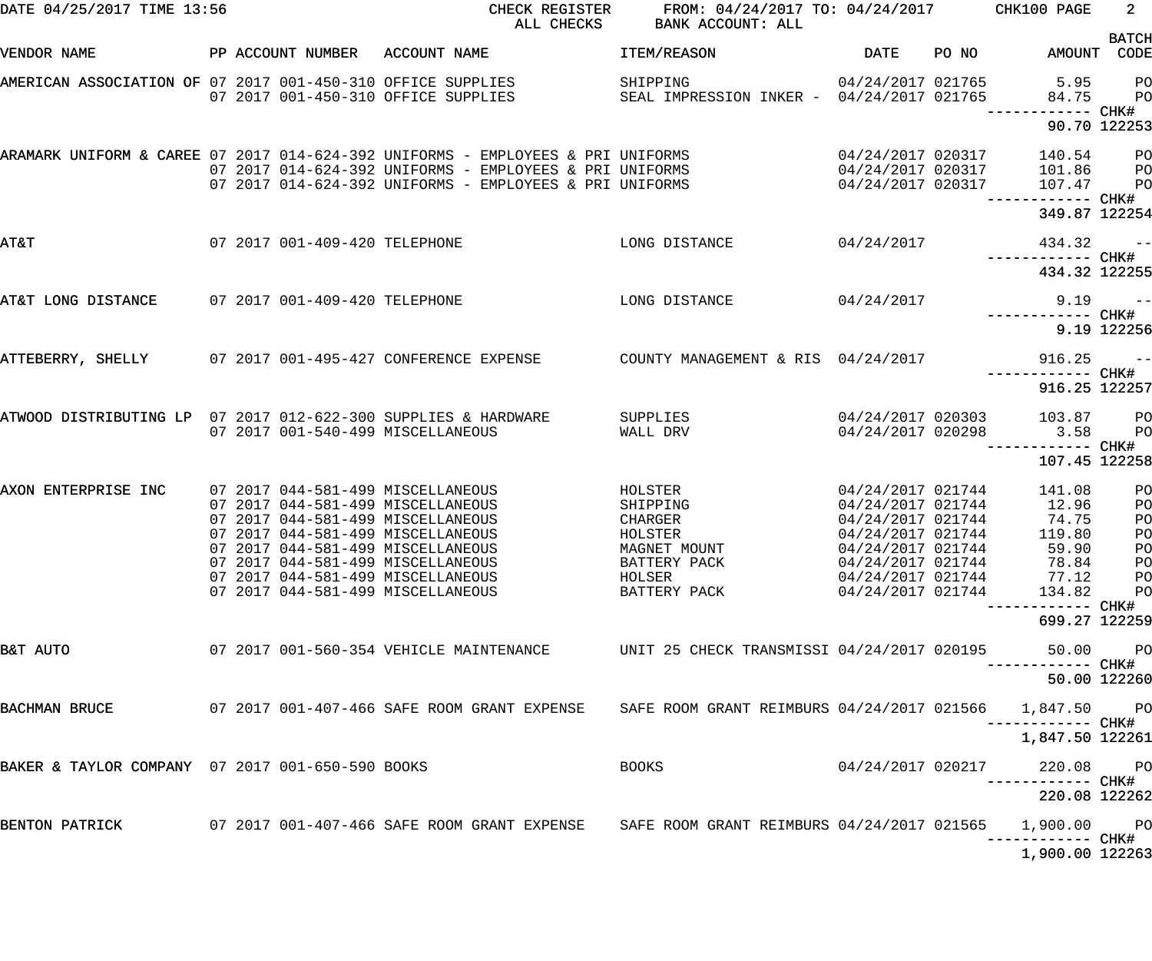| DATE 04/25/2017 TIME 13:56                                     |  |                               | CHECK REGISTER<br>ALL CHECKS                                                                                                                                                                                                                                                                         | FROM: 04/24/2017 TO: 04/24/2017 CHK100 PAGE<br>BANK ACCOUNT: ALL                                    |                                                                                                                                                                      |       |                                                                         | $2^{\circ}$                                              |
|----------------------------------------------------------------|--|-------------------------------|------------------------------------------------------------------------------------------------------------------------------------------------------------------------------------------------------------------------------------------------------------------------------------------------------|-----------------------------------------------------------------------------------------------------|----------------------------------------------------------------------------------------------------------------------------------------------------------------------|-------|-------------------------------------------------------------------------|----------------------------------------------------------|
| VENDOR NAME                                                    |  |                               | PP ACCOUNT NUMBER ACCOUNT NAME                                                                                                                                                                                                                                                                       | <b>ITEM/REASON</b>                                                                                  | DATE                                                                                                                                                                 | PO NO | AMOUNT CODE                                                             | <b>BATCH</b>                                             |
| AMERICAN ASSOCIATION OF 07 2017 001-450-310 OFFICE SUPPLIES    |  |                               | 07 2017 001-450-310 OFFICE SUPPLIES                                                                                                                                                                                                                                                                  | SHIPPING<br>SEAL IMPRESSION INKER - 04/24/2017 021765                                               |                                                                                                                                                                      |       | 04/24/2017 021765 5.95<br>84.75<br>------------ CHK#                    | PO<br>PO                                                 |
|                                                                |  |                               |                                                                                                                                                                                                                                                                                                      |                                                                                                     |                                                                                                                                                                      |       | 90.70 122253                                                            |                                                          |
|                                                                |  |                               | ARAMARK UNIFORM & CAREE 07 2017 014-624-392 UNIFORMS - EMPLOYEES & PRI UNIFORMS<br>07 2017 014-624-392 UNIFORMS - EMPLOYEES & PRI UNIFORMS<br>07 2017 014-624-392 UNIFORMS - EMPLOYEES & PRI UNIFORMS                                                                                                |                                                                                                     | 04/24/2017 020317<br>04/24/2017 020317<br>04/24/2017 020317                                                                                                          |       | 140.54<br>101.86<br>107.47                                              | $P$ O<br>P <sub>O</sub><br>PO                            |
|                                                                |  |                               |                                                                                                                                                                                                                                                                                                      |                                                                                                     |                                                                                                                                                                      |       | ------------ CHK#<br>349.87 122254                                      |                                                          |
| <b>T&amp;TA</b>                                                |  | 07 2017 001-409-420 TELEPHONE |                                                                                                                                                                                                                                                                                                      | LONG DISTANCE                                                                                       | 04/24/2017                                                                                                                                                           |       | 434.32                                                                  | $\sim$ $-$                                               |
|                                                                |  |                               |                                                                                                                                                                                                                                                                                                      |                                                                                                     |                                                                                                                                                                      |       | 434.32 122255                                                           |                                                          |
| AT&T LONG DISTANCE                                             |  | 07 2017 001-409-420 TELEPHONE |                                                                                                                                                                                                                                                                                                      | LONG DISTANCE                                                                                       | 04/24/2017                                                                                                                                                           |       | $9.19$ --<br>------------ CHK#                                          |                                                          |
|                                                                |  |                               |                                                                                                                                                                                                                                                                                                      |                                                                                                     |                                                                                                                                                                      |       |                                                                         | 9.19 122256                                              |
| ATTEBERRY, SHELLY                                              |  |                               | 07 2017 001-495-427 CONFERENCE EXPENSE                                                                                                                                                                                                                                                               | COUNTY MANAGEMENT & RIS 04/24/2017                                                                  |                                                                                                                                                                      |       | 916.25<br>------------ CHK#                                             | $\sim$ $-$                                               |
|                                                                |  |                               |                                                                                                                                                                                                                                                                                                      |                                                                                                     |                                                                                                                                                                      |       | 916.25 122257                                                           |                                                          |
| ATWOOD DISTRIBUTING LP 07 2017 012-622-300 SUPPLIES & HARDWARE |  |                               | 07 2017 001-540-499 MISCELLANEOUS                                                                                                                                                                                                                                                                    | SUPPLIES<br>WALL DRV                                                                                | 04/24/2017 020298                                                                                                                                                    |       | 04/24/2017 020303 103.87<br>3.58                                        | <b>PO</b><br>$P$ O                                       |
|                                                                |  |                               |                                                                                                                                                                                                                                                                                                      |                                                                                                     |                                                                                                                                                                      |       | 107.45 122258                                                           |                                                          |
| AXON ENTERPRISE INC                                            |  |                               | 07 2017 044-581-499 MISCELLANEOUS<br>07 2017 044-581-499 MISCELLANEOUS<br>07 2017 044-581-499 MISCELLANEOUS<br>07 2017 044-581-499 MISCELLANEOUS<br>07 2017 044-581-499 MISCELLANEOUS<br>07 2017 044-581-499 MISCELLANEOUS<br>07 2017 044-581-499 MISCELLANEOUS<br>07 2017 044-581-499 MISCELLANEOUS | HOLSTER<br>SHIPPING<br>CHARGER<br>HOLSTER<br>MAGNET MOUNT<br>BATTERY PACK<br>HOLSER<br>BATTERY PACK | 04/24/2017 021744<br>04/24/2017 021744<br>04/24/2017 021744<br>04/24/2017 021744<br>04/24/2017 021744<br>04/24/2017 021744<br>04/24/2017 021744<br>04/24/2017 021744 |       | 141.08<br>12.96<br>74.75<br>119.80<br>59.90<br>78.84<br>77.12<br>134.82 | PO<br>PO<br>PO<br>PO<br>PО<br>PO<br>PO<br>P <sub>O</sub> |
|                                                                |  |                               |                                                                                                                                                                                                                                                                                                      |                                                                                                     |                                                                                                                                                                      |       | 699.27 122259                                                           |                                                          |
| B&T AUTO                                                       |  |                               | 07 2017 001-560-354 VEHICLE MAINTENANCE                                                                                                                                                                                                                                                              | UNIT 25 CHECK TRANSMISSI 04/24/2017 020195                                                          |                                                                                                                                                                      |       | 50.00                                                                   | P <sub>O</sub>                                           |
|                                                                |  |                               |                                                                                                                                                                                                                                                                                                      |                                                                                                     |                                                                                                                                                                      |       |                                                                         | 50.00 122260                                             |
| BACHMAN BRUCE                                                  |  |                               | 07 2017 001-407-466 SAFE ROOM GRANT EXPENSE                                                                                                                                                                                                                                                          | SAFE ROOM GRANT REIMBURS 04/24/2017 021566                                                          |                                                                                                                                                                      |       | 1,847.50 PO<br>----------- CHK#                                         |                                                          |
|                                                                |  |                               |                                                                                                                                                                                                                                                                                                      |                                                                                                     |                                                                                                                                                                      |       | 1,847.50 122261                                                         |                                                          |
| BAKER & TAYLOR COMPANY 07 2017 001-650-590 BOOKS               |  |                               |                                                                                                                                                                                                                                                                                                      | <b>BOOKS</b>                                                                                        | 04/24/2017 020217                                                                                                                                                    |       | 220.08                                                                  | <b>PO</b>                                                |
|                                                                |  |                               |                                                                                                                                                                                                                                                                                                      |                                                                                                     |                                                                                                                                                                      |       | 220.08 122262                                                           |                                                          |
| BENTON PATRICK                                                 |  |                               |                                                                                                                                                                                                                                                                                                      | SAFE ROOM GRANT REIMBURS 04/24/2017 021565                                                          |                                                                                                                                                                      |       | 1,900.00 PO<br>----------- CHK#                                         |                                                          |
|                                                                |  |                               |                                                                                                                                                                                                                                                                                                      |                                                                                                     |                                                                                                                                                                      |       | 1,900.00 122263                                                         |                                                          |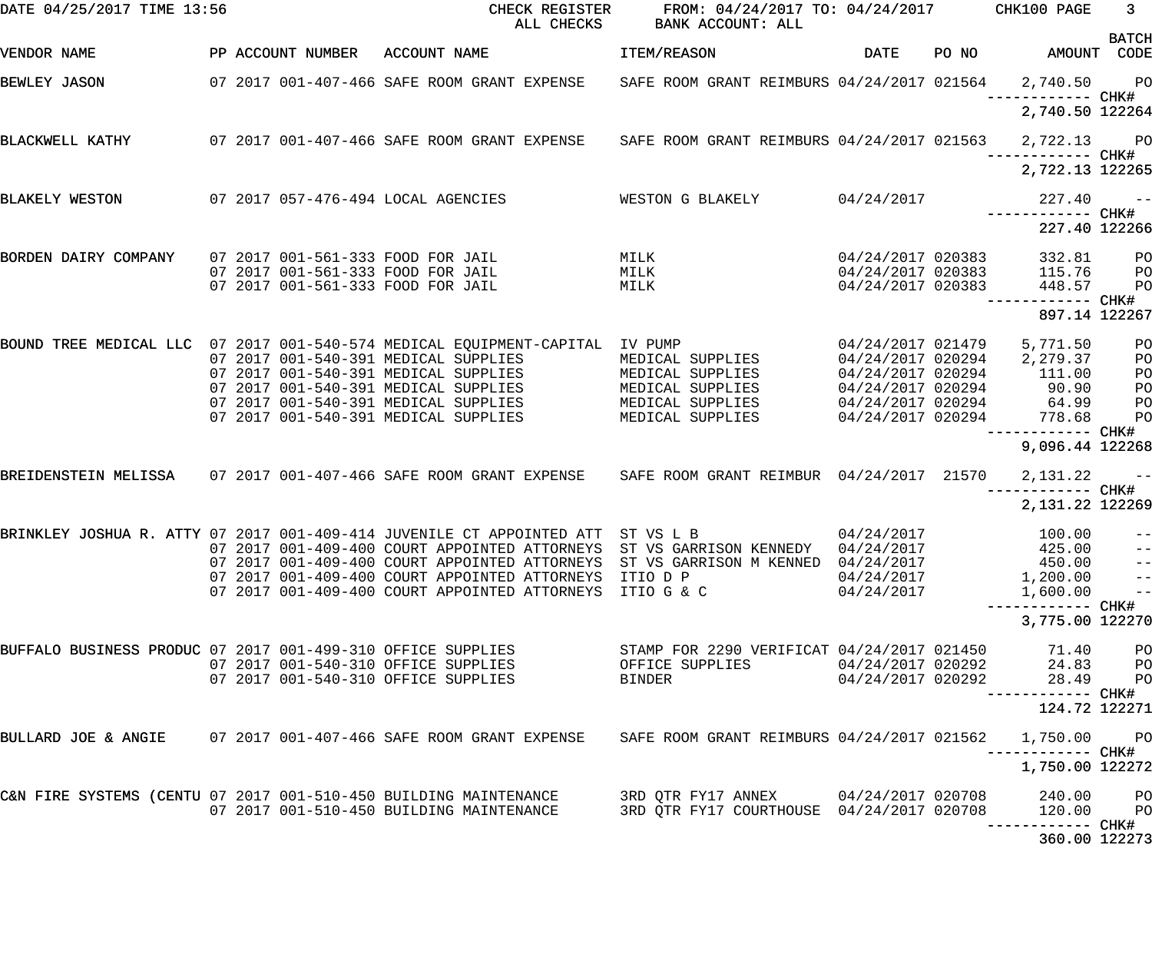| DATE 04/25/2017 TIME 13:56                                       |  |                   | CHECK REGISTER<br>ALL CHECKS                                                                              | FROM: 04/24/2017 TO: 04/24/2017 CHK100 PAGE<br>BANK ACCOUNT: ALL |                     |       |                                      | 3 <sup>7</sup>    |
|------------------------------------------------------------------|--|-------------------|-----------------------------------------------------------------------------------------------------------|------------------------------------------------------------------|---------------------|-------|--------------------------------------|-------------------|
| VENDOR NAME                                                      |  | PP ACCOUNT NUMBER | ACCOUNT NAME                                                                                              | ITEM/REASON                                                      | <b>DATE</b>         | PO NO | AMOUNT CODE                          | <b>BATCH</b>      |
| BEWLEY JASON                                                     |  |                   | 07 2017 001-407-466 SAFE ROOM GRANT EXPENSE SAFE ROOM GRANT REIMBURS 04/24/2017 021564                    |                                                                  |                     |       | 2,740.50 PO                          |                   |
|                                                                  |  |                   |                                                                                                           |                                                                  |                     |       | 2,740.50 122264                      |                   |
| BLACKWELL KATHY                                                  |  |                   | 07 2017 001-407-466 SAFE ROOM GRANT EXPENSE SAFE ROOM GRANT REIMBURS 04/24/2017 021563                    |                                                                  |                     |       | 2,722.13 PO                          |                   |
|                                                                  |  |                   |                                                                                                           |                                                                  |                     |       | 2,722.13 122265                      |                   |
| BLAKELY WESTON                                                   |  |                   | 07 2017 057-476-494 LOCAL AGENCIES                                                                        | WESTON G BLAKELY                                                 | 04/24/2017          |       | 227.40                               | $\sim$ $ -$       |
|                                                                  |  |                   |                                                                                                           |                                                                  |                     |       | 227.40 122266                        |                   |
| BORDEN DAIRY COMPANY                                             |  |                   | 07 2017 001-561-333 FOOD FOR JAIL                                                                         | MILK                                                             | 04/24/2017 020383   |       | 332.81                               | P <sub>O</sub>    |
|                                                                  |  |                   | 07 2017 001-561-333 FOOD FOR JAIL                                                                         | MILK                                                             | $04/24/2017$ 020383 |       | 115.76                               | P <sub>O</sub>    |
|                                                                  |  |                   | 07 2017 001-561-333 FOOD FOR JAIL                                                                         | MILK                                                             | 04/24/2017 020383   |       | 448.57                               | PO                |
|                                                                  |  |                   |                                                                                                           |                                                                  |                     |       | ------------ CHK#<br>897.14 122267   |                   |
|                                                                  |  |                   | BOUND TREE MEDICAL LLC 07 2017 001-540-574 MEDICAL EQUIPMENT-CAPITAL IV PUMP                              |                                                                  | 04/24/2017 021479   |       | 5,771.50                             | PO                |
|                                                                  |  |                   | 07 2017 001-540-391 MEDICAL SUPPLIES                                                                      | MEDICAL SUPPLIES                                                 | 04/24/2017 020294   |       | 2,279.37                             | PO                |
|                                                                  |  |                   | 07 2017 001-540-391 MEDICAL SUPPLIES                                                                      | MEDICAL SUPPLIES                                                 | 04/24/2017 020294   |       | 111.00                               | PO                |
|                                                                  |  |                   | 07 2017 001-540-391 MEDICAL SUPPLIES                                                                      | MEDICAL SUPPLIES                                                 | 04/24/2017 020294   |       | $90.90$<br>$64.99$<br>$778.68$       | PO                |
|                                                                  |  |                   | 07 2017 001-540-391 MEDICAL SUPPLIES                                                                      | MEDICAL SUPPLIES                                                 | 04/24/2017 020294   |       |                                      | PO                |
|                                                                  |  |                   | 07 2017 001-540-391 MEDICAL SUPPLIES                                                                      | MEDICAL SUPPLIES                                                 | 04/24/2017 020294   |       |                                      | PO                |
|                                                                  |  |                   |                                                                                                           |                                                                  |                     |       | ------------ CHK#<br>9,096.44 122268 |                   |
|                                                                  |  |                   | BREIDENSTEIN MELISSA 07 2017 001-407-466 SAFE ROOM GRANT EXPENSE SAFE ROOM GRANT REIMBUR 04/24/2017 21570 |                                                                  |                     |       | 2,131.22                             | $\sim$ $ -$       |
|                                                                  |  |                   |                                                                                                           |                                                                  |                     |       | 2,131.22 122269                      |                   |
|                                                                  |  |                   | BRINKLEY JOSHUA R. ATTY 07 2017 001-409-414 JUVENILE CT APPOINTED ATT ST VS L B                           |                                                                  | 04/24/2017          |       | 100.00                               | $ -$              |
|                                                                  |  |                   | 07 2017 001-409-400 COURT APPOINTED ATTORNEYS ST VS GARRISON KENNEDY 04/24/2017                           |                                                                  |                     |       | 425.00                               | $\rightarrow -$   |
|                                                                  |  |                   | 07 2017 001-409-400 COURT APPOINTED ATTORNEYS ST VS GARRISON M KENNED 04/24/2017                          |                                                                  |                     |       | 450.00                               | $\qquad \qquad -$ |
|                                                                  |  |                   | 07 2017 001-409-400 COURT APPOINTED ATTORNEYS ITIO D P                                                    |                                                                  | 04/24/2017          |       | 1,200.00                             | $\qquad \qquad -$ |
|                                                                  |  |                   | 07 2017 001-409-400 COURT APPOINTED ATTORNEYS ITIO G & C                                                  |                                                                  | 04/24/2017          |       | 1,600.00                             | $\qquad \qquad -$ |
|                                                                  |  |                   |                                                                                                           |                                                                  |                     |       | 3,775.00 122270                      |                   |
| BUFFALO BUSINESS PRODUC 07 2017 001-499-310 OFFICE SUPPLIES      |  |                   |                                                                                                           | STAMP FOR 2290 VERIFICAT 04/24/2017 021450                       |                     |       | 71.40                                | PO                |
|                                                                  |  |                   | 07 2017 001-540-310 OFFICE SUPPLIES                                                                       | OFFICE SUPPLIES                                                  | 04/24/2017 020292   |       | 24.83                                | PО                |
|                                                                  |  |                   | 07 2017 001-540-310 OFFICE SUPPLIES                                                                       | BINDER                                                           | 04/24/2017 020292   |       | 28.49                                | PO                |
|                                                                  |  |                   |                                                                                                           |                                                                  |                     |       | ----------- CHK#<br>124.72 122271    |                   |
|                                                                  |  |                   | BULLARD JOE & ANGIE      07 2017 001-407-466 SAFE ROOM GRANT EXPENSE                                      | SAFE ROOM GRANT REIMBURS 04/24/2017 021562                       |                     |       | 1,750.00<br>-----------         CHK# | $P$ O             |
|                                                                  |  |                   |                                                                                                           |                                                                  |                     |       | 1,750.00 122272                      |                   |
| C&N FIRE SYSTEMS (CENTU 07 2017 001-510-450 BUILDING MAINTENANCE |  |                   |                                                                                                           | 3RD QTR FY17 ANNEX 04/24/2017 020708                             |                     |       | 240.00                               | P <sub>O</sub>    |
|                                                                  |  |                   | 07 2017 001-510-450 BUILDING MAINTENANCE                                                                  | 3RD QTR FY17 COURTHOUSE 04/24/2017 020708                        |                     |       | 120.00                               | P <sub>O</sub>    |
|                                                                  |  |                   |                                                                                                           |                                                                  |                     |       | ------- CHK#<br>360.00 122273        |                   |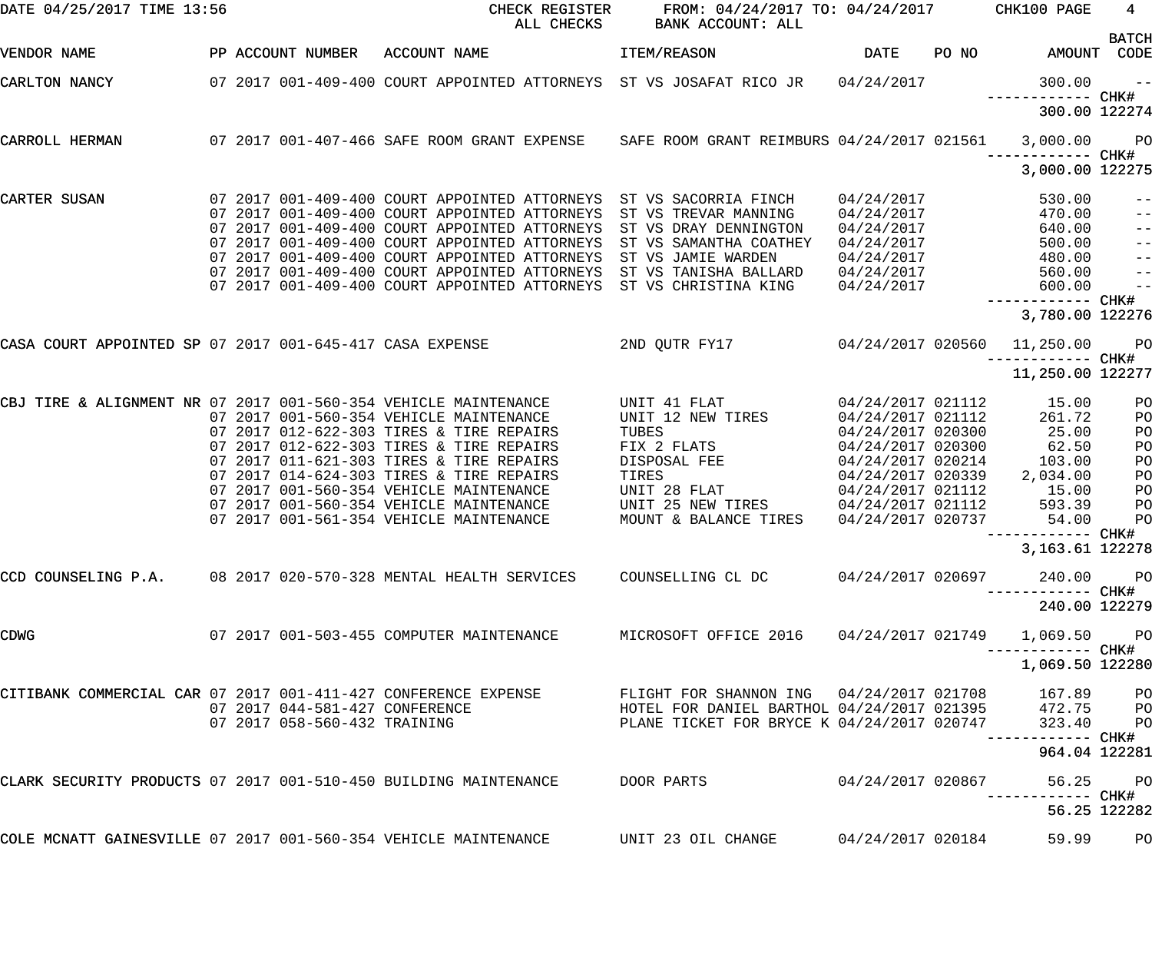| DATE 04/25/2017 TIME 13:56                                       |  |                                | CHECK REGISTER<br>ALL CHECKS                                                                       | FROM: 04/24/2017 TO: 04/24/2017<br><b>BANK ACCOUNT: ALL</b>                                                 |                          |       | CHK100 PAGE                          | $4\overline{ }$             |
|------------------------------------------------------------------|--|--------------------------------|----------------------------------------------------------------------------------------------------|-------------------------------------------------------------------------------------------------------------|--------------------------|-------|--------------------------------------|-----------------------------|
| VENDOR NAME                                                      |  | PP ACCOUNT NUMBER              | ACCOUNT NAME                                                                                       | ITEM/REASON                                                                                                 | <b>DATE</b>              | PO NO |                                      | <b>BATCH</b><br>AMOUNT CODE |
| CARLTON NANCY                                                    |  |                                | 07  2017  001-409-400  COURT APPOINTED ATTORNEYS  ST VS JOSAFAT RICO JR                            |                                                                                                             | 04/24/2017               |       | 300.00<br>—————————— CHK#            | $- - -$                     |
|                                                                  |  |                                |                                                                                                    |                                                                                                             |                          |       | 300.00 122274                        |                             |
| CARROLL HERMAN                                                   |  |                                | 07 2017 001-407-466 SAFE ROOM GRANT EXPENSE SAFE ROOM GRANT REIMBURS 04/24/2017 021561             |                                                                                                             |                          |       | 3,000.00<br>—————————— CHK#          | $P$ O                       |
|                                                                  |  |                                |                                                                                                    |                                                                                                             |                          |       | 3,000.00 122275                      |                             |
| CARTER SUSAN                                                     |  |                                | 07 2017 001-409-400 COURT APPOINTED ATTORNEYS<br>07 2017 001-409-400 COURT APPOINTED ATTORNEYS     | ST VS SACORRIA FINCH<br>ST VS TREVAR MANNING                                                                | 04/24/2017<br>04/24/2017 |       | 530.00<br>470.00                     | $- -$<br>$\qquad \qquad -$  |
|                                                                  |  |                                | 07 2017 001-409-400 COURT APPOINTED ATTORNEYS                                                      | ST VS DRAY DENNINGTON                                                                                       | 04/24/2017               |       | 640.00                               | $ -$                        |
|                                                                  |  |                                | 07 2017 001-409-400 COURT APPOINTED ATTORNEYS                                                      | ST VS SAMANTHA COATHEY                                                                                      | 04/24/2017               |       | 500.00                               | $ -$                        |
|                                                                  |  |                                | 07 2017 001-409-400 COURT APPOINTED ATTORNEYS                                                      | ST VS JAMIE WARDEN                                                                                          | 04/24/2017               |       | 480.00                               | $ -$                        |
|                                                                  |  |                                | 07 2017 001-409-400 COURT APPOINTED ATTORNEYS                                                      | ST VS TANISHA BALLARD                                                                                       | 04/24/2017               |       | 560.00                               | $\qquad \qquad -$           |
|                                                                  |  |                                | 07 2017 001-409-400 COURT APPOINTED ATTORNEYS                                                      | ST VS CHRISTINA KING                                                                                        | 04/24/2017               |       | 600.00                               | $\qquad \qquad -$           |
|                                                                  |  |                                |                                                                                                    |                                                                                                             |                          |       |                                      |                             |
|                                                                  |  |                                |                                                                                                    |                                                                                                             |                          |       | 3,780.00 122276                      |                             |
| CASA COURT APPOINTED SP 07 2017 001-645-417 CASA EXPENSE         |  |                                |                                                                                                    | 2ND QUTR FY17                                                                                               | 04/24/2017 020560        |       | 11,250.00<br>----------- CHK#        | <b>PO</b>                   |
|                                                                  |  |                                |                                                                                                    |                                                                                                             |                          |       | 11,250.00 122277                     |                             |
| CBJ TIRE & ALIGNMENT NR 07 2017 001-560-354 VEHICLE MAINTENANCE  |  |                                |                                                                                                    | UNIT 41 FLAT                                                                                                | 04/24/2017 021112        |       | 15.00                                | PO                          |
|                                                                  |  |                                | 07 2017 001-560-354 VEHICLE MAINTENANCE                                                            | UNIT 12 NEW TIRES                                                                                           | 04/24/2017 021112        |       | 261.72                               | PO                          |
|                                                                  |  |                                | 07 2017 012-622-303 TIRES & TIRE REPAIRS                                                           | TUBES                                                                                                       | 04/24/2017 020300        |       | 25.00                                | PO                          |
|                                                                  |  |                                | 07 2017 012-622-303 TIRES & TIRE REPAIRS                                                           | FIX 2 FLATS                                                                                                 | 04/24/2017 020300        |       | 62.50                                | PO                          |
|                                                                  |  |                                | 07 2017 011-621-303 TIRES & TIRE REPAIRS                                                           | DISPOSAL FEE                                                                                                | 04/24/2017 020214        |       | 103.00                               | PO                          |
|                                                                  |  |                                | 07 2017 014-624-303 TIRES & TIRE REPAIRS                                                           | TIRES                                                                                                       | 04/24/2017 020339        |       | 2,034.00                             | PO                          |
|                                                                  |  |                                | 07 2017 001-560-354 VEHICLE MAINTENANCE                                                            | UNIT 28 FLAT                                                                                                | 04/24/2017 021112        |       | 15.00                                | PO                          |
|                                                                  |  |                                | 07 2017 001-560-354 VEHICLE MAINTENANCE                                                            | UNIT 25 NEW TIRES                                                                                           | 04/24/2017 021112        |       | 593.39                               | PO                          |
|                                                                  |  |                                | 07 2017 001-561-354 VEHICLE MAINTENANCE                                                            | MOUNT & BALANCE TIRES                                                                                       | 04/24/2017 020737        |       | 54.00                                | PO                          |
|                                                                  |  |                                |                                                                                                    |                                                                                                             |                          |       | ----------- CHK#<br>3, 163.61 122278 |                             |
|                                                                  |  |                                |                                                                                                    |                                                                                                             |                          |       |                                      |                             |
|                                                                  |  |                                | CCD COUNSELING P.A. 08 2017 020-570-328 MENTAL HEALTH SERVICES COUNSELLING CL DC 04/24/2017 020697 |                                                                                                             |                          |       | 240.00                               | <b>PO</b><br>----- CHK#     |
|                                                                  |  |                                |                                                                                                    |                                                                                                             |                          |       | 240.00 122279                        |                             |
| <b>CDWG</b>                                                      |  |                                | 07 2017 001-503-455 COMPUTER MAINTENANCE                                                           | MICROSOFT OFFICE 2016  04/24/2017 021749                                                                    |                          |       | 1,069.50<br>----------- CHK#         | <b>PO</b>                   |
|                                                                  |  |                                |                                                                                                    |                                                                                                             |                          |       | 1,069.50 122280                      |                             |
| CITIBANK COMMERCIAL CAR 07 2017 001-411-427 CONFERENCE EXPENSE   |  |                                |                                                                                                    | FLIGHT FOR SHANNON ING 04/24/2017 021708                                                                    |                          |       | 167.89 PO                            |                             |
|                                                                  |  | 07 2017 044-581-427 CONFERENCE |                                                                                                    | HERE FOR DANIEL BARTHOL 04/24/2017 021395 472.75 PO<br>PLANE TICKET FOR BRYCE K 04/24/2017 020747 323.40 PO |                          |       |                                      |                             |
|                                                                  |  | 07 2017 058-560-432 TRAINING   |                                                                                                    | PLANE TICKET FOR BRYCE K 04/24/2017 020747                                                                  |                          |       | 323.40                               | $P$ O                       |
|                                                                  |  |                                |                                                                                                    |                                                                                                             |                          |       | ------- CHK#<br>964.04 122281        |                             |
| CLARK SECURITY PRODUCTS 07 2017 001-510-450 BUILDING MAINTENANCE |  |                                |                                                                                                    | DOOR PARTS                                                                                                  | 04/24/2017 020867        |       | 56.25                                | <b>PO</b>                   |
|                                                                  |  |                                |                                                                                                    |                                                                                                             |                          |       | ------ CHK#                          | 56.25 122282                |
| COLE MCNATT GAINESVILLE 07 2017 001-560-354 VEHICLE MAINTENANCE  |  |                                |                                                                                                    | UNIT 23 OIL CHANGE                                                                                          | 04/24/2017 020184        |       | 59.99                                | PO                          |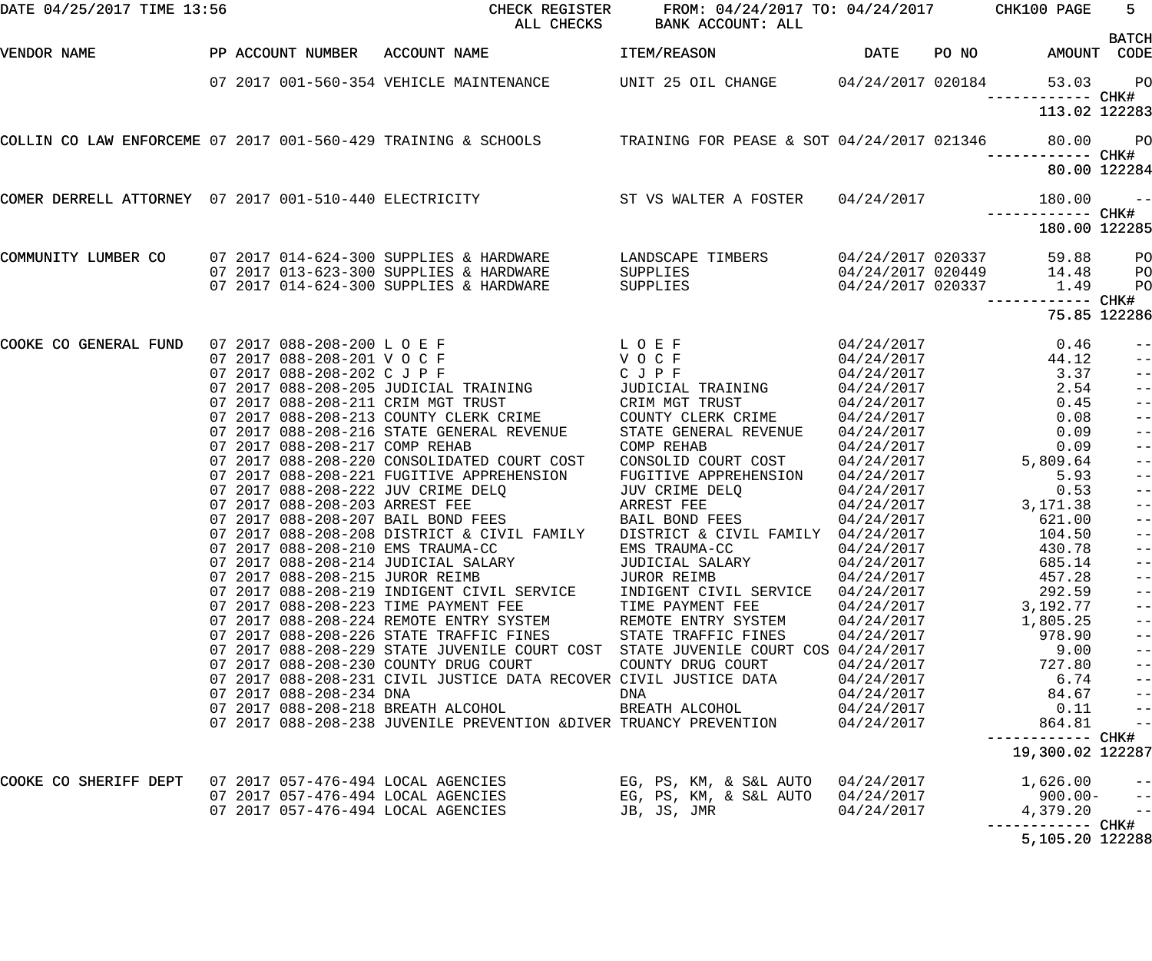| DATE 04/25/2017 TIME 13:56 |                                                                        | CHECK REGISTER<br>ALL CHECKS                                                                                    | FROM: 04/24/2017 TO: 04/24/2017 CHK100 PAGE<br>BANK ACCOUNT: ALL |                          |       |                               | $5 -$<br><b>BATCH</b> |
|----------------------------|------------------------------------------------------------------------|-----------------------------------------------------------------------------------------------------------------|------------------------------------------------------------------|--------------------------|-------|-------------------------------|-----------------------|
| VENDOR NAME                | PP ACCOUNT NUMBER ACCOUNT NAME                                         |                                                                                                                 | <b>ITEM/REASON</b>                                               | <b>DATE</b>              | PO NO | AMOUNT                        | CODE                  |
|                            |                                                                        | 07 2017 001-560-354 VEHICLE MAINTENANCE UNIT 25 OIL CHANGE                                                      |                                                                  | 04/24/2017 020184        |       | 53.03<br>------------ CHK#    | $P$ O                 |
|                            |                                                                        |                                                                                                                 |                                                                  |                          |       | 113.02 122283                 |                       |
|                            |                                                                        | COLLIN CO LAW ENFORCEME 07 2017 001-560-429 TRAINING & SCHOOLS TRAINING FOR PEASE & SOT 04/24/2017 021346 80.00 |                                                                  |                          |       | ------------ CHK#             | $P$ O                 |
|                            |                                                                        |                                                                                                                 |                                                                  |                          |       | 80.00 122284                  |                       |
|                            |                                                                        | COMER DERRELL ATTORNEY 07 2017 001-510-440 ELECTRICITY ST VS WALTER A FOSTER 04/24/2017                         |                                                                  |                          |       | 180.00<br>------------ CHK#   | $ -$                  |
|                            |                                                                        |                                                                                                                 |                                                                  |                          |       | 180.00 122285                 |                       |
| COMMUNITY LUMBER CO        |                                                                        | 07 2017 014-624-300 SUPPLIES & HARDWARE                                                                         | LANDSCAPE TIMBERS                                                | 04/24/2017 020337        |       | 59.88                         | P <sub>O</sub>        |
|                            |                                                                        | 07 2017 013-623-300 SUPPLIES & HARDWARE                                                                         | SUPPLIES                                                         |                          |       | 04/24/2017 020449 14.48       | PO                    |
|                            |                                                                        | 07 2017 014-624-300 SUPPLIES & HARDWARE                                                                         | SUPPLIES                                                         | 04/24/2017 020337        |       | 1.49<br>------------ CHK#     | PO                    |
|                            |                                                                        |                                                                                                                 |                                                                  |                          |       |                               | 75.85 122286          |
| COOKE CO GENERAL FUND      | 07 2017 088-208-200 L O E F                                            | LOEF                                                                                                            |                                                                  |                          |       | 0.46                          | $-\:\:-$              |
|                            | 07 2017 088-208-201 VOCF                                               | VOCF                                                                                                            |                                                                  | 04/24/2017<br>04/24/2017 |       | 44.12                         | $-\:\:-$              |
|                            | 07 2017 088-208-202 C J P F                                            |                                                                                                                 | CJPF                                                             | 04/24/2017               |       | 3.37                          | $\qquad \qquad -$     |
|                            | 07 2017 088-208-205 JUDICIAL TRAINING                                  |                                                                                                                 | JUDICIAL TRAINING                                                | 04/24/2017               |       | $2.54$<br>0.45                | $-$                   |
|                            | 07 2017 088-208-211 CRIM MGT TRUST                                     |                                                                                                                 | CRIM MGT TRUST                                                   | 04/24/2017               |       |                               | $-$                   |
|                            | 07 2017 088-208-213 COUNTY CLERK CRIME                                 |                                                                                                                 | COUNTY CLERK CRIME                                               | 04/24/2017               |       | 0.08                          | $-$                   |
|                            |                                                                        | 07 2017 088-208-216 STATE GENERAL REVENUE                                                                       | STATE GENERAL REVENUE                                            | 04/24/2017               |       | 0.09                          | $-$                   |
|                            | 07 2017 088-208-217 COMP REHAB                                         |                                                                                                                 | COMP REHAB                                                       | 04/24/2017               |       | 0.09                          | $-$                   |
|                            |                                                                        | 07 2017 088-208-220 CONSOLIDATED COURT COST                                                                     | CONSOLID COURT COST                                              | 04/24/2017               |       | 5,809.64                      | $-$                   |
|                            |                                                                        | 07 2017 088-208-221 FUGITIVE APPREHENSION                                                                       | FUGITIVE APPREHENSION                                            | 04/24/2017               |       | 5.93                          | $-$                   |
|                            | 07 2017 088-208-222 JUV CRIME DELQ                                     |                                                                                                                 | JUV CRIME DELQ                                                   | 04/24/2017               |       | 0.53                          |                       |
|                            | 07 2017 088-208-203 ARREST FEE                                         |                                                                                                                 | ARREST FEE                                                       | 04/24/2017               |       | 3,171.38                      |                       |
|                            | 07 2017 088-208-207 BAIL BOND FEES                                     |                                                                                                                 | BAIL BOND FEES                                                   | 04/24/2017               |       | 621.00                        |                       |
|                            |                                                                        | 07 2017 088-208-208 DISTRICT & CIVIL FAMILY                                                                     | DISTRICT & CIVIL FAMILY 04/24/2017                               |                          |       | 104.50                        |                       |
|                            | 07 2017 088-208-210 EMS TRAUMA-CC                                      |                                                                                                                 | EMS TRAUMA-CC                                                    | 04/24/2017               |       | 430.78                        |                       |
|                            | 07 2017 088-208-214 JUDICIAL SALARY<br>07 2017 088-208-215 JUROR REIMB |                                                                                                                 | JUDICIAL SALARY                                                  | 04/24/2017               |       | 685.14                        | $ -$                  |
|                            |                                                                        | 07 2017 088-208-219 INDIGENT CIVIL SERVICE                                                                      | JUROR REIMB<br>INDIGENT CIVIL SERVICE                            | 04/24/2017<br>04/24/2017 |       | 457.28<br>292.59              | $ -$<br>$ -$          |
|                            | 07 2017 088-208-223 TIME PAYMENT FEE                                   |                                                                                                                 | TIME PAYMENT FEE                                                 | 04/24/2017               |       | 3,192.77                      | $ -$                  |
|                            |                                                                        | 07 2017 088-208-224 REMOTE ENTRY SYSTEM                                                                         | REMOTE ENTRY SYSTEM                                              | 04/24/2017               |       | 1,805.25                      | $ -$                  |
|                            |                                                                        | 07 2017 088-208-226 STATE TRAFFIC FINES                                                                         | STATE TRAFFIC FINES                                              | 04/24/2017               |       | 978.90                        | $ -$                  |
|                            |                                                                        | 07 2017 088-208-229 STATE JUVENILE COURT COST STATE JUVENILE COURT COS 04/24/2017                               |                                                                  |                          |       | 9.00                          | $ -$                  |
|                            | 07 2017 088-208-230 COUNTY DRUG COURT                                  |                                                                                                                 | COUNTY DRUG COURT                                                | 04/24/2017               |       | 727.80                        | $ -$                  |
|                            |                                                                        | 07 2017 088-208-231 CIVIL JUSTICE DATA RECOVER CIVIL JUSTICE DATA                                               |                                                                  | 04/24/2017               |       | 6.74                          | $ -$                  |
|                            | 07 2017 088-208-234 DNA                                                |                                                                                                                 | DNA                                                              | 04/24/2017               |       | 84.67                         | $\qquad \qquad -$     |
|                            | 07 2017 088-208-218 BREATH ALCOHOL                                     |                                                                                                                 | BREATH ALCOHOL                                                   | 04/24/2017               |       | 0.11                          | $\qquad \qquad -$     |
|                            |                                                                        | 07 2017 088-208-238 JUVENILE PREVENTION &DIVER TRUANCY PREVENTION                                               |                                                                  | 04/24/2017               |       | 864.81                        | $\qquad \qquad -$     |
|                            |                                                                        |                                                                                                                 |                                                                  |                          |       | 19,300.02 122287              |                       |
| COOKE CO SHERIFF DEPT      | 07 2017 057-476-494 LOCAL AGENCIES                                     |                                                                                                                 | EG, PS, KM, & S&L AUTO                                           | 04/24/2017               |       | 1,626.00                      | $- -$                 |
|                            | 07 2017 057-476-494 LOCAL AGENCIES                                     |                                                                                                                 | EG, PS, KM, & S&L AUTO                                           | 04/24/2017               |       | $900.00 -$                    | $-\, -$               |
|                            | 07 2017 057-476-494 LOCAL AGENCIES                                     |                                                                                                                 | JB, JS, JMR                                                      | 04/24/2017               |       | 4,379.20<br>------------ CHK# | $ -$                  |
|                            |                                                                        |                                                                                                                 |                                                                  |                          |       | 5,105.20 122288               |                       |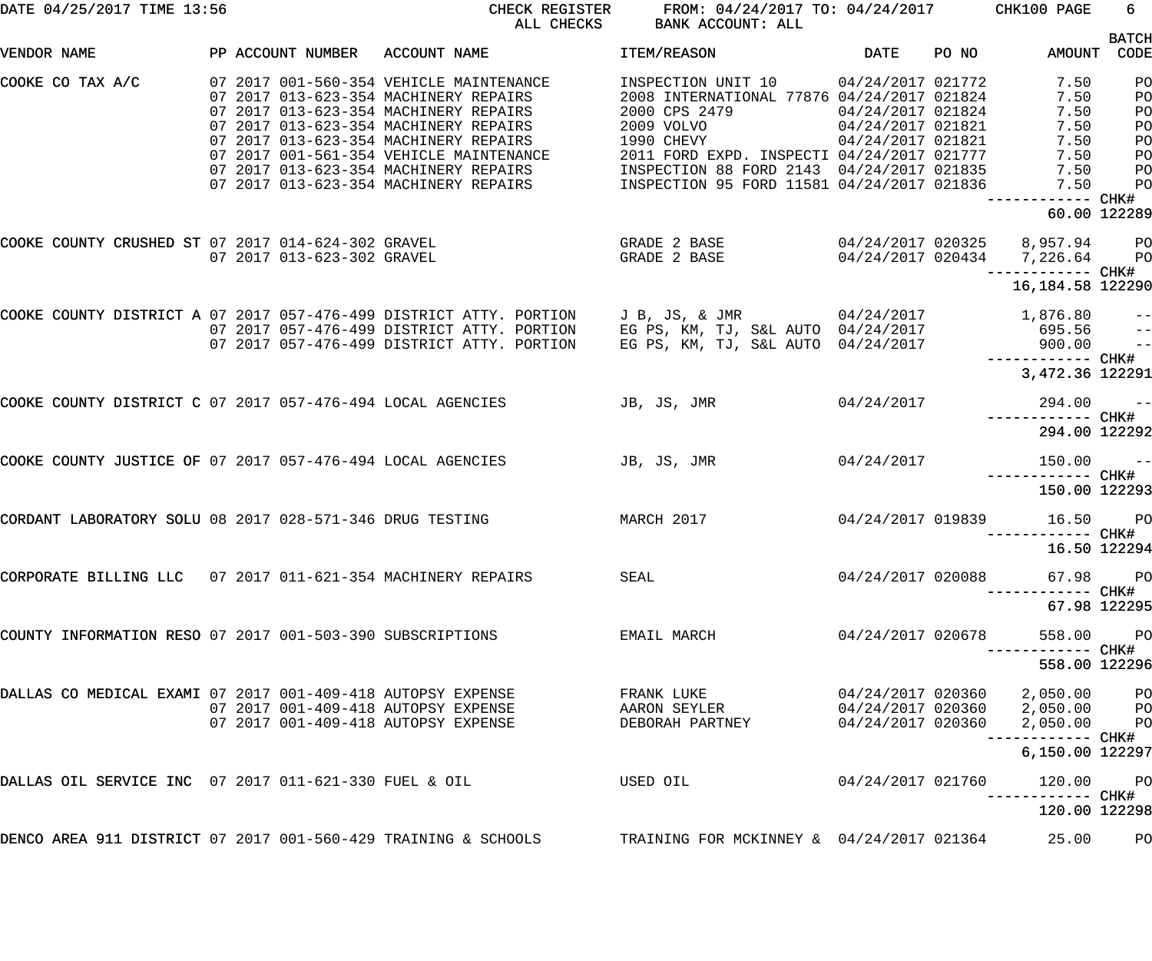| DATE 04/25/2017 TIME 13:56                                     |  |                            | CHECK REGISTER<br>ALL CHECKS                                                                                                                                       |                                                                                                                     |                                        | FROM: 04/24/2017 TO: 04/24/2017 CHK100 PAGE | 6                                                        |                                      |
|----------------------------------------------------------------|--|----------------------------|--------------------------------------------------------------------------------------------------------------------------------------------------------------------|---------------------------------------------------------------------------------------------------------------------|----------------------------------------|---------------------------------------------|----------------------------------------------------------|--------------------------------------|
| VENDOR NAME                                                    |  |                            | PP ACCOUNT NUMBER ACCOUNT NAME                                                                                                                                     | ITEM/REASON                                                                                                         | DATE                                   | PO NO                                       | AMOUNT                                                   | <b>BATCH</b><br>CODE                 |
| COOKE CO TAX A/C                                               |  |                            | 07 2017 001-560-354 VEHICLE MAINTENANCE<br>07 2017 013-623-354 MACHINERY REPAIRS<br>07 2017 013-623-354 MACHINERY REPAIRS                                          | INSPECTION UNIT 10 04/24/2017 021772<br>2008 INTERNATIONAL 77876 04/24/2017 021824<br>2000 CPS 2479                 | 04/24/2017 021824                      |                                             | 7.50<br>7.50<br>7.50                                     | PO<br>PO<br>PO                       |
|                                                                |  |                            | 07 2017 013-623-354 MACHINERY REPAIRS<br>07 2017 013-623-354 MACHINERY REPAIRS<br>07 2017 001-561-354 VEHICLE MAINTENANCE<br>07 2017 013-623-354 MACHINERY REPAIRS | 2009 VOLVO<br>1990 CHEVY<br>2011 FORD EXPD. INSPECTI 04/24/2017 021777<br>INSPECTION 88 FORD 2143 04/24/2017 021835 | 04/24/2017 021821<br>04/24/2017 021821 |                                             | 7.50<br>7.50<br>7.50<br>7.50                             | PO<br>PO<br>PO                       |
|                                                                |  |                            | 07 2017 013-623-354 MACHINERY REPAIRS                                                                                                                              | INSPECTION 95 FORD 11581 04/24/2017 021836                                                                          |                                        |                                             | 7.50<br>------ CHK#<br>60.00 122289                      | PO<br>PO                             |
| COOKE COUNTY CRUSHED ST 07 2017 014-624-302 GRAVEL             |  | 07 2017 013-623-302 GRAVEL |                                                                                                                                                                    | GRADE 2 BASE<br>GRADE 2 BASE                                                                                        |                                        |                                             | 04/24/2017 020325 8,957.94<br>04/24/2017 020434 7,226.64 | <b>PO</b><br>$P$ O                   |
|                                                                |  |                            |                                                                                                                                                                    |                                                                                                                     |                                        |                                             | ------------ CHK#<br>16,184.58 122290                    |                                      |
|                                                                |  |                            | COOKE COUNTY DISTRICT A 07 2017 057-476-499 DISTRICT ATTY. PORTION<br>07 2017 057-476-499 DISTRICT ATTY. PORTION<br>07 2017 057-476-499 DISTRICT ATTY. PORTION     | J B, JS, & JMR 04/24/2017<br>EG PS, KM, TJ, S&L AUTO 04/24/2017<br>EG PS, KM, TJ, S&L AUTO 04/24/2017               |                                        |                                             | 1,876.80<br>695.56<br>900.00                             | $ -$<br>$-\, -$<br>$\qquad \qquad -$ |
|                                                                |  |                            |                                                                                                                                                                    |                                                                                                                     |                                        |                                             | 3,472.36 122291                                          |                                      |
| COOKE COUNTY DISTRICT C 07 2017 057-476-494 LOCAL AGENCIES     |  |                            |                                                                                                                                                                    | JB, JS, JMR<br>04/24/2017                                                                                           |                                        |                                             | 294.00<br>------------ CHK#                              | $ -$                                 |
|                                                                |  |                            |                                                                                                                                                                    |                                                                                                                     |                                        |                                             | 294.00 122292                                            |                                      |
| COOKE COUNTY JUSTICE OF 07 2017 057-476-494 LOCAL AGENCIES     |  |                            |                                                                                                                                                                    | JB, JS, JMR<br>04/24/2017                                                                                           |                                        |                                             | 150.00<br>------------ CHK#<br>150.00 122293             | $ -$                                 |
| CORDANT LABORATORY SOLU 08 2017 028-571-346 DRUG TESTING       |  |                            | MARCH 2017                                                                                                                                                         |                                                                                                                     |                                        |                                             | 04/24/2017 019839 16.50                                  | PO <sub>1</sub>                      |
|                                                                |  |                            |                                                                                                                                                                    |                                                                                                                     |                                        |                                             | 16.50 122294                                             |                                      |
| CORPORATE BILLING LLC 07 2017 011-621-354 MACHINERY REPAIRS    |  |                            |                                                                                                                                                                    | SEAL                                                                                                                | 04/24/2017 020088                      |                                             | 67.98<br>67.98 122295                                    | PO <sub>1</sub>                      |
| COUNTY INFORMATION RESO 07 2017 001-503-390 SUBSCRIPTIONS      |  |                            |                                                                                                                                                                    | EMAIL MARCH                                                                                                         | 04/24/2017 020678                      |                                             | 558.00                                                   | $P$ O                                |
|                                                                |  |                            |                                                                                                                                                                    |                                                                                                                     |                                        |                                             | 558.00 122296                                            |                                      |
| DALLAS CO MEDICAL EXAMI 07 2017 001-409-418 AUTOPSY EXPENSE    |  |                            | 07 2017 001-409-418 AUTOPSY EXPENSE<br>07 2017 001-409-418 AUTOPSY EXPENSE                                                                                         | FRANK LUKE<br>AARON SEYLER<br>DEBORAH PARTNEY                                                                       | 04/24/2017 020360<br>04/24/2017 020360 |                                             | 2,050.00<br>04/24/2017 020360  2,050.00  PO<br>2,050.00  | $P$ O<br>P <sub>O</sub>              |
|                                                                |  |                            |                                                                                                                                                                    |                                                                                                                     |                                        |                                             | 6,150.00 122297                                          |                                      |
| DALLAS OIL SERVICE INC 07 2017 011-621-330 FUEL & OIL          |  |                            |                                                                                                                                                                    | USED OIL                                                                                                            | 04/24/2017 021760                      |                                             | 120.00<br>----------- CHK#<br>120.00 122298              | $P$ O                                |
| DENCO AREA 911 DISTRICT 07 2017 001-560-429 TRAINING & SCHOOLS |  |                            |                                                                                                                                                                    | TRAINING FOR MCKINNEY & 04/24/2017 021364                                                                           |                                        |                                             | 25.00                                                    | PO                                   |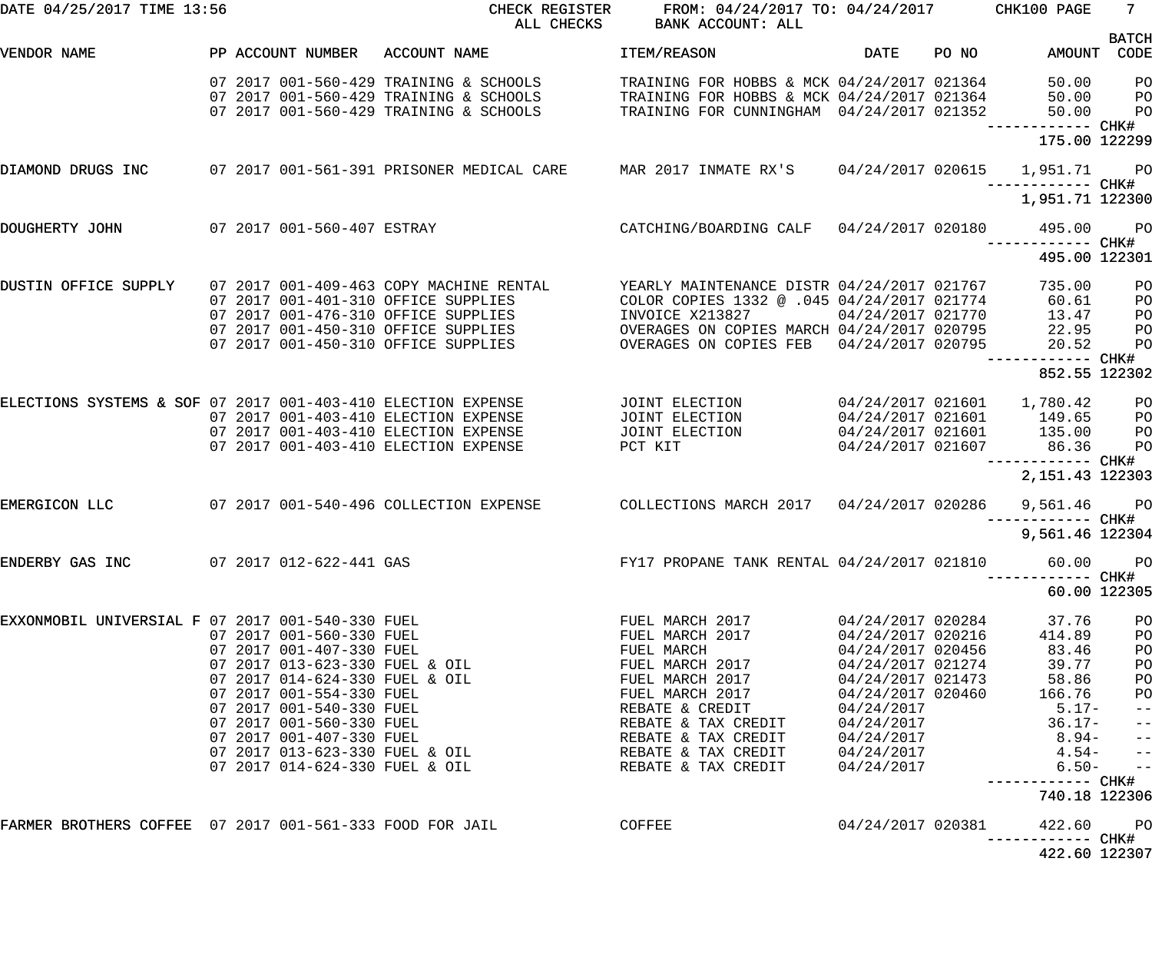| DATE 04/25/2017 TIME 13:56                               |  |                                                                                        | CHECK REGISTER<br>ALL CHECKS                                                                                                                                                                        | FROM: 04/24/2017 TO: 04/24/2017 CHK100 PAGE<br>BANK ACCOUNT: ALL                                                                                                                                      |                                                                                                                                                        |       |                                                                                                   | $7 -$                                                                                                       |
|----------------------------------------------------------|--|----------------------------------------------------------------------------------------|-----------------------------------------------------------------------------------------------------------------------------------------------------------------------------------------------------|-------------------------------------------------------------------------------------------------------------------------------------------------------------------------------------------------------|--------------------------------------------------------------------------------------------------------------------------------------------------------|-------|---------------------------------------------------------------------------------------------------|-------------------------------------------------------------------------------------------------------------|
| VENDOR NAME                                              |  |                                                                                        | PP ACCOUNT NUMBER ACCOUNT NAME                                                                                                                                                                      | ITEM/REASON                                                                                                                                                                                           | DATE                                                                                                                                                   | PO NO | AMOUNT CODE                                                                                       | <b>BATCH</b>                                                                                                |
|                                                          |  |                                                                                        | 07 2017 001-560-429 TRAINING & SCHOOLS<br>07 2017 001-560-429 TRAINING & SCHOOLS TRAINING FOR HOBBS & MCK 04/24/2017 021364<br>07 2017 001-560-429 TRAINING & SCHOOLS                               | TRAINING FOR HOBBS & MCK 04/24/2017 021364<br>TRAINING FOR CUNNINGHAM 04/24/2017 021352                                                                                                               |                                                                                                                                                        |       | 50.00 PO<br>50.00<br>50.00                                                                        | P <sub>O</sub><br>P <sub>O</sub>                                                                            |
|                                                          |  |                                                                                        |                                                                                                                                                                                                     |                                                                                                                                                                                                       |                                                                                                                                                        |       | ------------ CHK#<br>175.00 122299                                                                |                                                                                                             |
| DIAMOND DRUGS INC                                        |  |                                                                                        | 07 2017 001-561-391 PRISONER MEDICAL CARE MAR 2017 INMATE RX'S 04/24/2017 020615 1,951.71 PO                                                                                                        |                                                                                                                                                                                                       |                                                                                                                                                        |       | ------------ CHK#                                                                                 |                                                                                                             |
|                                                          |  |                                                                                        |                                                                                                                                                                                                     |                                                                                                                                                                                                       |                                                                                                                                                        |       | 1,951.71 122300                                                                                   |                                                                                                             |
| DOUGHERTY JOHN                                           |  |                                                                                        | 07 2017 001-560-407 ESTRAY                                                                                                                                                                          | CATCHING/BOARDING CALF  04/24/2017 020180  495.00                                                                                                                                                     |                                                                                                                                                        |       | ------------ CHK#                                                                                 | <b>PO</b>                                                                                                   |
|                                                          |  |                                                                                        |                                                                                                                                                                                                     |                                                                                                                                                                                                       |                                                                                                                                                        |       | 495.00 122301                                                                                     |                                                                                                             |
| DUSTIN OFFICE SUPPLY                                     |  |                                                                                        | 07 2017 001-409-463 COPY MACHINE RENTAL<br>07 2017 001-401-310 OFFICE SUPPLIES<br>07 2017 001-476-310 OFFICE SUPPLIES<br>07 2017 001-450-310 OFFICE SUPPLIES<br>07 2017 001-450-310 OFFICE SUPPLIES | YEARLY MAINTENANCE DISTR 04/24/2017 021767<br>COLOR COPIES 1332 @ .045 04/24/2017 021774<br>INVOICE X213827<br>OVERAGES ON COPIES MARCH 04/24/2017 020795<br>OVERAGES ON COPIES FEB 04/24/2017 020795 | 04/24/2017 021770                                                                                                                                      |       | 735.00<br>60.61<br>13.47<br>22.95<br>20.52                                                        | P <sub>O</sub><br>PO<br>PO<br>PO<br>P <sub>O</sub>                                                          |
|                                                          |  |                                                                                        |                                                                                                                                                                                                     |                                                                                                                                                                                                       |                                                                                                                                                        |       | 852.55 122302                                                                                     |                                                                                                             |
|                                                          |  |                                                                                        | ELECTIONS SYSTEMS & SOF 07 2017 001-403-410 ELECTION EXPENSE<br>07 2017 001-403-410 ELECTION EXPENSE<br>07 2017 001-403-410 ELECTION EXPENSE<br>07 2017 001-403-410 ELECTION EXPENSE                | JOINT ELECTION<br>JOINT ELECTION<br>JOINT ELECTION<br>PCT KIT                                                                                                                                         | 04/24/2017 021607                                                                                                                                      |       | 04/24/2017 021601 149.65<br>04/24/2017 021601 135.00<br>86.36                                     | $P$ O<br>P <sub>O</sub><br>PO<br>P <sub>O</sub>                                                             |
|                                                          |  |                                                                                        |                                                                                                                                                                                                     |                                                                                                                                                                                                       |                                                                                                                                                        |       | ------------ CHK#<br>2, 151.43 122303                                                             |                                                                                                             |
| EMERGICON LLC                                            |  |                                                                                        | 07 2017 001-540-496 COLLECTION EXPENSE  COLLECTIONS MARCH 2017  04/24/2017 020286                                                                                                                   |                                                                                                                                                                                                       |                                                                                                                                                        |       | 9,561.46 PO                                                                                       |                                                                                                             |
|                                                          |  |                                                                                        |                                                                                                                                                                                                     |                                                                                                                                                                                                       |                                                                                                                                                        |       | 9,561.46 122304                                                                                   |                                                                                                             |
| ENDERBY GAS INC 07 2017 012-622-441 GAS                  |  |                                                                                        |                                                                                                                                                                                                     | FY17 PROPANE TANK RENTAL 04/24/2017 021810                                                                                                                                                            |                                                                                                                                                        |       | 60.00                                                                                             | P <sub>O</sub>                                                                                              |
|                                                          |  |                                                                                        |                                                                                                                                                                                                     |                                                                                                                                                                                                       |                                                                                                                                                        |       | 60.00 122305                                                                                      |                                                                                                             |
|                                                          |  | 07 2017 001-407-330 FUEL<br>07 2017 014-624-330 FUEL & OIL<br>07 2017 001-554-330 FUEL | EXXONMOBIL UNIVERSIAL F 07 2017 001-540-330 FUEL<br>07 2017 001-560-330 FUEL<br>07 2017 013-623-330 FUEL & OIL                                                                                      | FUEL MARCH 2017<br>FUEL MARCH 2017<br>FUEL MARCH<br>FUEL MARCH 2017<br>FUEL MARCH 2017<br>FUEL MARCH 2017<br>REBATE & CREDIT<br>REBATE & TAX CREDIT<br>REBATE & TAX CREDIT                            | 04/24/2017 020284<br>04/24/2017 020216<br>04/24/2017 020456<br>04/24/2017 021274<br>04/24/2017 021473<br>04/24/2017 020460<br>04/24/2017<br>04/24/2017 |       | 37.76<br>414.89<br>83.46<br>39.77<br>58.86<br>166.76<br>$5.17-$<br>$36.17-$<br>$04/24/2017$ 8.94- | PO<br>PO<br>PO<br>PO<br>PO<br>P <sub>O</sub><br>$\qquad \qquad -$<br>$\qquad \qquad -$<br>$\qquad \qquad -$ |
|                                                          |  |                                                                                        | 07 2017 013-623-330 FUEL & OIL<br>07 2017 014-624-330 FUEL & OIL                                                                                                                                    | REBATE & TAX CREDIT<br>REBATE & TAX CREDIT                                                                                                                                                            | 04/24/2017<br>04/24/2017                                                                                                                               |       | $4.54-$<br>$6.50-$                                                                                | $\qquad \qquad -$<br>$\qquad \qquad -$                                                                      |
|                                                          |  |                                                                                        |                                                                                                                                                                                                     |                                                                                                                                                                                                       |                                                                                                                                                        |       | 740.18 122306                                                                                     |                                                                                                             |
| FARMER BROTHERS COFFEE 07 2017 001-561-333 FOOD FOR JAIL |  |                                                                                        | <b>COFFEE</b>                                                                                                                                                                                       |                                                                                                                                                                                                       | 04/24/2017 020381                                                                                                                                      |       | 422.60 PO<br>----------- CHK#<br>422.60 122307                                                    |                                                                                                             |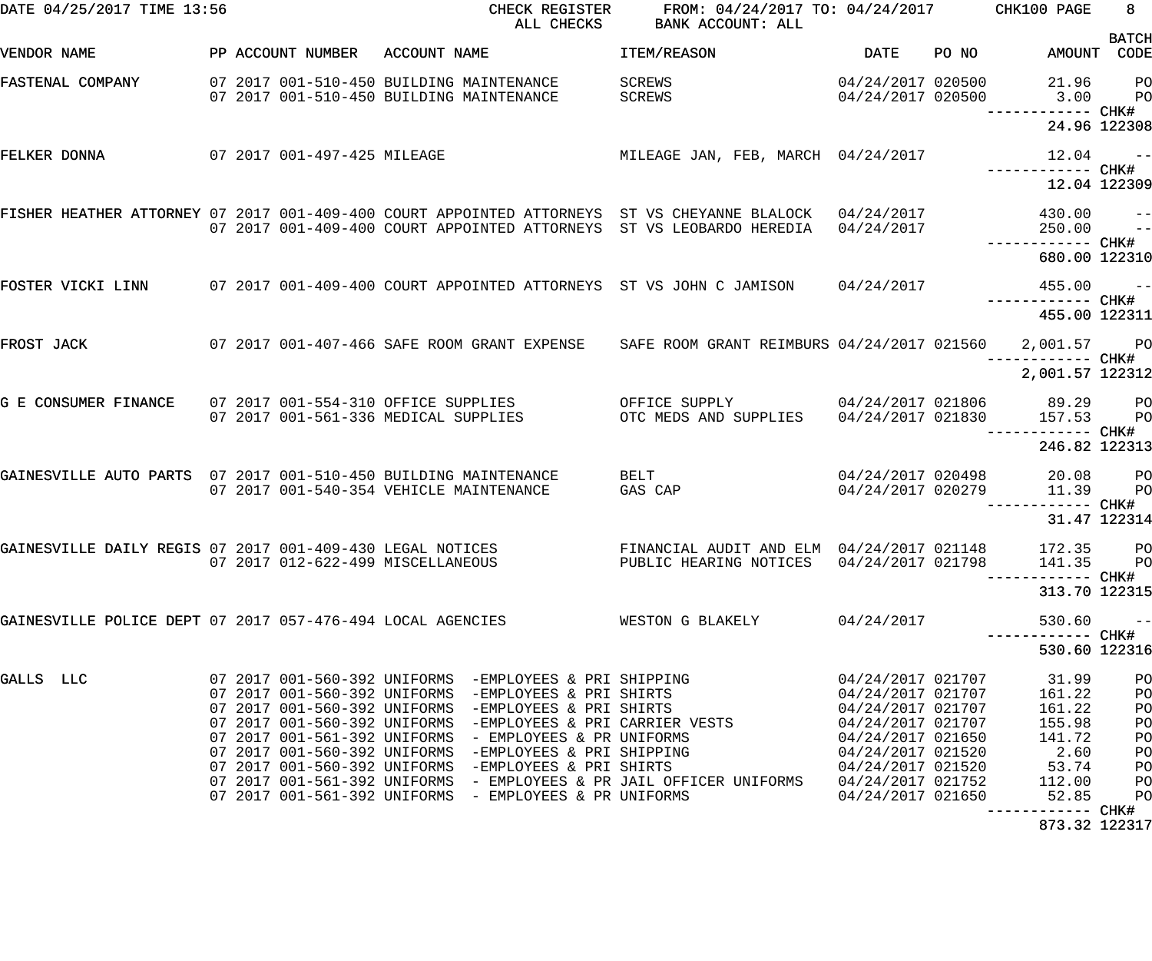| DATE 04/25/2017 TIME 13:56                                      |  |                                                                                      |              | CHECK REGISTER<br>ALL CHECKS                                                                                                                                                                                                                                                                    | FROM: 04/24/2017 TO: 04/24/2017 CHK100 PAGE<br>BANK ACCOUNT: ALL                                                                                                                |                                                                                                       |       |                                               | 8 <sub>1</sub>             |
|-----------------------------------------------------------------|--|--------------------------------------------------------------------------------------|--------------|-------------------------------------------------------------------------------------------------------------------------------------------------------------------------------------------------------------------------------------------------------------------------------------------------|---------------------------------------------------------------------------------------------------------------------------------------------------------------------------------|-------------------------------------------------------------------------------------------------------|-------|-----------------------------------------------|----------------------------|
| VENDOR NAME                                                     |  | PP ACCOUNT NUMBER                                                                    | ACCOUNT NAME |                                                                                                                                                                                                                                                                                                 | ITEM/REASON                                                                                                                                                                     | DATE                                                                                                  | PO NO | AMOUNT CODE                                   | <b>BATCH</b>               |
| FASTENAL COMPANY                                                |  | 07 2017 001-510-450 BUILDING MAINTENANCE<br>07 2017 001-510-450 BUILDING MAINTENANCE |              |                                                                                                                                                                                                                                                                                                 | SCREWS<br>SCREWS                                                                                                                                                                | 04/24/2017 020500<br>04/24/2017 020500                                                                |       | 21.96<br>3.00                                 | PO<br>PO                   |
|                                                                 |  |                                                                                      |              |                                                                                                                                                                                                                                                                                                 |                                                                                                                                                                                 |                                                                                                       |       |                                               | 24.96 122308               |
| FELKER DONNA                                                    |  | 07 2017 001-497-425 MILEAGE                                                          |              |                                                                                                                                                                                                                                                                                                 | MILEAGE JAN, FEB, MARCH 04/24/2017                                                                                                                                              |                                                                                                       |       | 12.04                                         | $\sim$ $ -$                |
|                                                                 |  |                                                                                      |              |                                                                                                                                                                                                                                                                                                 |                                                                                                                                                                                 |                                                                                                       |       | 12.04 122309                                  |                            |
|                                                                 |  |                                                                                      |              |                                                                                                                                                                                                                                                                                                 | FISHER HEATHER ATTORNEY 07 2017 001-409-400 COURT APPOINTED ATTORNEYS ST VS CHEYANNE BLALOCK 04/24/2017<br>07 2017 001-409-400 COURT APPOINTED ATTORNEYS ST VS LEOBARDO HEREDIA | 04/24/2017                                                                                            |       | 430.00<br>250.00                              | $\qquad \qquad -$<br>$-$   |
|                                                                 |  |                                                                                      |              |                                                                                                                                                                                                                                                                                                 |                                                                                                                                                                                 |                                                                                                       |       | 680.00 122310                                 |                            |
|                                                                 |  |                                                                                      |              |                                                                                                                                                                                                                                                                                                 | FOSTER VICKI LINN 607 2017 001-409-400 COURT APPOINTED ATTORNEYS ST VS JOHN C JAMISON 64/24/2017                                                                                |                                                                                                       |       | $455.00 - -$                                  |                            |
|                                                                 |  |                                                                                      |              |                                                                                                                                                                                                                                                                                                 |                                                                                                                                                                                 |                                                                                                       |       | 455.00 122311                                 |                            |
| FROST JACK                                                      |  |                                                                                      |              |                                                                                                                                                                                                                                                                                                 | 07 2017 001-407-466 SAFE ROOM GRANT EXPENSE SAFE ROOM GRANT REIMBURS 04/24/2017 021560                                                                                          |                                                                                                       |       | 2,001.57 PO<br>--------- CHK#                 |                            |
|                                                                 |  |                                                                                      |              |                                                                                                                                                                                                                                                                                                 |                                                                                                                                                                                 |                                                                                                       |       | 2,001.57 122312                               |                            |
| G E CONSUMER FINANCE                                            |  | 07 2017 001-561-336 MEDICAL SUPPLIES                                                 |              | 07 2017 001-554-310 OFFICE SUPPLIES                                                                                                                                                                                                                                                             | OFFICE SUPPLY 04/24/2017 021806 89.29 PO<br>OTC MEDS AND SUPPLIES 04/24/2017 021830                                                                                             |                                                                                                       |       | 157.53                                        | <b>PO</b><br>----- CHK#    |
|                                                                 |  |                                                                                      |              |                                                                                                                                                                                                                                                                                                 |                                                                                                                                                                                 |                                                                                                       |       | 246.82 122313                                 |                            |
| GAINESVILLE AUTO PARTS 07 2017 001-510-450 BUILDING MAINTENANCE |  | 07 2017 001-540-354 VEHICLE MAINTENANCE                                              |              |                                                                                                                                                                                                                                                                                                 | BELT<br>GAS CAP                                                                                                                                                                 | 04/24/2017 020498<br>04/24/2017 020279                                                                |       | 20.08<br>11.39                                | $P$ O<br>P <sub>O</sub>    |
|                                                                 |  |                                                                                      |              |                                                                                                                                                                                                                                                                                                 |                                                                                                                                                                                 |                                                                                                       |       |                                               | 31.47 122314               |
| GAINESVILLE DAILY REGIS 07 2017 001-409-430 LEGAL NOTICES       |  | 07 2017 012-622-499 MISCELLANEOUS                                                    |              |                                                                                                                                                                                                                                                                                                 | FINANCIAL AUDIT AND ELM 04/24/2017 021148<br>PUBLIC HEARING NOTICES                                                                                                             | 04/24/2017 021798                                                                                     |       | 172.35 PO<br>141.35                           | P <sub>O</sub>             |
|                                                                 |  |                                                                                      |              |                                                                                                                                                                                                                                                                                                 |                                                                                                                                                                                 |                                                                                                       |       | 313.70 122315                                 |                            |
| GAINESVILLE POLICE DEPT 07 2017 057-476-494 LOCAL AGENCIES      |  |                                                                                      |              |                                                                                                                                                                                                                                                                                                 | WESTON G BLAKELY                                                                                                                                                                | 04/24/2017                                                                                            |       | 530.60                                        | $- -$                      |
|                                                                 |  |                                                                                      |              |                                                                                                                                                                                                                                                                                                 |                                                                                                                                                                                 |                                                                                                       |       | 530.60 122316                                 |                            |
| GALLS LLC                                                       |  |                                                                                      |              | 07 2017 001-560-392 UNIFORMS -EMPLOYEES & PRI SHIPPING<br>07 2017 001-560-392 UNIFORMS -EMPLOYEES & PRI SHIRTS<br>07 2017 001-560-392 UNIFORMS -EMPLOYEES & PRI SHIRTS<br>07 2017 001-560-392 UNIFORMS -EMPLOYEES & PRI CARRIER VESTS<br>07 2017 001-561-392 UNIFORMS - EMPLOYEES & PR UNIFORMS |                                                                                                                                                                                 | 04/24/2017 021707<br>04/24/2017 021707<br>04/24/2017 021707<br>04/24/2017 021707<br>04/24/2017 021650 |       | 31.99<br>161.22<br>161.22<br>155.98<br>141.72 | PO<br>PO<br>PO<br>PO<br>PO |
|                                                                 |  |                                                                                      |              | 07 2017 001-560-392 UNIFORMS -EMPLOYEES & PRI SHIPPING<br>07 2017 001-560-392 UNIFORMS -EMPLOYEES & PRI SHIRTS                                                                                                                                                                                  |                                                                                                                                                                                 | 04/24/2017 021520<br>04/24/2017 021520                                                                |       | 2.60<br>53.74                                 | PO<br>PO                   |
|                                                                 |  |                                                                                      |              | 07 2017 001-561-392 UNIFORMS - EMPLOYEES & PR UNIFORMS                                                                                                                                                                                                                                          | 07 2017 001-561-392 UNIFORMS - EMPLOYEES & PR JAIL OFFICER UNIFORMS                                                                                                             | 04/24/2017 021752<br>04/24/2017 021650                                                                |       | 112.00<br>52.85                               | PO<br>PO                   |
|                                                                 |  |                                                                                      |              |                                                                                                                                                                                                                                                                                                 |                                                                                                                                                                                 |                                                                                                       |       | 873.32 122317                                 |                            |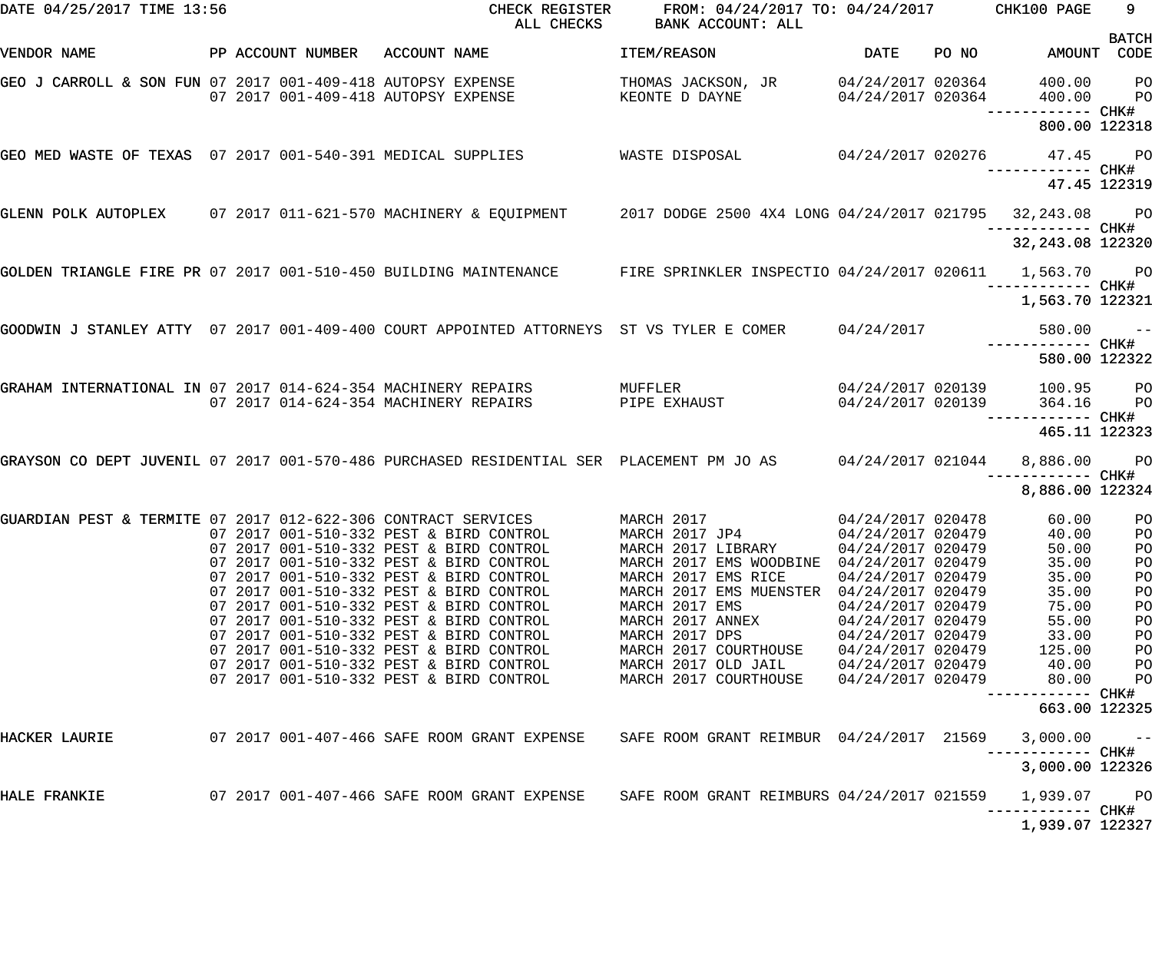| DATE 04/25/2017 TIME 13:56                                       |  |                   | CHECK REGISTER<br>ALL CHECKS                                                                                          | FROM: 04/24/2017 TO: 04/24/2017 CHK100 PAGE<br>BANK ACCOUNT: ALL |                                          |       |                                   | 9                                |
|------------------------------------------------------------------|--|-------------------|-----------------------------------------------------------------------------------------------------------------------|------------------------------------------------------------------|------------------------------------------|-------|-----------------------------------|----------------------------------|
| VENDOR NAME                                                      |  | PP ACCOUNT NUMBER | ACCOUNT NAME                                                                                                          | ITEM/REASON                                                      | <b>DATE</b>                              | PO NO | AMOUNT                            | <b>BATCH</b><br>CODE             |
| GEO J CARROLL & SON FUN 07 2017 001-409-418 AUTOPSY EXPENSE      |  |                   | 07 2017 001-409-418 AUTOPSY EXPENSE                                                                                   | THOMAS JACKSON, JR 04/24/2017 020364<br>KEONTE D DAYNE           | 04/24/2017 020364                        |       | 400.00<br>400.00                  | <b>PO</b><br><b>PO</b>           |
|                                                                  |  |                   |                                                                                                                       |                                                                  |                                          |       | 800.00 122318                     |                                  |
| GEO MED WASTE OF TEXAS 07 2017 001-540-391 MEDICAL SUPPLIES      |  |                   |                                                                                                                       | WASTE DISPOSAL 04/24/2017 020276                                 |                                          |       | 47.45 PO                          |                                  |
|                                                                  |  |                   |                                                                                                                       |                                                                  |                                          |       | 47.45 122319                      |                                  |
|                                                                  |  |                   | GLENN POLK AUTOPLEX 07 2017 011-621-570 MACHINERY & EQUIPMENT 2017 DODGE 2500 4X4 LONG 04/24/2017 021795 32,243.08 PO |                                                                  |                                          |       |                                   |                                  |
|                                                                  |  |                   |                                                                                                                       |                                                                  |                                          |       | 32, 243.08 122320                 |                                  |
| GOLDEN TRIANGLE FIRE PR 07 2017 001-510-450 BUILDING MAINTENANCE |  |                   |                                                                                                                       | FIRE SPRINKLER INSPECTIO 04/24/2017 020611 1,563.70 PO           |                                          |       |                                   |                                  |
|                                                                  |  |                   |                                                                                                                       |                                                                  |                                          |       | 1,563.70 122321                   |                                  |
|                                                                  |  |                   | GOODWIN J STANLEY ATTY 07 2017 001-409-400 COURT APPOINTED ATTORNEYS ST VS TYLER E COMER 04/24/2017                   |                                                                  |                                          |       | $580.00 - -$<br>------------ CHK# |                                  |
|                                                                  |  |                   |                                                                                                                       |                                                                  |                                          |       | 580.00 122322                     |                                  |
|                                                                  |  |                   | GRAHAM INTERNATIONAL IN 07 2017 014-624-354 MACHINERY REPAIRS<br>07 2017 014-624-354 MACHINERY REPAIRS                | MUFFLER<br>PIPE EXHAUST                                          | 04/24/2017 020139<br>$04/24/2017$ 020139 |       | 100.95 PO<br>364.16               | <b>PO</b>                        |
|                                                                  |  |                   |                                                                                                                       |                                                                  |                                          |       | —————————— CHK#<br>465.11 122323  |                                  |
|                                                                  |  |                   | GRAYSON CO DEPT JUVENIL 07 2017 001-570-486 PURCHASED RESIDENTIAL SER PLACEMENT PM JO AS                              |                                                                  | 04/24/2017 021044                        |       | 8,886.00 PO                       |                                  |
|                                                                  |  |                   |                                                                                                                       |                                                                  |                                          |       | 8,886.00 122324                   |                                  |
| GUARDIAN PEST & TERMITE 07 2017 012-622-306 CONTRACT SERVICES    |  |                   | 07 2017 001-510-332 PEST & BIRD CONTROL                                                                               | MARCH 2017<br>MARCH 2017 JP4                                     | 04/24/2017 020478<br>04/24/2017 020479   |       | 60.00<br>40.00                    | P <sub>O</sub><br>P <sub>O</sub> |
|                                                                  |  |                   | 07 2017 001-510-332 PEST & BIRD CONTROL                                                                               | MARCH 2017 LIBRARY                                               | 04/24/2017 020479                        |       | 50.00                             | $P$ O                            |
|                                                                  |  |                   | 07 2017 001-510-332 PEST & BIRD CONTROL                                                                               | MARCH 2017 EMS WOODBINE 04/24/2017 020479                        |                                          |       | 35.00                             | PO                               |
|                                                                  |  |                   | 07 2017 001-510-332 PEST & BIRD CONTROL                                                                               | MARCH 2017 EMS RICE                                              | 04/24/2017 020479                        |       | 35.00                             | PO                               |
|                                                                  |  |                   | 07 2017 001-510-332 PEST & BIRD CONTROL<br>07 2017 001-510-332 PEST & BIRD CONTROL                                    | MARCH 2017 EMS MUENSTER 04/24/2017 020479<br>MARCH 2017 EMS      | 04/24/2017 020479                        |       | 35.00<br>75.00                    | PO<br>PO                         |
|                                                                  |  |                   | 07 2017 001-510-332 PEST & BIRD CONTROL                                                                               | MARCH 2017 ANNEX                                                 | 04/24/2017 020479                        |       | 55.00                             | PO                               |
|                                                                  |  |                   | 07 2017 001-510-332 PEST & BIRD CONTROL                                                                               | MARCH 2017 DPS                                                   | 04/24/2017 020479                        |       | 33.00                             | PO                               |
|                                                                  |  |                   | 07 2017 001-510-332 PEST & BIRD CONTROL                                                                               | MARCH 2017 COURTHOUSE                                            | 04/24/2017 020479                        |       | 125.00                            | PO                               |
|                                                                  |  |                   | 07 2017 001-510-332 PEST & BIRD CONTROL                                                                               | MARCH 2017 OLD JAIL                                              | 04/24/2017 020479                        |       | 40.00                             | PO                               |
|                                                                  |  |                   | 07 2017 001-510-332 PEST & BIRD CONTROL                                                                               | MARCH 2017 COURTHOUSE                                            | 04/24/2017 020479                        |       | 80.00<br>—————————— CHK#          | PO                               |
|                                                                  |  |                   |                                                                                                                       |                                                                  |                                          |       | 663.00 122325                     |                                  |
| HACKER LAURIE                                                    |  |                   |                                                                                                                       | SAFE ROOM GRANT REIMBUR 04/24/2017 21569                         |                                          |       | 3,000.00                          | $ -$                             |
|                                                                  |  |                   |                                                                                                                       |                                                                  |                                          |       | 3,000.00 122326                   |                                  |
| HALE FRANKIE                                                     |  |                   | 07 2017 001-407-466 SAFE ROOM GRANT EXPENSE     SAFE ROOM GRANT REIMBURS 04/24/2017 021559                            |                                                                  |                                          |       | 1,939.07                          | <b>PO</b>                        |
|                                                                  |  |                   |                                                                                                                       |                                                                  |                                          |       | 1,939.07 122327                   |                                  |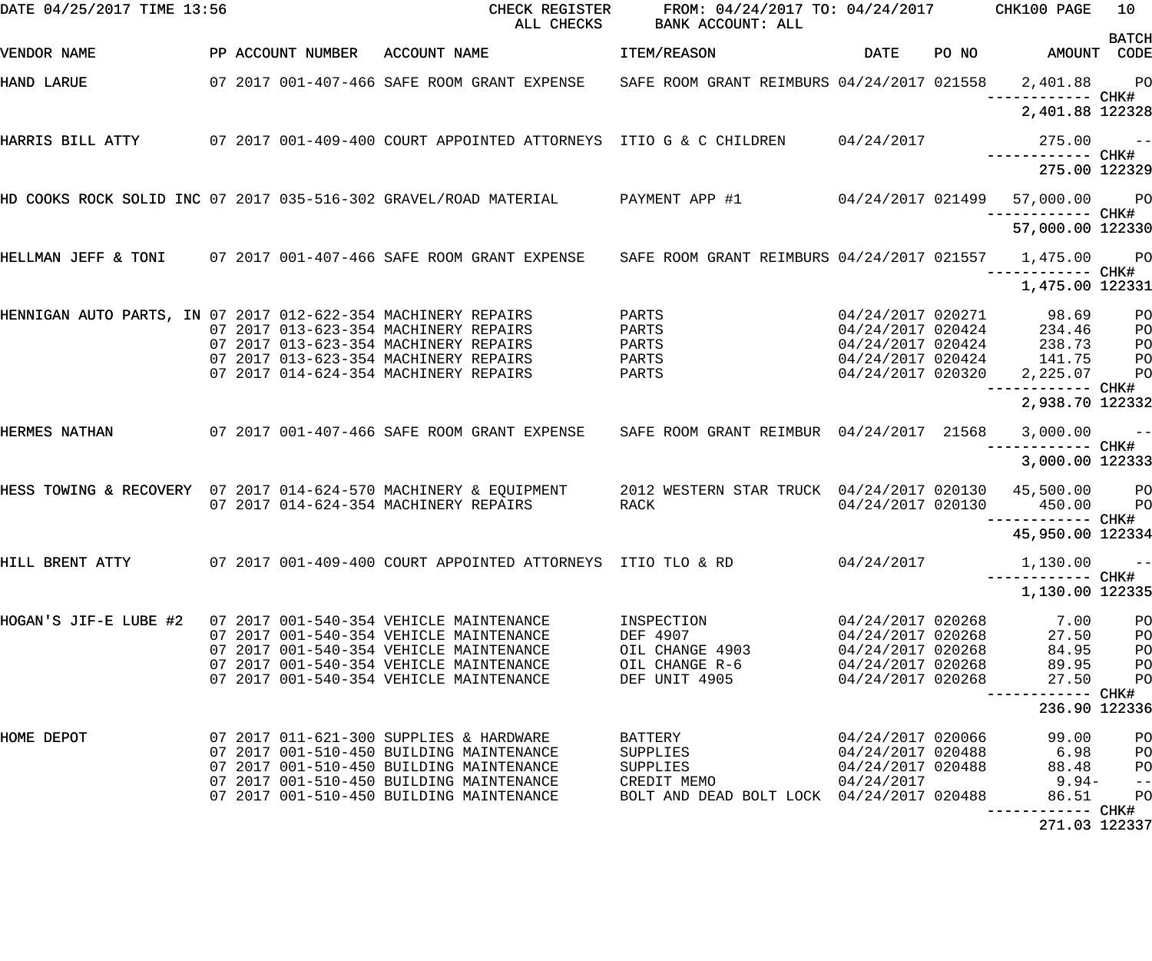| DATE 04/25/2017 TIME 13:56                                    |  |                   | CHECK REGISTER<br>ALL CHECKS                                                                                                                                     | FROM: 04/24/2017 TO: 04/24/2017 CHK100 PAGE<br>BANK ACCOUNT: ALL |                   |       |                                                                                                                                                               | 10<br><b>BATCH</b> |
|---------------------------------------------------------------|--|-------------------|------------------------------------------------------------------------------------------------------------------------------------------------------------------|------------------------------------------------------------------|-------------------|-------|---------------------------------------------------------------------------------------------------------------------------------------------------------------|--------------------|
| VENDOR NAME                                                   |  | PP ACCOUNT NUMBER | ACCOUNT NAME                                                                                                                                                     | ITEM/REASON                                                      | <b>DATE</b>       | PO NO | AMOUNT CODE                                                                                                                                                   |                    |
| <b>HAND LARUE</b>                                             |  |                   | 07 2017 001-407-466 SAFE ROOM GRANT EXPENSE SAFE ROOM GRANT REIMBURS 04/24/2017 021558 2,401.88 PO                                                               |                                                                  |                   |       |                                                                                                                                                               |                    |
|                                                               |  |                   |                                                                                                                                                                  |                                                                  |                   |       | 2,401.88 122328                                                                                                                                               |                    |
| HARRIS BILL ATTY                                              |  |                   | 07 2017 001-409-400 COURT APPOINTED ATTORNEYS ITIO G & C CHILDREN 04/24/2017                                                                                     |                                                                  |                   |       | $275.00 - -$<br>------------ CHK#                                                                                                                             |                    |
|                                                               |  |                   |                                                                                                                                                                  |                                                                  |                   |       | 275.00 122329                                                                                                                                                 |                    |
|                                                               |  |                   | HD COOKS ROCK SOLID INC 07 2017 035-516-302 GRAVEL/ROAD MATERIAL     PAYMENT APP #1       04/24/2017 021499                                                      |                                                                  |                   |       | 57,000.00 PO                                                                                                                                                  |                    |
|                                                               |  |                   |                                                                                                                                                                  |                                                                  |                   |       | 57,000.00 122330                                                                                                                                              |                    |
|                                                               |  |                   | HELLMAN JEFF & TONI 07 2017 001-407-466 SAFE ROOM GRANT EXPENSE SAFE ROOM GRANT REIMBURS 04/24/2017 021557 1,475.00 PO                                           |                                                                  |                   |       | —————————— CHK#                                                                                                                                               |                    |
|                                                               |  |                   |                                                                                                                                                                  |                                                                  |                   |       | 1,475.00 122331                                                                                                                                               |                    |
| HENNIGAN AUTO PARTS, IN 07 2017 012-622-354 MACHINERY REPAIRS |  |                   |                                                                                                                                                                  | PARTS                                                            |                   |       | $\begin{array}{llll} 04/24/2017 & 020271 & 98.69 \\ 04/24/2017 & 020424 & 234.46 \\ 04/24/2017 & 020424 & 238.73 \\ 04/24/2017 & 020424 & 141.75 \end{array}$ | PO                 |
|                                                               |  |                   | 07 2017 013-623-354 MACHINERY REPAIRS                                                                                                                            | PARTS                                                            |                   |       |                                                                                                                                                               | P <sub>O</sub>     |
|                                                               |  |                   | 07 2017 013-623-354 MACHINERY REPAIRS                                                                                                                            | PARTS                                                            |                   |       |                                                                                                                                                               | P <sub>O</sub>     |
|                                                               |  |                   | 07 2017 013-623-354 MACHINERY REPAIRS                                                                                                                            | PARTS                                                            |                   |       |                                                                                                                                                               | P <sub>O</sub>     |
|                                                               |  |                   | 07 2017 014-624-354 MACHINERY REPAIRS                                                                                                                            | PARTS                                                            | 04/24/2017 020320 |       | 2,225.07                                                                                                                                                      | P <sub>O</sub>     |
|                                                               |  |                   |                                                                                                                                                                  |                                                                  |                   |       | 2,938.70 122332                                                                                                                                               |                    |
| HERMES NATHAN                                                 |  |                   | 07 2017 001-407-466 SAFE ROOM GRANT EXPENSE                                                                                                                      | SAFE ROOM GRANT REIMBUR 04/24/2017 21568                         |                   |       | $3,000.00$ --<br>------------ CHK#                                                                                                                            |                    |
|                                                               |  |                   |                                                                                                                                                                  |                                                                  |                   |       | 3,000.00 122333                                                                                                                                               |                    |
|                                                               |  |                   | HESS TOWING & RECOVERY 07 2017 014-624-570 MACHINERY & EQUIPMENT 2012 WESTERN STAR TRUCK 04/24/2017 020130 45,500.00 PO<br>07 2017 014-624-354 MACHINERY REPAIRS | RACK                                                             | 04/24/2017 020130 |       | 450.00                                                                                                                                                        | <b>PO</b>          |
|                                                               |  |                   |                                                                                                                                                                  |                                                                  |                   |       |                                                                                                                                                               |                    |
|                                                               |  |                   |                                                                                                                                                                  |                                                                  |                   |       | 45,950.00 122334                                                                                                                                              |                    |
| HILL BRENT ATTY                                               |  |                   | 07  2017  001-409-400  COURT APPOINTED ATTORNEYS  ITIO  TLO & RD                                                                                                 |                                                                  | 04/24/2017        |       | 1,130.00                                                                                                                                                      | $ -$               |
|                                                               |  |                   |                                                                                                                                                                  |                                                                  |                   |       | 1,130.00 122335                                                                                                                                               |                    |
| HOGAN'S JIF-E LUBE #2                                         |  |                   | 07 2017 001-540-354 VEHICLE MAINTENANCE                                                                                                                          | INSPECTION                                                       | 04/24/2017 020268 |       | 7.00                                                                                                                                                          | PO                 |
|                                                               |  |                   | 07 2017 001-540-354 VEHICLE MAINTENANCE                                                                                                                          | DEF 4907                                                         | 04/24/2017 020268 |       | 27.50                                                                                                                                                         | PO                 |
|                                                               |  |                   | 07 2017 001-540-354 VEHICLE MAINTENANCE                                                                                                                          | OIL CHANGE 4903                                                  | 04/24/2017 020268 |       | 84.95                                                                                                                                                         | PO                 |
|                                                               |  |                   | 07 2017 001-540-354 VEHICLE MAINTENANCE                                                                                                                          | OIL CHANGE R-6                                                   | 04/24/2017 020268 |       | 89.95                                                                                                                                                         | PO                 |
|                                                               |  |                   | 07 2017 001-540-354 VEHICLE MAINTENANCE                                                                                                                          | DEF UNIT 4905                                                    | 04/24/2017 020268 |       | 27.50                                                                                                                                                         | PO                 |
|                                                               |  |                   |                                                                                                                                                                  |                                                                  |                   |       | 236.90 122336                                                                                                                                                 |                    |
| HOME DEPOT                                                    |  |                   | 07 2017 011-621-300 SUPPLIES & HARDWARE                                                                                                                          | BATTERY                                                          | 04/24/2017 020066 |       | 99.00                                                                                                                                                         | PO                 |
|                                                               |  |                   | 07 2017 001-510-450 BUILDING MAINTENANCE                                                                                                                         | SUPPLIES                                                         | 04/24/2017 020488 |       | 6.98                                                                                                                                                          | PO                 |
|                                                               |  |                   | 07 2017 001-510-450 BUILDING MAINTENANCE                                                                                                                         | SUPPLIES                                                         | 04/24/2017 020488 |       | 88.48                                                                                                                                                         | P <sub>O</sub>     |
|                                                               |  |                   | 07 2017 001-510-450 BUILDING MAINTENANCE                                                                                                                         | CREDIT MEMO                                                      | 04/24/2017        |       | 9.94-                                                                                                                                                         | $- -$              |
|                                                               |  |                   | 07 2017 001-510-450 BUILDING MAINTENANCE                                                                                                                         | BOLT AND DEAD BOLT LOCK 04/24/2017 020488                        |                   |       | 86.51<br>----------- CHK#                                                                                                                                     | PO                 |
|                                                               |  |                   |                                                                                                                                                                  |                                                                  |                   |       | 271.03 122337                                                                                                                                                 |                    |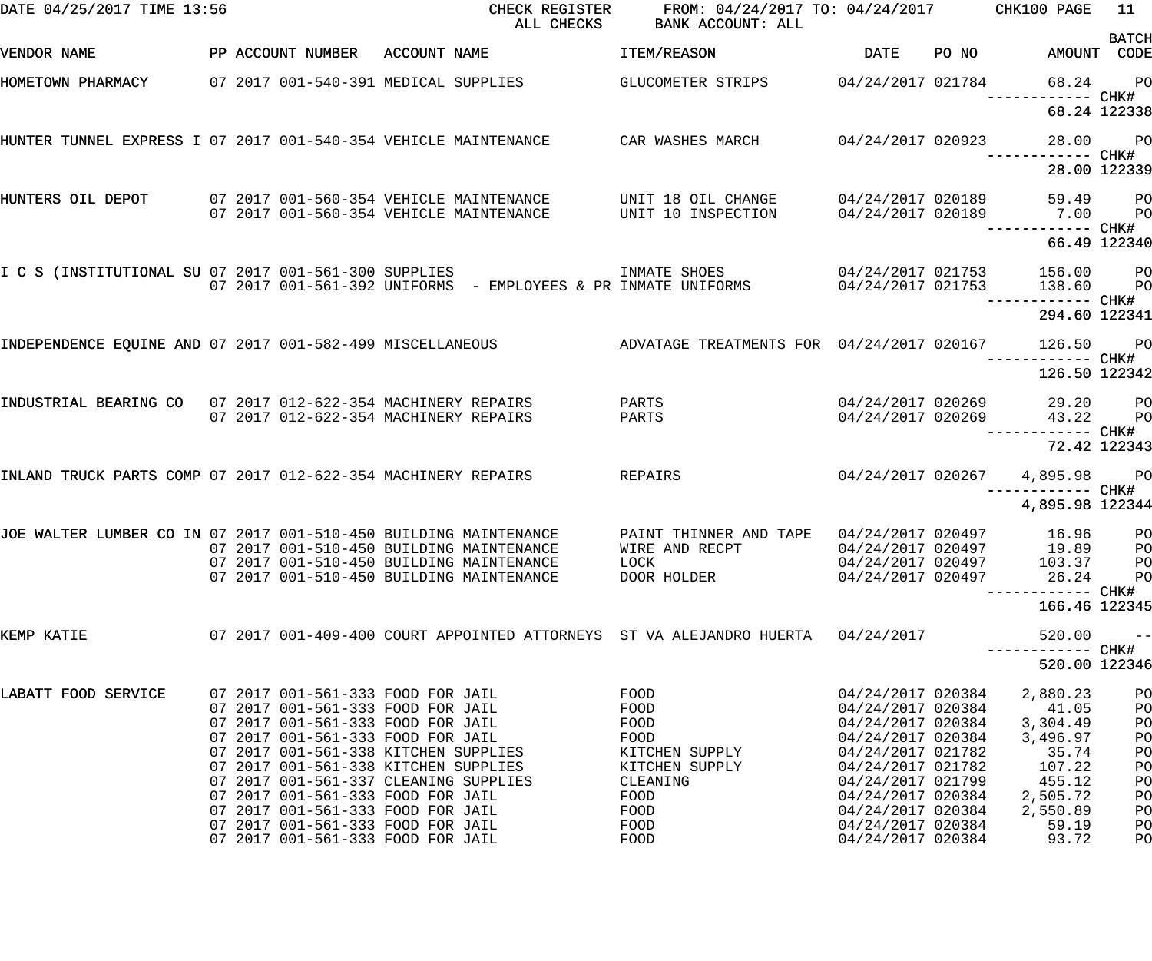| DATE 04/25/2017 TIME 13:56                                                                                   |  |                                                                              | CHECK REGISTER<br>ALL CHECKS             | FROM: 04/24/2017 TO: 04/24/2017 CHK100 PAGE<br>BANK ACCOUNT: ALL                                                                                                                                          |                                        |       |                                                                              | 11           |
|--------------------------------------------------------------------------------------------------------------|--|------------------------------------------------------------------------------|------------------------------------------|-----------------------------------------------------------------------------------------------------------------------------------------------------------------------------------------------------------|----------------------------------------|-------|------------------------------------------------------------------------------|--------------|
| VENDOR NAME                                                                                                  |  | PP ACCOUNT NUMBER ACCOUNT NAME                                               |                                          | ITEM/REASON                                                                                                                                                                                               | DATE                                   | PO NO | AMOUNT CODE                                                                  | <b>BATCH</b> |
|                                                                                                              |  |                                                                              |                                          | HOMETOWN PHARMACY     07 2017 001-540-391 MEDICAL SUPPLIES       GLUCOMETER STRIPS     04/24/2017 021784                                                                                                  |                                        |       | ------------ CHK#                                                            | 68.24 PO     |
|                                                                                                              |  |                                                                              |                                          |                                                                                                                                                                                                           |                                        |       |                                                                              | 68.24 122338 |
|                                                                                                              |  |                                                                              |                                          | HUNTER TUNNEL EXPRESS I 07 2017 001-540-354 VEHICLE MAINTENANCE         CAR WASHES MARCH         04/24/2017 020923                                                                                        |                                        |       | 28.00 PO                                                                     |              |
|                                                                                                              |  |                                                                              |                                          |                                                                                                                                                                                                           |                                        |       |                                                                              | 28.00 122339 |
|                                                                                                              |  | 07 2017 001-560-354 VEHICLE MAINTENANCE                                      |                                          | HUNTERS OIL DEPOT     07 2017 001-560-354 VEHICLE MAINTENANCE      UNIT 18 OIL CHANGE<br>UNIT 10 INSPECTION                                                                                               |                                        |       | 04/24/2017 020189 59.49 PO<br>04/24/2017 020189 7.00 PO<br>------------ CHK# |              |
|                                                                                                              |  |                                                                              |                                          |                                                                                                                                                                                                           |                                        |       |                                                                              | 66.49 122340 |
| I C S (INSTITUTIONAL SU 07 2017 001-561-300 SUPPLIES                                                         |  |                                                                              |                                          | 07 2017 001-561-300 SUPPLIES                         INMATE SHOES                       04/24/2017 021753<br>07 2017 001-561-392 UNIFORMS  - EMPLOYEES & PR INMATE UNIFORMS             04/24/2017 021753 |                                        |       | 156.00 PO<br>138.60<br>------------ CHK#                                     | <b>PO</b>    |
|                                                                                                              |  |                                                                              |                                          |                                                                                                                                                                                                           |                                        |       | 294.60 122341                                                                |              |
|                                                                                                              |  |                                                                              |                                          | INDEPENDENCE EQUINE AND 07 2017 001-582-499 MISCELLANEOUS ADVATAGE TREATMENTS FOR 04/24/2017 020167                                                                                                       |                                        |       | 126.50 PO                                                                    |              |
|                                                                                                              |  |                                                                              |                                          |                                                                                                                                                                                                           |                                        |       | 126.50 122342                                                                |              |
| INDUSTRIAL BEARING CO 07 2017 012-622-354 MACHINERY REPAIRS                                                  |  | 07 2017 012-622-354 MACHINERY REPAIRS                                        |                                          | PARTS<br>PARTS                                                                                                                                                                                            |                                        |       | 04/24/2017 020269 29.20 PO<br>04/24/2017 020269 43.22                        | <b>PO</b>    |
|                                                                                                              |  |                                                                              |                                          |                                                                                                                                                                                                           |                                        |       |                                                                              | 72.42 122343 |
| INLAND TRUCK PARTS COMP 07 2017 012-622-354 MACHINERY REPAIRS REPAIRS                                        |  |                                                                              |                                          |                                                                                                                                                                                                           |                                        |       | 04/24/2017 020267  4,895.98  PO<br>----------- CHK#                          |              |
|                                                                                                              |  |                                                                              |                                          |                                                                                                                                                                                                           |                                        |       | 4,895.98 122344                                                              |              |
| JOE WALTER LUMBER CO IN 07 2017 001-510-450 BUILDING MAINTENANCE<br>07 2017 001-510-450 BUILDING MAINTENANCE |  |                                                                              | 07 2017 001-510-450 BUILDING MAINTENANCE | PAINT THINNER AND TAPE 04/24/2017 020497<br>WIRE AND RECPT                                                                                                                                                | 04/24/2017 020497<br>04/24/2017 020497 |       | 16.96 PO<br>19.89 PO<br>103.37                                               |              |
|                                                                                                              |  |                                                                              | 07 2017 001-510-450 BUILDING MAINTENANCE | LOCK<br>DOOR HOLDER                                                                                                                                                                                       | 04/24/2017 020497                      |       | 26.24<br>------------ CHK#                                                   | PO<br>PO     |
|                                                                                                              |  |                                                                              |                                          |                                                                                                                                                                                                           |                                        |       | 166.46 122345                                                                |              |
| KEMP KATIE                                                                                                   |  |                                                                              |                                          | 07 2017 001-409-400 COURT APPOINTED ATTORNEYS ST VA ALEJANDRO HUERTA                                                                                                                                      | 04/24/2017                             |       | 520.00                                                                       | $- -$        |
|                                                                                                              |  |                                                                              |                                          |                                                                                                                                                                                                           |                                        |       | 520.00 122346                                                                |              |
| LABATT FOOD SERVICE                                                                                          |  | 07 2017 001-561-333 FOOD FOR JAIL<br>07 2017 001-561-333 FOOD FOR JAIL       |                                          | FOOD<br>FOOD                                                                                                                                                                                              | 04/24/2017 020384<br>04/24/2017 020384 |       | 2,880.23<br>41.05                                                            | PO<br>PO     |
|                                                                                                              |  | 07 2017 001-561-333 FOOD FOR JAIL<br>07 2017 001-561-333 FOOD FOR JAIL       |                                          | FOOD<br>FOOD                                                                                                                                                                                              | 04/24/2017 020384<br>04/24/2017 020384 |       | 3,304.49<br>3,496.97                                                         | PO<br>PO     |
|                                                                                                              |  | 07 2017 001-561-338 KITCHEN SUPPLIES<br>07 2017 001-561-338 KITCHEN SUPPLIES |                                          | KITCHEN SUPPLY<br>KITCHEN SUPPLY                                                                                                                                                                          | 04/24/2017 021782<br>04/24/2017 021782 |       | 35.74<br>107.22                                                              | PO<br>PO     |
|                                                                                                              |  | 07 2017 001-561-337 CLEANING SUPPLIES                                        |                                          | CLEANING                                                                                                                                                                                                  | 04/24/2017 021799                      |       | 455.12                                                                       | PO           |
|                                                                                                              |  | 07 2017 001-561-333 FOOD FOR JAIL                                            |                                          | FOOD                                                                                                                                                                                                      | 04/24/2017 020384                      |       | 2,505.72                                                                     | PO           |
|                                                                                                              |  | 07 2017 001-561-333 FOOD FOR JAIL<br>07 2017 001-561-333 FOOD FOR JAIL       |                                          | FOOD<br>FOOD                                                                                                                                                                                              | 04/24/2017 020384<br>04/24/2017 020384 |       | 2,550.89<br>59.19                                                            | PO           |
|                                                                                                              |  | 07 2017 001-561-333 FOOD FOR JAIL                                            |                                          | FOOD                                                                                                                                                                                                      | 04/24/2017 020384                      |       | 93.72                                                                        | PO<br>PO     |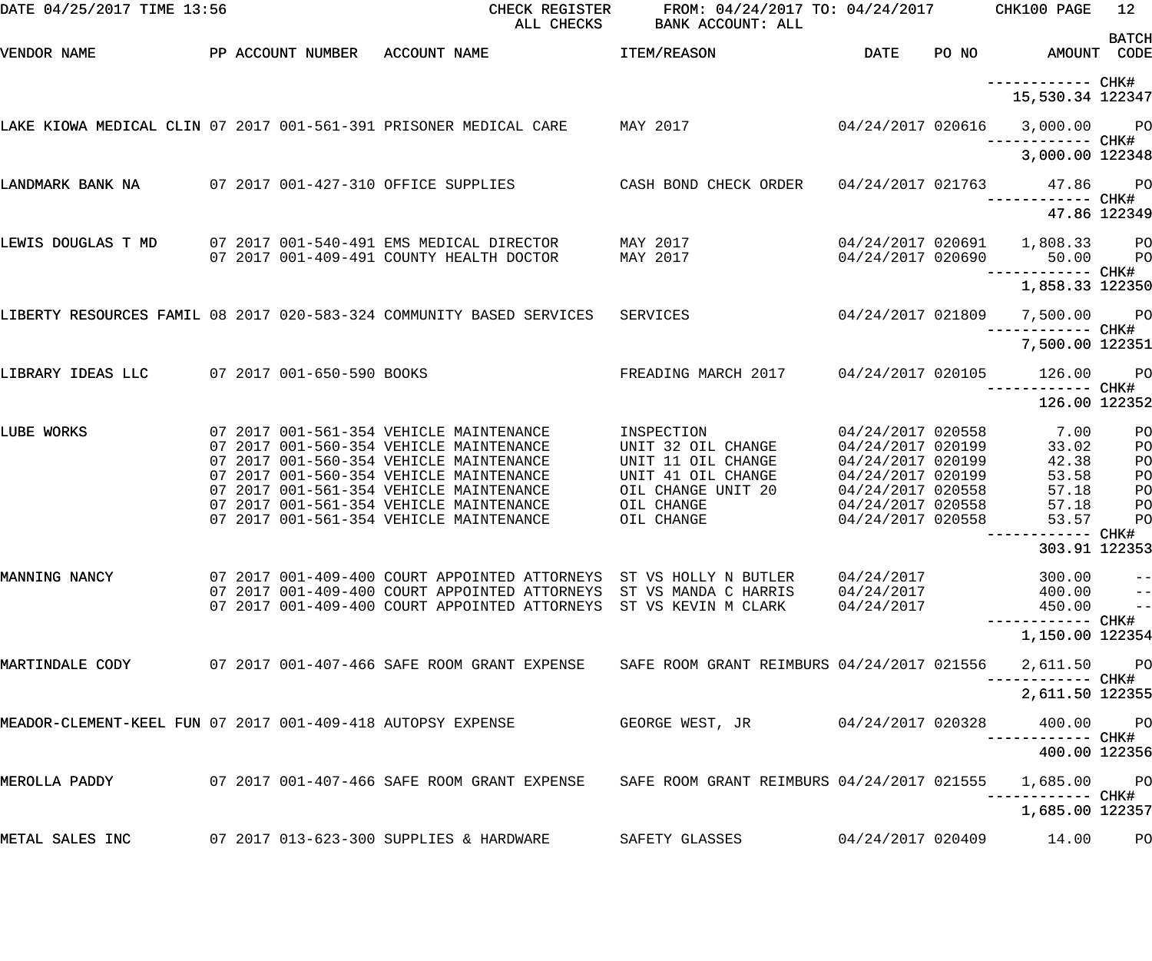| DATE 04/25/2017 TIME 13:56                                  |  | CHECK REGISTER<br>ALL CHECKS                                                                                                                                                                                  | FROM: 04/24/2017 TO: 04/24/2017 CHK100 PAGE<br>BANK ACCOUNT: ALL |                                                             |                                                  | 12             |
|-------------------------------------------------------------|--|---------------------------------------------------------------------------------------------------------------------------------------------------------------------------------------------------------------|------------------------------------------------------------------|-------------------------------------------------------------|--------------------------------------------------|----------------|
| VENDOR NAME                                                 |  | PP ACCOUNT NUMBER ACCOUNT NAME<br><b>TTEM/REASON</b>                                                                                                                                                          |                                                                  | <b>DATE</b>                                                 | PO NO AMOUNT CODE                                | <b>BATCH</b>   |
|                                                             |  |                                                                                                                                                                                                               |                                                                  |                                                             | 15,530.34 122347                                 |                |
|                                                             |  | LAKE KIOWA MEDICAL CLIN 07 2017 001-561-391 PRISONER MEDICAL CARE       MAY 2017                                                                                                                              |                                                                  |                                                             | 04/24/2017 020616 3,000.00 PO                    |                |
|                                                             |  |                                                                                                                                                                                                               |                                                                  |                                                             | 3,000.00 122348                                  |                |
|                                                             |  | LANDMARK BANK NA 2017 001-427-310 OFFICE SUPPLIES CASH BOND CHECK ORDER 04/24/2017 021763 47.86 PO                                                                                                            |                                                                  |                                                             |                                                  | 47.86 122349   |
|                                                             |  | LEWIS DOUGLAS T MD 07 2017 001-540-491 EMS MEDICAL DIRECTOR MAY 2017                                                                                                                                          |                                                                  |                                                             | 04/24/2017 020691  1,808.33  PO                  |                |
|                                                             |  | 07 2017 001-409-491 COUNTY HEALTH DOCTOR MAY 2017                                                                                                                                                             |                                                                  |                                                             | 04/24/2017 020690 50.00 PO                       |                |
|                                                             |  | LIBERTY RESOURCES FAMIL 08 2017 020-583-324 COMMUNITY BASED SERVICES SERVICES                                                                                                                                 |                                                                  |                                                             | 1,858.33 122350<br>04/24/2017 021809 7,500.00 PO |                |
|                                                             |  |                                                                                                                                                                                                               |                                                                  |                                                             | ------------ CHK#<br>7,500.00 122351             |                |
| LIBRARY IDEAS LLC 07 2017 001-650-590 BOOKS                 |  |                                                                                                                                                                                                               |                                                                  |                                                             | ------------ CHK#                                |                |
|                                                             |  |                                                                                                                                                                                                               |                                                                  |                                                             | 126.00 122352                                    |                |
| LUBE WORKS                                                  |  | 07 2017 001-561-354 VEHICLE MAINTENANCE<br>07 2017 001-560-354 VEHICLE MAINTENANCE<br>07 2017 001-560-354 VEHICLE MAINTENANCE                                                                                 | INSPECTION<br>UNIT 32 OIL CHANGE<br>UNIT 11 OIL CHANGE           | 04/24/2017 020558<br>04/24/2017 020199<br>04/24/2017 020199 | 7.00<br>33.02<br>42.38                           | PO<br>PO<br>PO |
|                                                             |  | 07 2017 001-560-354 VEHICLE MAINTENANCE<br>07 2017 001-561-354 VEHICLE MAINTENANCE<br>07 2017 001-561-354 VEHICLE MAINTENANCE                                                                                 | UNIT 41 OIL CHANGE<br>OIL CHANGE UNIT 20<br>OIL CHANGE           | 04/24/2017 020199<br>04/24/2017 020558<br>04/24/2017 020558 | 53.58<br>57.18<br>57.18                          | PO<br>PO<br>PO |
|                                                             |  | 07 2017 001-561-354 VEHICLE MAINTENANCE                                                                                                                                                                       | OIL CHANGE                                                       | 04/24/2017 020558                                           | 53.57<br>---------- CHK#                         | PO             |
|                                                             |  |                                                                                                                                                                                                               |                                                                  |                                                             | 303.91 122353                                    |                |
| MANNING NANCY                                               |  | 07 2017 001-409-400 COURT APPOINTED ATTORNEYS ST VS HOLLY N BUTLER<br>07 2017 001-409-400 COURT APPOINTED ATTORNEYS ST VS MANDA C HARRIS<br>07 2017 001-409-400 COURT APPOINTED ATTORNEYS ST VS KEVIN M CLARK |                                                                  | 04/24/2017<br>04/24/2017<br>04/24/2017                      | 300.00<br>$400.00$ --<br>$450.00$ --             | $-$            |
|                                                             |  |                                                                                                                                                                                                               |                                                                  |                                                             | 1,150.00 122354                                  |                |
| MARTINDALE CODY                                             |  | 07 2017 001-407-466 SAFE ROOM GRANT EXPENSE SAFE ROOM GRANT REIMBURS 04/24/2017 021556                                                                                                                        |                                                                  |                                                             | 2,611.50 PO<br>----------- CHK#                  |                |
|                                                             |  |                                                                                                                                                                                                               |                                                                  |                                                             | 2,611.50 122355                                  |                |
| MEADOR-CLEMENT-KEEL FUN 07 2017 001-409-418 AUTOPSY EXPENSE |  |                                                                                                                                                                                                               | GEORGE WEST, JR                                                  | 04/24/2017 020328                                           | 400.00 PO<br>-----------  CHK#<br>400.00 122356  |                |
| MEROLLA PADDY                                               |  | 07 2017 001-407-466 SAFE ROOM GRANT EXPENSE     SAFE ROOM GRANT REIMBURS 04/24/2017 021555                                                                                                                    |                                                                  |                                                             | 1,685.00 PO                                      |                |
|                                                             |  |                                                                                                                                                                                                               |                                                                  |                                                             | 1,685.00 122357                                  |                |
| METAL SALES INC                                             |  | 07 2017 013-623-300 SUPPLIES & HARDWARE                                                                                                                                                                       | SAFETY GLASSES                                                   | 04/24/2017 020409                                           | 14.00                                            | PО             |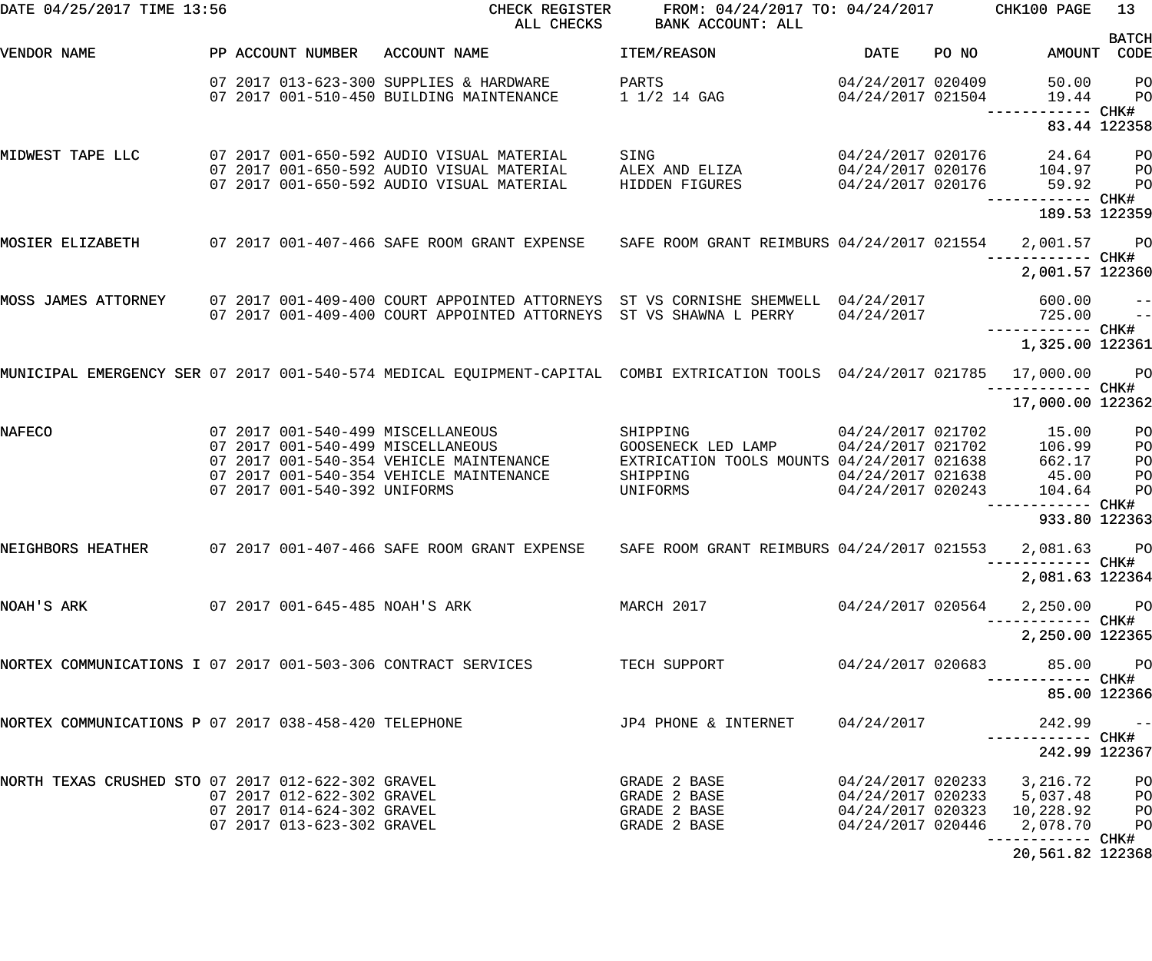| DATE 04/25/2017 TIME 13:56                                    |  |                                | CHECK REGISTER<br>ALL CHECKS                                                                                              | FROM: 04/24/2017 TO: 04/24/2017 CHK100 PAGE<br>BANK ACCOUNT: ALL |                   |       |                                      | 13                       |
|---------------------------------------------------------------|--|--------------------------------|---------------------------------------------------------------------------------------------------------------------------|------------------------------------------------------------------|-------------------|-------|--------------------------------------|--------------------------|
| <b>VENDOR NAME</b>                                            |  |                                | PP ACCOUNT NUMBER ACCOUNT NAME                                                                                            | ITEM/REASON                                                      | DATE              | PO NO | AMOUNT                               | <b>BATCH</b><br>CODE     |
|                                                               |  |                                |                                                                                                                           |                                                                  |                   |       |                                      |                          |
|                                                               |  |                                | 07 2017 013-623-300 SUPPLIES & HARDWARE                                                                                   | PARTS                                                            | 04/24/2017 020409 |       | 50.00                                | P <sub>O</sub>           |
|                                                               |  |                                | 07 2017 001-510-450 BUILDING MAINTENANCE                                                                                  | 1 1/2 14 GAG                                                     | 04/24/2017 021504 |       | 19.44                                | P <sub>O</sub>           |
|                                                               |  |                                |                                                                                                                           |                                                                  |                   |       | ------ CHK#                          |                          |
|                                                               |  |                                |                                                                                                                           |                                                                  |                   |       |                                      | 83.44 122358             |
| MIDWEST TAPE LLC                                              |  |                                | 07 2017 001-650-592 AUDIO VISUAL MATERIAL                                                                                 | SING                                                             |                   |       | 04/24/2017 020176 24.64              | PO <sub>1</sub>          |
|                                                               |  |                                | 07 2017 001-650-592 AUDIO VISUAL MATERIAL                                                                                 | ALEX AND ELIZA                                                   |                   |       | 04/24/2017 020176 104.97             | P <sub>O</sub>           |
|                                                               |  |                                | 07 2017 001-650-592 AUDIO VISUAL MATERIAL                                                                                 | HIDDEN FIGURES                                                   | 04/24/2017 020176 |       | 59.92                                | PO                       |
|                                                               |  |                                |                                                                                                                           |                                                                  |                   |       | 189.53 122359                        |                          |
|                                                               |  |                                |                                                                                                                           |                                                                  |                   |       |                                      |                          |
| MOSIER ELIZABETH                                              |  |                                | 07 2017 001-407-466 SAFE ROOM GRANT EXPENSE SAFE ROOM GRANT REIMBURS 04/24/2017 021554                                    |                                                                  |                   |       | 2,001.57                             | <b>PO</b>                |
|                                                               |  |                                |                                                                                                                           |                                                                  |                   |       | ------------ CHK#<br>2,001.57 122360 |                          |
|                                                               |  |                                |                                                                                                                           |                                                                  |                   |       |                                      |                          |
| MOSS JAMES ATTORNEY                                           |  |                                | 07 2017 001-409-400 COURT APPOINTED ATTORNEYS ST VS CORNISHE SHEMWELL 04/24/2017                                          |                                                                  |                   |       | 600.00                               | $\overline{\phantom{a}}$ |
|                                                               |  |                                | 07 2017 001-409-400 COURT APPOINTED ATTORNEYS ST VS SHAWNA L PERRY                                                        |                                                                  | 04/24/2017        |       | 725.00                               | $\overline{a}$           |
|                                                               |  |                                |                                                                                                                           |                                                                  |                   |       |                                      |                          |
|                                                               |  |                                |                                                                                                                           |                                                                  |                   |       | 1,325.00 122361                      |                          |
|                                                               |  |                                | MUNICIPAL EMERGENCY SER 07 2017 001-540-574 MEDICAL EQUIPMENT-CAPITAL COMBI EXTRICATION TOOLS 04/24/2017 021785 17,000.00 |                                                                  |                   |       |                                      | PO <sub>1</sub>          |
|                                                               |  |                                |                                                                                                                           |                                                                  |                   |       |                                      |                          |
|                                                               |  |                                |                                                                                                                           |                                                                  |                   |       | 17,000.00 122362                     |                          |
| <b>NAFECO</b>                                                 |  |                                | 07 2017 001-540-499 MISCELLANEOUS                                                                                         | SHIPPING                                                         | 04/24/2017 021702 |       | 15.00                                | P <sub>O</sub>           |
|                                                               |  |                                | 07 2017 001-540-499 MISCELLANEOUS                                                                                         | GOOSENECK LED LAMP                                               | 04/24/2017 021702 |       | 106.99                               | PO                       |
|                                                               |  |                                | 07 2017 001-540-354 VEHICLE MAINTENANCE                                                                                   | EXTRICATION TOOLS MOUNTS 04/24/2017 021638                       |                   |       | 662.17                               | PO                       |
|                                                               |  |                                | 07 2017 001-540-354 VEHICLE MAINTENANCE                                                                                   | SHIPPING                                                         | 04/24/2017 021638 |       | 45.00                                | PO                       |
|                                                               |  | 07 2017 001-540-392 UNIFORMS   |                                                                                                                           | UNIFORMS                                                         | 04/24/2017 020243 |       | 104.64                               | P <sub>O</sub>           |
|                                                               |  |                                |                                                                                                                           |                                                                  |                   |       | 933.80 122363                        |                          |
|                                                               |  |                                |                                                                                                                           |                                                                  |                   |       |                                      |                          |
|                                                               |  |                                | NEIGHBORS HEATHER 607 2017 001-407-466 SAFE ROOM GRANT EXPENSE 6 SAFE ROOM GRANT REIMBURS 04/24/2017 021553 2,081.63 PO   |                                                                  |                   |       |                                      |                          |
|                                                               |  |                                |                                                                                                                           |                                                                  |                   |       | 2,081.63 122364                      |                          |
|                                                               |  |                                |                                                                                                                           |                                                                  |                   |       |                                      |                          |
| NOAH'S ARK                                                    |  | 07 2017 001-645-485 NOAH'S ARK |                                                                                                                           | MARCH 2017                                                       | 04/24/2017 020564 |       | 2,250.00 PO                          |                          |
|                                                               |  |                                |                                                                                                                           |                                                                  |                   |       | 2,250.00 122365                      |                          |
|                                                               |  |                                |                                                                                                                           |                                                                  |                   |       |                                      |                          |
| NORTEX COMMUNICATIONS I 07 2017 001-503-306 CONTRACT SERVICES |  |                                |                                                                                                                           | TECH SUPPORT                                                     | 04/24/2017 020683 |       | 85.00 PO                             |                          |
|                                                               |  |                                |                                                                                                                           |                                                                  |                   |       | ----------- CHK#                     |                          |
|                                                               |  |                                |                                                                                                                           |                                                                  |                   |       | 85.00 122366                         |                          |
| NORTEX COMMUNICATIONS P 07 2017 038-458-420 TELEPHONE         |  |                                |                                                                                                                           | JP4 PHONE & INTERNET                                             | 04/24/2017        |       | 242.99                               | $\sim$ $-$               |
|                                                               |  |                                |                                                                                                                           |                                                                  |                   |       |                                      |                          |
|                                                               |  |                                |                                                                                                                           |                                                                  |                   |       | 242.99 122367                        |                          |
| NORTH TEXAS CRUSHED STO 07 2017 012-622-302 GRAVEL            |  |                                |                                                                                                                           | GRADE 2 BASE                                                     |                   |       | 04/24/2017 020233 3,216.72           | P <sub>O</sub>           |
|                                                               |  | 07 2017 012-622-302 GRAVEL     |                                                                                                                           | GRADE 2 BASE                                                     |                   |       | 04/24/2017 020233 5,037.48           | P <sub>O</sub>           |
|                                                               |  | 07 2017 014-624-302 GRAVEL     |                                                                                                                           | GRADE 2 BASE                                                     | 04/24/2017 020323 |       | 10,228.92                            | P <sub>O</sub>           |
|                                                               |  | 07 2017 013-623-302 GRAVEL     |                                                                                                                           | GRADE 2 BASE                                                     | 04/24/2017 020446 |       | 2,078.70                             | P <sub>O</sub>           |
|                                                               |  |                                |                                                                                                                           |                                                                  |                   |       | 20,561.82 122368                     |                          |
|                                                               |  |                                |                                                                                                                           |                                                                  |                   |       |                                      |                          |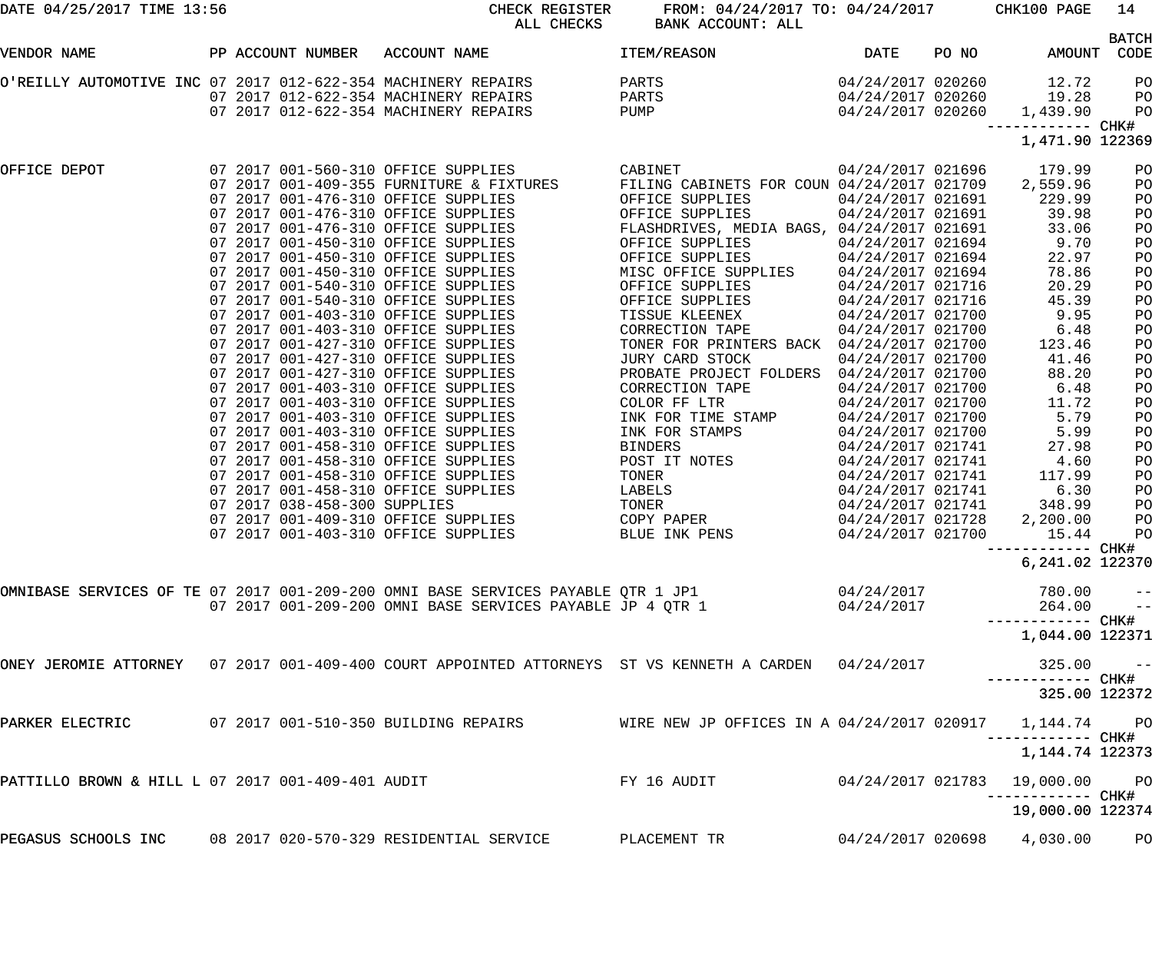| DATE 04/25/2017 TIME 13:56                        |  |                              | CHECK REGISTER<br>ALL CHECKS                                                                          | FROM: 04/24/2017 TO: 04/24/2017<br>BANK ACCOUNT: ALL   |                   |       | CHK100 PAGE                | 14                   |
|---------------------------------------------------|--|------------------------------|-------------------------------------------------------------------------------------------------------|--------------------------------------------------------|-------------------|-------|----------------------------|----------------------|
| VENDOR NAME                                       |  | PP ACCOUNT NUMBER            | ACCOUNT NAME                                                                                          | ITEM/REASON                                            | <b>DATE</b>       | PO NO | AMOUNT                     | <b>BATCH</b><br>CODE |
|                                                   |  |                              | O'REILLY AUTOMOTIVE INC 07 2017 012-622-354 MACHINERY REPAIRS                                         | PARTS                                                  | 04/24/2017 020260 |       | 12.72                      | PO                   |
|                                                   |  |                              | 07 2017 012-622-354 MACHINERY REPAIRS                                                                 | PARTS                                                  | 04/24/2017 020260 |       | 19.28                      | PO                   |
|                                                   |  |                              | 07 2017 012-622-354 MACHINERY REPAIRS                                                                 | PUMP                                                   | 04/24/2017 020260 |       | 1,439.90                   | PO                   |
|                                                   |  |                              |                                                                                                       |                                                        |                   |       | -––––––– CHK#              |                      |
|                                                   |  |                              |                                                                                                       |                                                        |                   |       | 1,471.90 122369            |                      |
| OFFICE DEPOT                                      |  |                              | 07 2017 001-560-310 OFFICE SUPPLIES                                                                   | CABINET                                                | 04/24/2017 021696 |       | 179.99                     | PO                   |
|                                                   |  |                              | 07 2017 001-409-355 FURNITURE & FIXTURES                                                              | FILING CABINETS FOR COUN 04/24/2017 021709             |                   |       | 2,559.96                   | PO                   |
|                                                   |  |                              | 07 2017 001-476-310 OFFICE SUPPLIES                                                                   | OFFICE SUPPLIES                                        | 04/24/2017 021691 |       | 229.99                     | PO                   |
|                                                   |  |                              | 07 2017 001-476-310 OFFICE SUPPLIES                                                                   | OFFICE SUPPLIES                                        | 04/24/2017 021691 |       | 39.98                      | PO                   |
|                                                   |  |                              | 07 2017 001-476-310 OFFICE SUPPLIES                                                                   | FLASHDRIVES, MEDIA BAGS, 04/24/2017 021691             |                   |       | 33.06                      | PO                   |
|                                                   |  |                              | 07 2017 001-450-310 OFFICE SUPPLIES                                                                   | OFFICE SUPPLIES                                        | 04/24/2017 021694 |       | 9.70                       | PO                   |
|                                                   |  |                              | 07 2017 001-450-310 OFFICE SUPPLIES                                                                   | OFFICE SUPPLIES                                        | 04/24/2017 021694 |       | 22.97                      | PO                   |
|                                                   |  |                              | 07 2017 001-450-310 OFFICE SUPPLIES                                                                   | MISC OFFICE SUPPLIES                                   | 04/24/2017 021694 |       | 78.86                      | PO                   |
|                                                   |  |                              | 07 2017 001-540-310 OFFICE SUPPLIES                                                                   | OFFICE SUPPLIES                                        | 04/24/2017 021716 |       | 20.29                      | PO                   |
|                                                   |  |                              | 07 2017 001-540-310 OFFICE SUPPLIES                                                                   | OFFICE SUPPLIES                                        | 04/24/2017 021716 |       | 45.39                      | PO                   |
|                                                   |  |                              | 07 2017 001-403-310 OFFICE SUPPLIES                                                                   | TISSUE KLEENEX                                         | 04/24/2017 021700 |       | 9.95                       | PO                   |
|                                                   |  |                              | 07 2017 001-403-310 OFFICE SUPPLIES                                                                   | CORRECTION TAPE                                        | 04/24/2017 021700 |       | 6.48                       | PO                   |
|                                                   |  |                              | 07 2017 001-427-310 OFFICE SUPPLIES                                                                   | TONER FOR PRINTERS BACK 04/24/2017 021700              |                   |       | 123.46                     | PO                   |
|                                                   |  |                              | 07 2017 001-427-310 OFFICE SUPPLIES                                                                   | JURY CARD STOCK                                        | 04/24/2017 021700 |       | 41.46                      | PO                   |
|                                                   |  |                              | 07 2017 001-427-310 OFFICE SUPPLIES                                                                   | PROBATE PROJECT FOLDERS 04/24/2017 021700              |                   |       | 88.20                      | PO                   |
|                                                   |  |                              | 07 2017 001-403-310 OFFICE SUPPLIES                                                                   | CORRECTION TAPE                                        | 04/24/2017 021700 |       | 6.48                       | PO                   |
|                                                   |  |                              | 07 2017 001-403-310 OFFICE SUPPLIES                                                                   | COLOR FF LTR                                           | 04/24/2017 021700 |       | 11.72                      | PO                   |
|                                                   |  |                              | 07 2017 001-403-310 OFFICE SUPPLIES                                                                   | INK FOR TIME STAMP                                     | 04/24/2017 021700 |       | 5.79                       | PO                   |
|                                                   |  |                              | 07 2017 001-403-310 OFFICE SUPPLIES                                                                   | INK FOR STAMPS                                         | 04/24/2017 021700 |       | 5.99                       | PO                   |
|                                                   |  |                              | 07 2017 001-458-310 OFFICE SUPPLIES                                                                   | <b>BINDERS</b>                                         | 04/24/2017 021741 |       | 27.98                      | PO                   |
|                                                   |  |                              | 07 2017 001-458-310 OFFICE SUPPLIES                                                                   | POST IT NOTES                                          | 04/24/2017 021741 |       | 4.60                       | PO                   |
|                                                   |  |                              | 07 2017 001-458-310 OFFICE SUPPLIES                                                                   | TONER                                                  | 04/24/2017 021741 |       | 117.99                     | PO                   |
|                                                   |  |                              | 07 2017 001-458-310 OFFICE SUPPLIES                                                                   | LABELS                                                 | 04/24/2017 021741 |       | 6.30                       | PO                   |
|                                                   |  |                              |                                                                                                       |                                                        |                   |       |                            |                      |
|                                                   |  | 07 2017 038-458-300 SUPPLIES |                                                                                                       | TONER                                                  | 04/24/2017 021741 |       | 348.99                     | PO                   |
|                                                   |  |                              | 07 2017 001-409-310 OFFICE SUPPLIES                                                                   | COPY PAPER                                             | 04/24/2017 021728 |       | 2,200.00                   | PO                   |
|                                                   |  |                              | 07 2017 001-403-310 OFFICE SUPPLIES                                                                   | BLUE INK PENS                                          | 04/24/2017 021700 |       | 15.44                      | PO                   |
|                                                   |  |                              |                                                                                                       |                                                        |                   |       |                            |                      |
|                                                   |  |                              |                                                                                                       |                                                        |                   |       | 6, 241.02 122370           |                      |
|                                                   |  |                              | OMNIBASE SERVICES OF TE 07 2017 001-209-200 OMNI BASE SERVICES PAYABLE QTR 1 JP1                      |                                                        | 04/24/2017        |       |                            |                      |
|                                                   |  |                              | 07 2017 001-209-200 OMNI BASE SERVICES PAYABLE JP 4 OTR 1                                             |                                                        | 04/24/2017        |       | 780.00 −−<br>264.00 −−     |                      |
|                                                   |  |                              |                                                                                                       |                                                        |                   |       |                            |                      |
|                                                   |  |                              |                                                                                                       |                                                        |                   |       | 1,044.00 122371            |                      |
|                                                   |  |                              | ONEY JEROMIE ATTORNEY 07 2017 001-409-400 COURT APPOINTED ATTORNEYS ST VS KENNETH A CARDEN 04/24/2017 |                                                        |                   |       | $325.00 - -$               |                      |
|                                                   |  |                              |                                                                                                       |                                                        |                   |       | 325.00 122372              |                      |
|                                                   |  |                              |                                                                                                       | WIRE NEW JP OFFICES IN A 04/24/2017 020917 1,144.74 PO |                   |       |                            |                      |
|                                                   |  |                              |                                                                                                       |                                                        |                   |       | 1,144.74 122373            |                      |
|                                                   |  |                              |                                                                                                       |                                                        |                   |       |                            |                      |
| PATTILLO BROWN & HILL L 07 2017 001-409-401 AUDIT |  |                              |                                                                                                       | FY 16 AUDIT                                            | 04/24/2017 021783 |       | 19,000.00 PO               |                      |
|                                                   |  |                              |                                                                                                       |                                                        |                   |       | 19,000.00 122374           |                      |
|                                                   |  |                              |                                                                                                       |                                                        |                   |       |                            |                      |
|                                                   |  |                              | PEGASUS SCHOOLS INC 08 2017 020-570-329 RESIDENTIAL SERVICE PLACEMENT TR                              |                                                        |                   |       | 04/24/2017 020698 4,030.00 | $P$ O                |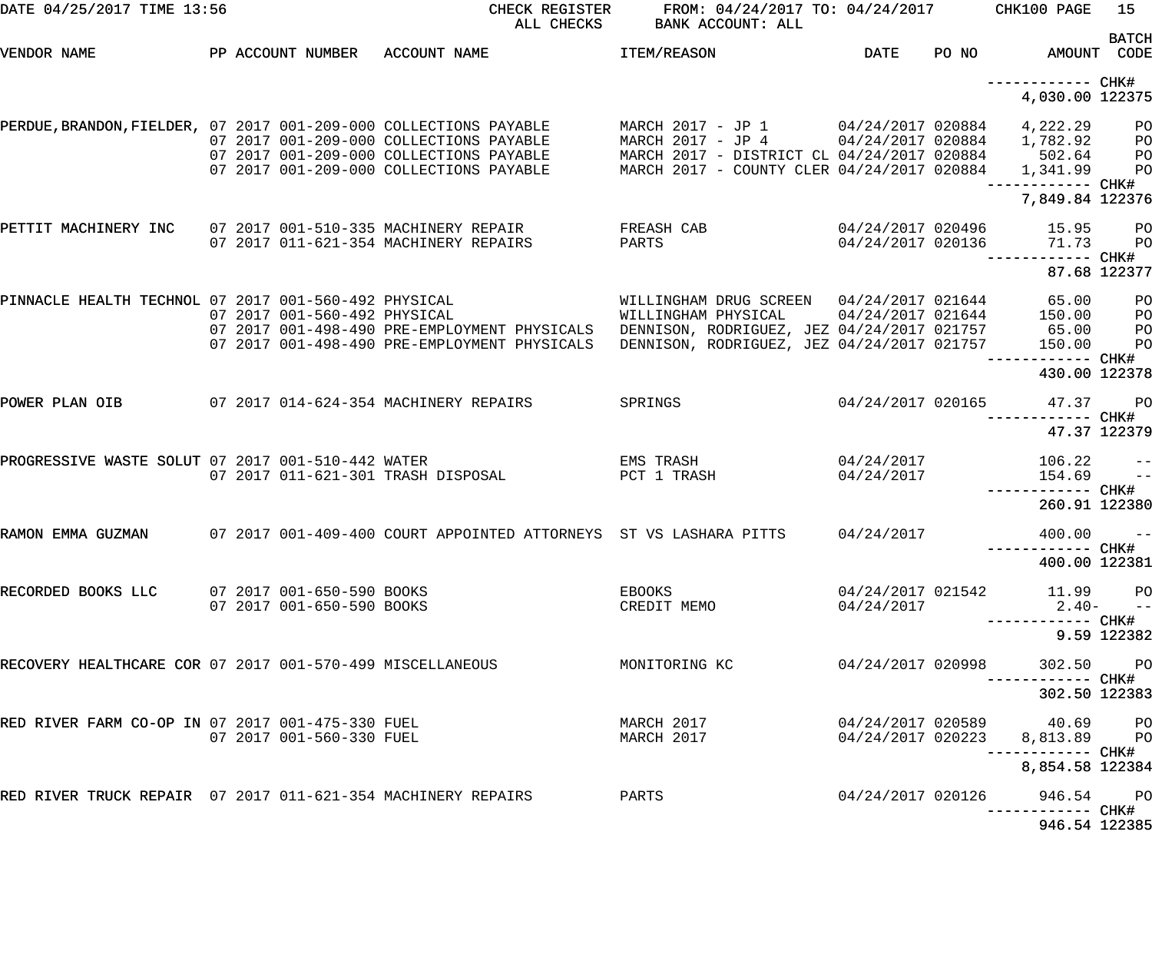| DATE 04/25/2017 TIME 13:56                                        |  |                              |                                                                                                                               | CHECK REGISTER<br>ALL CHECKS                                                                 | FROM: 04/24/2017 TO: 04/24/2017 CHK100 PAGE<br>BANK ACCOUNT: ALL                                                                                                       |                                        |       |                                                             | 15                               |
|-------------------------------------------------------------------|--|------------------------------|-------------------------------------------------------------------------------------------------------------------------------|----------------------------------------------------------------------------------------------|------------------------------------------------------------------------------------------------------------------------------------------------------------------------|----------------------------------------|-------|-------------------------------------------------------------|----------------------------------|
| VENDOR NAME                                                       |  |                              | PP ACCOUNT NUMBER ACCOUNT NAME                                                                                                |                                                                                              | ITEM/REASON                                                                                                                                                            | DATE                                   | PO NO | AMOUNT CODE                                                 | <b>BATCH</b>                     |
|                                                                   |  |                              |                                                                                                                               |                                                                                              |                                                                                                                                                                        |                                        |       | ------------ CHK#<br>4,030.00 122375                        |                                  |
| PERDUE, BRANDON, FIELDER, 07 2017 001-209-000 COLLECTIONS PAYABLE |  |                              | 07 2017 001-209-000 COLLECTIONS PAYABLE<br>07 2017 001-209-000 COLLECTIONS PAYABLE<br>07 2017 001-209-000 COLLECTIONS PAYABLE |                                                                                              | MARCH 2017 - JP 1 04/24/2017 020884<br>MARCH 2017 - JP 4 04/24/2017 020884<br>MARCH 2017 - DISTRICT CL 04/24/2017 020884<br>MARCH 2017 - COUNTY CLER 04/24/2017 020884 |                                        |       | 4,222.29<br>1,782.92<br>502.64<br>1,341.99                  | PО<br>PО<br>PО<br>PO             |
| PETTIT MACHINERY INC                                              |  |                              | 07 2017 011-621-354 MACHINERY REPAIRS                                                                                         | 07 2017 001-510-335 MACHINERY REPAIR                                                         | FREASH CAB<br>PARTS                                                                                                                                                    | 04/24/2017 020496<br>04/24/2017 020136 |       | 7,849.84 122376<br>15.95<br>71.73                           | PО<br>P <sub>O</sub>             |
|                                                                   |  |                              |                                                                                                                               |                                                                                              |                                                                                                                                                                        |                                        |       | 87.68 122377                                                |                                  |
| PINNACLE HEALTH TECHNOL 07 2017 001-560-492 PHYSICAL              |  | 07 2017 001-560-492 PHYSICAL |                                                                                                                               | 07 2017 001-498-490 PRE-EMPLOYMENT PHYSICALS<br>07 2017 001-498-490 PRE-EMPLOYMENT PHYSICALS | DENNISON, RODRIGUEZ, JEZ 04/24/2017 021757<br>DENNISON, RODRIGUEZ, JEZ 04/24/2017 021757                                                                               |                                        |       | 65.00<br>150.00<br>65.00<br>150.00                          | PО<br>PО<br>PО<br>P <sub>O</sub> |
|                                                                   |  |                              |                                                                                                                               |                                                                                              |                                                                                                                                                                        |                                        |       | 430.00 122378                                               |                                  |
| POWER PLAN OIB                                                    |  |                              | 07 2017 014-624-354 MACHINERY REPAIRS                                                                                         |                                                                                              | SPRINGS                                                                                                                                                                | 04/24/2017 020165                      |       | 47.37<br>47.37 122379                                       | <b>PO</b>                        |
| PROGRESSIVE WASTE SOLUT 07 2017 001-510-442 WATER                 |  |                              | 07 2017 011-621-301 TRASH DISPOSAL                                                                                            |                                                                                              | EMS TRASH<br>PCT 1 TRASH                                                                                                                                               | 04/24/2017<br>04/24/2017               |       | 106.22<br>154.69                                            | $ -$<br>$\sim$ $-$               |
|                                                                   |  |                              |                                                                                                                               |                                                                                              |                                                                                                                                                                        |                                        |       | 260.91 122380                                               |                                  |
| RAMON EMMA GUZMAN                                                 |  |                              |                                                                                                                               |                                                                                              | 07 2017 001-409-400 COURT APPOINTED ATTORNEYS ST VS LASHARA PITTS                                                                                                      | 04/24/2017                             |       | 400.00<br>400.00 122381                                     | $\qquad \qquad -$                |
| RECORDED BOOKS LLC 07 2017 001-650-590 BOOKS                      |  | 07 2017 001-650-590 BOOKS    |                                                                                                                               |                                                                                              | EBOOKS<br>CREDIT MEMO                                                                                                                                                  | 04/24/2017                             |       | 04/24/2017 021542 11.99 PO<br>$2.40-$ --                    |                                  |
|                                                                   |  |                              |                                                                                                                               |                                                                                              |                                                                                                                                                                        |                                        |       | ----------- CHK#                                            | 9.59 122382                      |
| RECOVERY HEALTHCARE COR 07 2017 001-570-499 MISCELLANEOUS         |  |                              |                                                                                                                               |                                                                                              | MONITORING KC                                                                                                                                                          | 04/24/2017 020998                      |       | 302.50 PO                                                   |                                  |
|                                                                   |  |                              |                                                                                                                               |                                                                                              |                                                                                                                                                                        |                                        |       | 302.50 122383                                               |                                  |
| RED RIVER FARM CO-OP IN 07 2017 001-475-330 FUEL                  |  | 07 2017 001-560-330 FUEL     |                                                                                                                               |                                                                                              | MARCH 2017<br>MARCH 2017                                                                                                                                               |                                        |       | 04/24/2017 020589 40.69 PO<br>04/24/2017 020223 8,813.89 PO |                                  |
|                                                                   |  |                              |                                                                                                                               |                                                                                              |                                                                                                                                                                        |                                        |       | 8,854.58 122384                                             |                                  |
| RED RIVER TRUCK REPAIR 07 2017 011-621-354 MACHINERY REPAIRS      |  |                              |                                                                                                                               |                                                                                              | PARTS                                                                                                                                                                  | 04/24/2017 020126                      |       | 946.54 PO                                                   |                                  |
|                                                                   |  |                              |                                                                                                                               |                                                                                              |                                                                                                                                                                        |                                        |       | 946.54 122385                                               |                                  |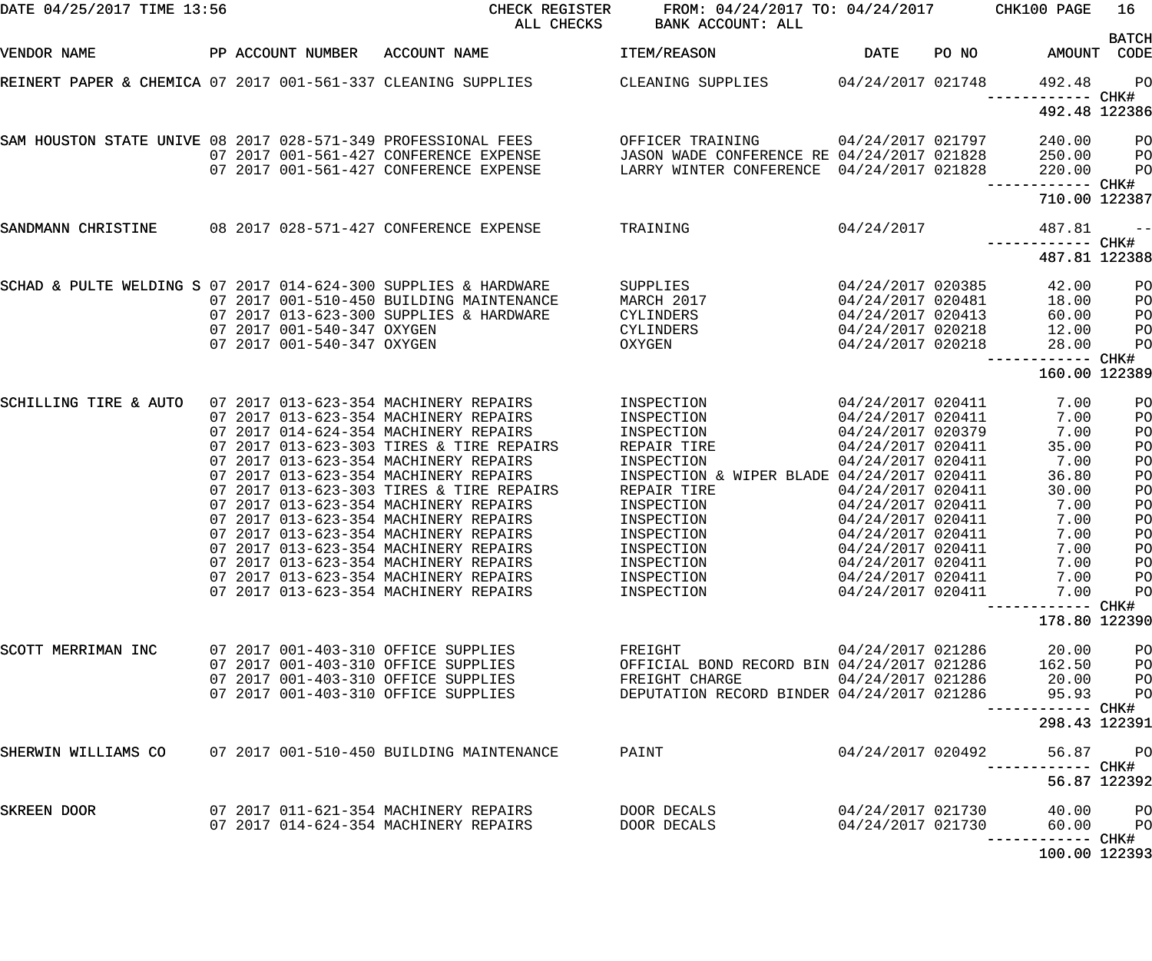| PP ACCOUNT NUMBER ACCOUNT NAME<br>DATE<br>PO NO<br>AMOUNT CODE<br>VENDOR NAME<br>ITEM/REASON<br>REINERT PAPER & CHEMICA 07 2017 001-561-337 CLEANING SUPPLIES<br>CLEANING SUPPLIES<br>04/24/2017 021748<br>492.48<br>CHK#<br>492.48 122386<br>SAM HOUSTON STATE UNIVE 08 2017 028-571-349 PROFESSIONAL FEES<br>OFFICER TRAINING<br>04/24/2017 021797<br>240.00<br>07 2017 001-561-427 CONFERENCE EXPENSE<br>JASON WADE CONFERENCE RE 04/24/2017 021828<br>250.00<br>LARRY WINTER CONFERENCE 04/24/2017 021828<br>07 2017 001-561-427 CONFERENCE EXPENSE<br>220.00<br>------------ CHK#<br>710.00 122387<br>08  2017  028-571-427  CONFERENCE EXPENSE<br>TRAINING<br>04/24/2017<br>SANDMANN CHRISTINE<br>487.81<br>487.81 122388<br>SCHAD & PULTE WELDING S 07 2017 014-624-300 SUPPLIES & HARDWARE<br>04/24/2017 020385<br><b>SUPPLIES</b><br>42.00<br>07 2017 001-510-450 BUILDING MAINTENANCE<br>MARCH 2017<br>04/24/2017 020481<br>18.00<br>07 2017 013-623-300 SUPPLIES & HARDWARE<br>CYLINDERS<br>04/24/2017 020413<br>60.00<br>07 2017 001-540-347 OXYGEN<br>CYLINDERS<br>04/24/2017 020218<br>12.00<br>07 2017 001-540-347 OXYGEN<br>OXYGEN<br>04/24/2017 020218<br>28.00<br>------------ CHK#<br>160.00 122389<br>07 2017 013-623-354 MACHINERY REPAIRS<br>04/24/2017 020411<br>SCHILLING TIRE & AUTO<br>INSPECTION<br>7.00<br>INSPECTION<br>07 2017 013-623-354 MACHINERY REPAIRS<br>04/24/2017 020411<br>7.00<br>07 2017 014-624-354 MACHINERY REPAIRS<br>INSPECTION<br>04/24/2017 020379<br>7.00<br>07 2017 013-623-303 TIRES & TIRE REPAIRS<br>REPAIR TIRE<br>04/24/2017 020411<br>35.00<br>07 2017 013-623-354 MACHINERY REPAIRS<br>INSPECTION<br>04/24/2017 020411<br>7.00<br>07 2017 013-623-354 MACHINERY REPAIRS<br>INSPECTION & WIPER BLADE 04/24/2017 020411<br>36.80<br>07 2017 013-623-303 TIRES & TIRE REPAIRS<br>REPAIR TIRE<br>04/24/2017 020411<br>30.00<br>07 2017 013-623-354 MACHINERY REPAIRS<br>INSPECTION<br>04/24/2017 020411<br>7.00<br>07 2017 013-623-354 MACHINERY REPAIRS<br>INSPECTION<br>04/24/2017 020411<br>7.00<br>07 2017 013-623-354 MACHINERY REPAIRS<br>INSPECTION<br>04/24/2017 020411<br>7.00<br>07 2017 013-623-354 MACHINERY REPAIRS<br>INSPECTION<br>04/24/2017 020411<br>7.00<br>07 2017 013-623-354 MACHINERY REPAIRS<br>04/24/2017 020411<br>INSPECTION<br>7.00<br>07 2017 013-623-354 MACHINERY REPAIRS<br>04/24/2017 020411<br>7.00<br>INSPECTION<br>07 2017 013-623-354 MACHINERY REPAIRS<br>INSPECTION<br>04/24/2017 020411<br>7.00<br>178.80 122390<br>04/24/2017 021286<br>SCOTT MERRIMAN INC<br>07 2017 001-403-310 OFFICE SUPPLIES<br>FREIGHT<br>20.00<br>07 2017 001-403-310 OFFICE SUPPLIES<br>OFFICIAL BOND RECORD BIN 04/24/2017 021286<br>162.50<br>07 2017 001-403-310 OFFICE SUPPLIES<br>FREIGHT CHARGE<br>04/24/2017 021286<br>20.00<br>07 2017 001-403-310 OFFICE SUPPLIES<br>DEPUTATION RECORD BINDER 04/24/2017 021286<br>95.93<br>------------<br>298.43 122391<br>07 2017 001-510-450 BUILDING MAINTENANCE<br>04/24/2017 020492<br>SHERWIN WILLIAMS CO<br>PAINT<br>56.87<br>------------<br>56.87 122392<br>04/24/2017 021730<br>SKREEN DOOR<br>07 2017 011-621-354 MACHINERY REPAIRS<br>DOOR DECALS<br>40.00<br>07 2017 014-624-354 MACHINERY REPAIRS<br>04/24/2017 021730<br>DOOR DECALS<br>60.00<br>------ CHK# | DATE 04/25/2017 TIME 13:56 | CHECK REGISTER<br>ALL CHECKS | FROM: 04/24/2017 TO: 04/24/2017 CHK100 PAGE<br>BANK ACCOUNT: ALL |  | 16                                                                                           |
|-----------------------------------------------------------------------------------------------------------------------------------------------------------------------------------------------------------------------------------------------------------------------------------------------------------------------------------------------------------------------------------------------------------------------------------------------------------------------------------------------------------------------------------------------------------------------------------------------------------------------------------------------------------------------------------------------------------------------------------------------------------------------------------------------------------------------------------------------------------------------------------------------------------------------------------------------------------------------------------------------------------------------------------------------------------------------------------------------------------------------------------------------------------------------------------------------------------------------------------------------------------------------------------------------------------------------------------------------------------------------------------------------------------------------------------------------------------------------------------------------------------------------------------------------------------------------------------------------------------------------------------------------------------------------------------------------------------------------------------------------------------------------------------------------------------------------------------------------------------------------------------------------------------------------------------------------------------------------------------------------------------------------------------------------------------------------------------------------------------------------------------------------------------------------------------------------------------------------------------------------------------------------------------------------------------------------------------------------------------------------------------------------------------------------------------------------------------------------------------------------------------------------------------------------------------------------------------------------------------------------------------------------------------------------------------------------------------------------------------------------------------------------------------------------------------------------------------------------------------------------------------------------------------------------------------------------------------------------------------------------------------------------------------------------------------------------------------------------------------------------------------------------------------------------------------------------------------------------------------------------------------------------------------------------|----------------------------|------------------------------|------------------------------------------------------------------|--|----------------------------------------------------------------------------------------------|
|                                                                                                                                                                                                                                                                                                                                                                                                                                                                                                                                                                                                                                                                                                                                                                                                                                                                                                                                                                                                                                                                                                                                                                                                                                                                                                                                                                                                                                                                                                                                                                                                                                                                                                                                                                                                                                                                                                                                                                                                                                                                                                                                                                                                                                                                                                                                                                                                                                                                                                                                                                                                                                                                                                                                                                                                                                                                                                                                                                                                                                                                                                                                                                                                                                                                                               |                            |                              |                                                                  |  | <b>BATCH</b>                                                                                 |
|                                                                                                                                                                                                                                                                                                                                                                                                                                                                                                                                                                                                                                                                                                                                                                                                                                                                                                                                                                                                                                                                                                                                                                                                                                                                                                                                                                                                                                                                                                                                                                                                                                                                                                                                                                                                                                                                                                                                                                                                                                                                                                                                                                                                                                                                                                                                                                                                                                                                                                                                                                                                                                                                                                                                                                                                                                                                                                                                                                                                                                                                                                                                                                                                                                                                                               |                            |                              |                                                                  |  | PO                                                                                           |
|                                                                                                                                                                                                                                                                                                                                                                                                                                                                                                                                                                                                                                                                                                                                                                                                                                                                                                                                                                                                                                                                                                                                                                                                                                                                                                                                                                                                                                                                                                                                                                                                                                                                                                                                                                                                                                                                                                                                                                                                                                                                                                                                                                                                                                                                                                                                                                                                                                                                                                                                                                                                                                                                                                                                                                                                                                                                                                                                                                                                                                                                                                                                                                                                                                                                                               |                            |                              |                                                                  |  |                                                                                              |
|                                                                                                                                                                                                                                                                                                                                                                                                                                                                                                                                                                                                                                                                                                                                                                                                                                                                                                                                                                                                                                                                                                                                                                                                                                                                                                                                                                                                                                                                                                                                                                                                                                                                                                                                                                                                                                                                                                                                                                                                                                                                                                                                                                                                                                                                                                                                                                                                                                                                                                                                                                                                                                                                                                                                                                                                                                                                                                                                                                                                                                                                                                                                                                                                                                                                                               |                            |                              |                                                                  |  | P <sub>O</sub><br>P <sub>O</sub><br>PO                                                       |
|                                                                                                                                                                                                                                                                                                                                                                                                                                                                                                                                                                                                                                                                                                                                                                                                                                                                                                                                                                                                                                                                                                                                                                                                                                                                                                                                                                                                                                                                                                                                                                                                                                                                                                                                                                                                                                                                                                                                                                                                                                                                                                                                                                                                                                                                                                                                                                                                                                                                                                                                                                                                                                                                                                                                                                                                                                                                                                                                                                                                                                                                                                                                                                                                                                                                                               |                            |                              |                                                                  |  |                                                                                              |
|                                                                                                                                                                                                                                                                                                                                                                                                                                                                                                                                                                                                                                                                                                                                                                                                                                                                                                                                                                                                                                                                                                                                                                                                                                                                                                                                                                                                                                                                                                                                                                                                                                                                                                                                                                                                                                                                                                                                                                                                                                                                                                                                                                                                                                                                                                                                                                                                                                                                                                                                                                                                                                                                                                                                                                                                                                                                                                                                                                                                                                                                                                                                                                                                                                                                                               |                            |                              |                                                                  |  | $- -$                                                                                        |
|                                                                                                                                                                                                                                                                                                                                                                                                                                                                                                                                                                                                                                                                                                                                                                                                                                                                                                                                                                                                                                                                                                                                                                                                                                                                                                                                                                                                                                                                                                                                                                                                                                                                                                                                                                                                                                                                                                                                                                                                                                                                                                                                                                                                                                                                                                                                                                                                                                                                                                                                                                                                                                                                                                                                                                                                                                                                                                                                                                                                                                                                                                                                                                                                                                                                                               |                            |                              |                                                                  |  |                                                                                              |
|                                                                                                                                                                                                                                                                                                                                                                                                                                                                                                                                                                                                                                                                                                                                                                                                                                                                                                                                                                                                                                                                                                                                                                                                                                                                                                                                                                                                                                                                                                                                                                                                                                                                                                                                                                                                                                                                                                                                                                                                                                                                                                                                                                                                                                                                                                                                                                                                                                                                                                                                                                                                                                                                                                                                                                                                                                                                                                                                                                                                                                                                                                                                                                                                                                                                                               |                            |                              |                                                                  |  | PO<br>PO<br>PO<br>PO<br>PO                                                                   |
|                                                                                                                                                                                                                                                                                                                                                                                                                                                                                                                                                                                                                                                                                                                                                                                                                                                                                                                                                                                                                                                                                                                                                                                                                                                                                                                                                                                                                                                                                                                                                                                                                                                                                                                                                                                                                                                                                                                                                                                                                                                                                                                                                                                                                                                                                                                                                                                                                                                                                                                                                                                                                                                                                                                                                                                                                                                                                                                                                                                                                                                                                                                                                                                                                                                                                               |                            |                              |                                                                  |  | PO<br>PO<br>PO<br>PO<br>PO<br>PO<br>PO<br>P <sub>O</sub><br>PO<br>PO<br>PO<br>PO<br>PO<br>PO |
|                                                                                                                                                                                                                                                                                                                                                                                                                                                                                                                                                                                                                                                                                                                                                                                                                                                                                                                                                                                                                                                                                                                                                                                                                                                                                                                                                                                                                                                                                                                                                                                                                                                                                                                                                                                                                                                                                                                                                                                                                                                                                                                                                                                                                                                                                                                                                                                                                                                                                                                                                                                                                                                                                                                                                                                                                                                                                                                                                                                                                                                                                                                                                                                                                                                                                               |                            |                              |                                                                  |  | PO<br>PO<br>PO<br>PO<br>CHK#                                                                 |
|                                                                                                                                                                                                                                                                                                                                                                                                                                                                                                                                                                                                                                                                                                                                                                                                                                                                                                                                                                                                                                                                                                                                                                                                                                                                                                                                                                                                                                                                                                                                                                                                                                                                                                                                                                                                                                                                                                                                                                                                                                                                                                                                                                                                                                                                                                                                                                                                                                                                                                                                                                                                                                                                                                                                                                                                                                                                                                                                                                                                                                                                                                                                                                                                                                                                                               |                            |                              |                                                                  |  |                                                                                              |
|                                                                                                                                                                                                                                                                                                                                                                                                                                                                                                                                                                                                                                                                                                                                                                                                                                                                                                                                                                                                                                                                                                                                                                                                                                                                                                                                                                                                                                                                                                                                                                                                                                                                                                                                                                                                                                                                                                                                                                                                                                                                                                                                                                                                                                                                                                                                                                                                                                                                                                                                                                                                                                                                                                                                                                                                                                                                                                                                                                                                                                                                                                                                                                                                                                                                                               |                            |                              |                                                                  |  | P <sub>O</sub><br>CHK#                                                                       |
|                                                                                                                                                                                                                                                                                                                                                                                                                                                                                                                                                                                                                                                                                                                                                                                                                                                                                                                                                                                                                                                                                                                                                                                                                                                                                                                                                                                                                                                                                                                                                                                                                                                                                                                                                                                                                                                                                                                                                                                                                                                                                                                                                                                                                                                                                                                                                                                                                                                                                                                                                                                                                                                                                                                                                                                                                                                                                                                                                                                                                                                                                                                                                                                                                                                                                               |                            |                              |                                                                  |  |                                                                                              |
| 100.00 122393                                                                                                                                                                                                                                                                                                                                                                                                                                                                                                                                                                                                                                                                                                                                                                                                                                                                                                                                                                                                                                                                                                                                                                                                                                                                                                                                                                                                                                                                                                                                                                                                                                                                                                                                                                                                                                                                                                                                                                                                                                                                                                                                                                                                                                                                                                                                                                                                                                                                                                                                                                                                                                                                                                                                                                                                                                                                                                                                                                                                                                                                                                                                                                                                                                                                                 |                            |                              |                                                                  |  | PО<br>P <sub>O</sub>                                                                         |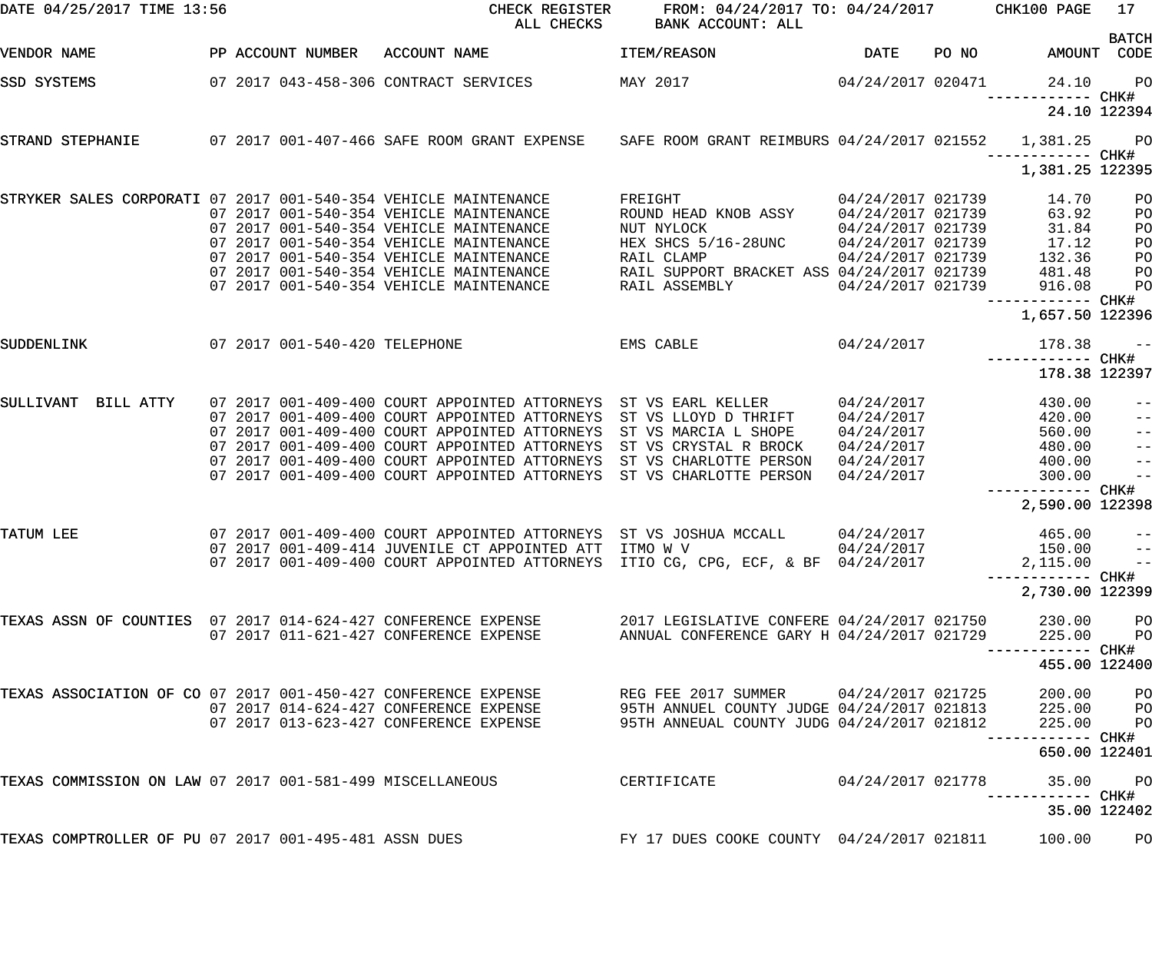| DATE 04/25/2017 TIME 13:56                                      |  |                               | CHECK REGISTER<br>ALL CHECKS                                                                    | FROM: 04/24/2017 TO: 04/24/2017 CHK100 PAGE<br>BANK ACCOUNT: ALL                                            |                   |       |                                | 17                |
|-----------------------------------------------------------------|--|-------------------------------|-------------------------------------------------------------------------------------------------|-------------------------------------------------------------------------------------------------------------|-------------------|-------|--------------------------------|-------------------|
| VENDOR NAME                                                     |  | PP ACCOUNT NUMBER             | ACCOUNT NAME                                                                                    | ITEM/REASON                                                                                                 | <b>DATE</b>       | PO NO | AMOUNT CODE                    | <b>BATCH</b>      |
| SSD SYSTEMS                                                     |  |                               | 07 2017 043-458-306 CONTRACT SERVICES                                                           | MAY 2017                                                                                                    | 04/24/2017 020471 |       | 24.10                          | PO                |
|                                                                 |  |                               |                                                                                                 |                                                                                                             |                   |       |                                | 24.10 122394      |
| STRAND STEPHANIE                                                |  |                               | 07 2017 001-407-466 SAFE ROOM GRANT EXPENSE SAFE ROOM GRANT REIMBURS 04/24/2017 021552 1,381.25 |                                                                                                             |                   |       |                                | <b>PO</b>         |
|                                                                 |  |                               |                                                                                                 |                                                                                                             |                   |       | 1,381.25 122395                |                   |
| STRYKER SALES CORPORATI 07 2017 001-540-354 VEHICLE MAINTENANCE |  |                               |                                                                                                 | FREIGHT                                                                                                     | 04/24/2017 021739 |       | 14.70                          | PO                |
|                                                                 |  |                               | 07 2017 001-540-354 VEHICLE MAINTENANCE                                                         | ROUND HEAD KNOB ASSY                                                                                        | 04/24/2017 021739 |       | 63.92                          | PO                |
|                                                                 |  |                               | 07 2017 001-540-354 VEHICLE MAINTENANCE                                                         | NUT NYLOCK                                                                                                  | 04/24/2017 021739 |       | 31.84                          | PO                |
|                                                                 |  |                               | 07 2017 001-540-354 VEHICLE MAINTENANCE                                                         | HEX SHCS 5/16-28UNC                                                                                         | 04/24/2017 021739 |       | 17.12                          | PO                |
|                                                                 |  |                               | 07 2017 001-540-354 VEHICLE MAINTENANCE                                                         | RAIL CLAMP                                                                                                  | 04/24/2017 021739 |       | 132.36                         | PO                |
|                                                                 |  |                               | 07 2017 001-540-354 VEHICLE MAINTENANCE                                                         | RAIL SUPPORT BRACKET ASS 04/24/2017 021739                                                                  |                   |       | 481.48                         | PO                |
|                                                                 |  |                               | 07 2017 001-540-354 VEHICLE MAINTENANCE                                                         | RAIL ASSEMBLY                                                                                               | 04/24/2017 021739 |       | 916.08<br>------------ CHK#    | PO                |
|                                                                 |  |                               |                                                                                                 |                                                                                                             |                   |       | 1,657.50 122396                |                   |
| SUDDENLINK                                                      |  | 07 2017 001-540-420 TELEPHONE |                                                                                                 | EMS CABLE                                                                                                   | 04/24/2017        |       | 178.38                         | $ -$              |
|                                                                 |  |                               |                                                                                                 |                                                                                                             |                   |       | 178.38 122397                  |                   |
| BILL ATTY<br>SULLIVANT                                          |  |                               | 07 2017 001-409-400 COURT APPOINTED ATTORNEYS                                                   | ST VS EARL KELLER                                                                                           | 04/24/2017        |       | 430.00                         | $-\:\:-$          |
|                                                                 |  |                               | 07 2017 001-409-400 COURT APPOINTED ATTORNEYS                                                   | ST VS LLOYD D THRIFT                                                                                        | 04/24/2017        |       | 420.00                         | $- -$             |
|                                                                 |  |                               | 07 2017 001-409-400 COURT APPOINTED ATTORNEYS                                                   | ST VS MARCIA L SHOPE                                                                                        | 04/24/2017        |       | 560.00                         | $-$               |
|                                                                 |  |                               | 07 2017 001-409-400 COURT APPOINTED ATTORNEYS                                                   | ST VS CRYSTAL R BROCK                                                                                       | 04/24/2017        |       | 480.00                         | $\qquad \qquad -$ |
|                                                                 |  |                               | 07 2017 001-409-400 COURT APPOINTED ATTORNEYS                                                   | ST VS CHARLOTTE PERSON                                                                                      | 04/24/2017        |       | 400.00                         | $\qquad \qquad -$ |
|                                                                 |  |                               | 07 2017 001-409-400 COURT APPOINTED ATTORNEYS                                                   | ST VS CHARLOTTE PERSON                                                                                      | 04/24/2017        |       | 300.00                         | $ -$              |
|                                                                 |  |                               |                                                                                                 |                                                                                                             |                   |       | 2,590.00 122398                |                   |
| TATUM LEE                                                       |  |                               | 07 2017 001-409-400 COURT APPOINTED ATTORNEYS ST VS JOSHUA MCCALL                               |                                                                                                             | 04/24/2017        |       |                                |                   |
|                                                                 |  |                               | 07 2017 001-409-414 JUVENILE CT APPOINTED ATT ITMO W V 04/24/2017                               |                                                                                                             |                   |       | 465.00<br>150.00               | $- -$             |
|                                                                 |  |                               | 07 2017 001-409-400 COURT APPOINTED ATTORNEYS ITIO CG, CPG, ECF, & BF 04/24/2017                |                                                                                                             |                   |       |                                | $\sim$ $\sim$ $-$ |
|                                                                 |  |                               |                                                                                                 |                                                                                                             |                   |       | $2,115.00$ ----------- CHK#    |                   |
|                                                                 |  |                               |                                                                                                 |                                                                                                             |                   |       | 2,730.00 122399                |                   |
|                                                                 |  |                               | TEXAS ASSN OF COUNTIES 07 2017 014-624-427 CONFERENCE EXPENSE                                   | 2017 LEGISLATIVE CONFERE 04/24/2017 021750                                                                  |                   |       | 230.00                         | <b>PO</b>         |
|                                                                 |  |                               | 07 2017 011-621-427 CONFERENCE EXPENSE                                                          | ANNUAL CONFERENCE GARY H 04/24/2017 021729                                                                  |                   |       | 225.00                         | <b>PO</b>         |
|                                                                 |  |                               |                                                                                                 |                                                                                                             |                   |       |                                |                   |
|                                                                 |  |                               |                                                                                                 |                                                                                                             |                   |       | 455.00 122400                  |                   |
|                                                                 |  |                               | TEXAS ASSOCIATION OF CO 07 2017 001-450-427 CONFERENCE EXPENSE                                  | REG FEE 2017 SUMMER 04/24/2017 021725                                                                       |                   |       | 200.00 PO                      |                   |
|                                                                 |  |                               | 07 2017 014-624-427 CONFERENCE EXPENSE                                                          | 95TH ANNUEL COUNTY JUDGE 04/24/2017 021813 225.00 PO<br>95TH ANNEL COUNTY JUDGE 04/24/2017 021812 225.00 PO |                   |       |                                |                   |
|                                                                 |  |                               | 07 2017 013-623-427 CONFERENCE EXPENSE                                                          | 95TH ANNEUAL COUNTY JUDG 04/24/2017 021812                                                                  |                   |       | 225.00                         | P <sub>O</sub>    |
|                                                                 |  |                               |                                                                                                 |                                                                                                             |                   |       | -------- CHK#<br>650.00 122401 |                   |
| TEXAS COMMISSION ON LAW 07 2017 001-581-499 MISCELLANEOUS       |  |                               |                                                                                                 | CERTIFICATE                                                                                                 | 04/24/2017 021778 |       | 35.00                          | <b>PO</b>         |
|                                                                 |  |                               |                                                                                                 |                                                                                                             |                   |       | 35.00 122402                   |                   |
| TEXAS COMPTROLLER OF PU 07 2017 001-495-481 ASSN DUES           |  |                               |                                                                                                 | FY 17 DUES COOKE COUNTY 04/24/2017 021811                                                                   |                   |       | 100.00                         | PO                |
|                                                                 |  |                               |                                                                                                 |                                                                                                             |                   |       |                                |                   |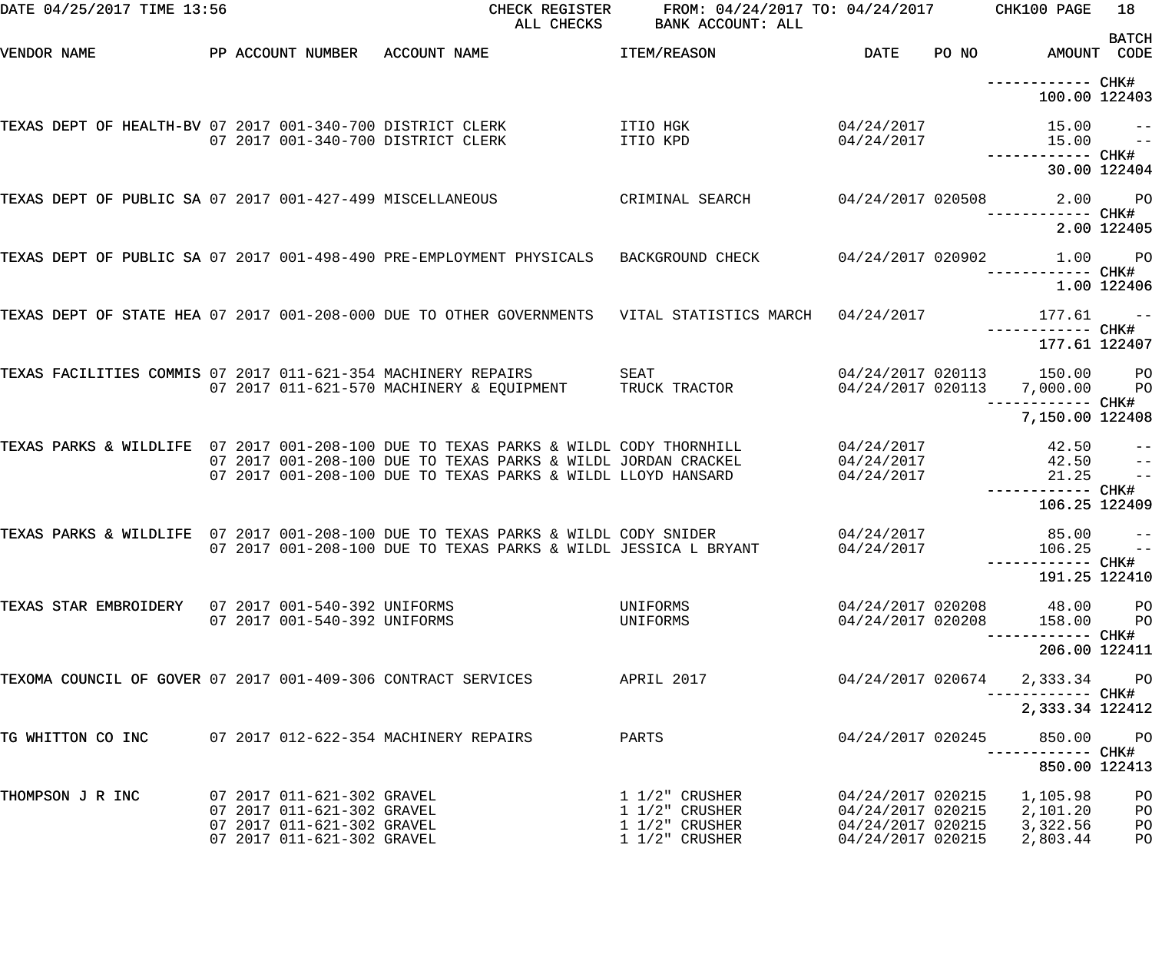| DATE 04/25/2017 TIME 13:56                                    |                                                          | CHECK REGISTER<br>ALL CHECKS                                                                                                                          | FROM: 04/24/2017 TO: 04/24/2017<br>BANK ACCOUNT: ALL |                                        |       | CHK100 PAGE                                               | 18<br><b>BATCH</b>               |
|---------------------------------------------------------------|----------------------------------------------------------|-------------------------------------------------------------------------------------------------------------------------------------------------------|------------------------------------------------------|----------------------------------------|-------|-----------------------------------------------------------|----------------------------------|
| VENDOR NAME                                                   | PP ACCOUNT NUMBER                                        | ACCOUNT NAME                                                                                                                                          | ITEM/REASON                                          | DATE                                   | PO NO |                                                           | AMOUNT CODE                      |
|                                                               |                                                          |                                                                                                                                                       |                                                      |                                        |       | ------------ CHK#<br>100.00 122403                        |                                  |
| TEXAS DEPT OF HEALTH-BV 07 2017 001-340-700 DISTRICT CLERK    | 07 2017 001-340-700 DISTRICT CLERK                       |                                                                                                                                                       | ITIO HGK<br>ITIO KPD                                 | 04/24/2017<br>04/24/2017               |       | 15.00<br>15.00                                            | $-\, -$<br>$-$                   |
|                                                               |                                                          |                                                                                                                                                       |                                                      |                                        |       |                                                           | 30.00 122404                     |
| TEXAS DEPT OF PUBLIC SA 07 2017 001-427-499 MISCELLANEOUS     |                                                          |                                                                                                                                                       | CRIMINAL SEARCH                                      | 04/24/2017 020508                      |       | 2.00<br>------------ CHK#                                 | $P$ O                            |
|                                                               |                                                          |                                                                                                                                                       |                                                      |                                        |       |                                                           | 2.00 122405                      |
|                                                               |                                                          | TEXAS DEPT OF PUBLIC SA 07 2017 001-498-490 PRE-EMPLOYMENT PHYSICALS                                                                                  | BACKGROUND CHECK                                     | 04/24/2017 020902                      |       | 1.00<br>----------- CHK#                                  | $P$ O<br>1.00 122406             |
|                                                               |                                                          | TEXAS DEPT OF STATE HEA 07 2017 001-208-000 DUE TO OTHER GOVERNMENTS VITAL STATISTICS MARCH                                                           |                                                      | 04/24/2017                             |       | 177.61                                                    | $ -$                             |
|                                                               |                                                          |                                                                                                                                                       |                                                      |                                        |       | ------------ CHK#<br>177.61 122407                        |                                  |
| TEXAS FACILITIES COMMIS 07 2017 011-621-354 MACHINERY REPAIRS |                                                          | 07 2017 011-621-570 MACHINERY & EQUIPMENT                                                                                                             | SEAT<br>TRUCK TRACTOR                                | 04/24/2017 020113                      |       | 04/24/2017 020113 150.00<br>7,000.00<br>------------ CHK# | P <sub>O</sub><br>P <sub>O</sub> |
|                                                               |                                                          |                                                                                                                                                       |                                                      |                                        |       | 7,150.00 122408                                           |                                  |
|                                                               |                                                          | TEXAS PARKS & WILDLIFE 07 2017 001-208-100 DUE TO TEXAS PARKS & WILDL CODY THORNHILL<br>07 2017 001-208-100 DUE TO TEXAS PARKS & WILDL JORDAN CRACKEL |                                                      | 04/24/2017<br>04/24/2017               |       | 42.50<br>42.50                                            | $ -$<br>$-\, -$                  |
|                                                               |                                                          | 07 2017 001-208-100 DUE TO TEXAS PARKS & WILDL LLOYD HANSARD                                                                                          |                                                      | 04/24/2017                             |       | 21.25<br>------------ CHK#<br>106.25 122409               | $-$                              |
|                                                               |                                                          | TEXAS PARKS & WILDLIFE 07 2017 001-208-100 DUE TO TEXAS PARKS & WILDL CODY SNIDER                                                                     |                                                      | 04/24/2017                             |       | 85.00                                                     | $\qquad \qquad -$                |
|                                                               |                                                          | 07 2017 001-208-100 DUE TO TEXAS PARKS & WILDL JESSICA L BRYANT                                                                                       |                                                      | 04/24/2017                             |       | 106.25<br>----------- CHK#<br>191.25 122410               | $\sim$ $ -$                      |
| TEXAS STAR EMBROIDERY 07 2017 001-540-392 UNIFORMS            |                                                          |                                                                                                                                                       | UNIFORMS                                             | 04/24/2017 020208                      |       | 48.00                                                     | P <sub>O</sub>                   |
|                                                               | 07 2017 001-540-392 UNIFORMS                             |                                                                                                                                                       | UNIFORMS                                             | 04/24/2017 020208                      |       | 158.00                                                    | P <sub>O</sub>                   |
|                                                               |                                                          |                                                                                                                                                       |                                                      |                                        |       | 206.00 122411                                             |                                  |
| TEXOMA COUNCIL OF GOVER 07 2017 001-409-306 CONTRACT SERVICES |                                                          |                                                                                                                                                       | APRIL 2017                                           | 04/24/2017 020674                      |       | 2,333.34                                                  | $P$ O                            |
|                                                               |                                                          |                                                                                                                                                       |                                                      |                                        |       | 2,333.34 122412                                           |                                  |
| TG WHITTON CO INC                                             |                                                          | 07 2017 012-622-354 MACHINERY REPAIRS                                                                                                                 | PARTS                                                | 04/24/2017 020245                      |       | 850.00                                                    | P <sub>O</sub>                   |
|                                                               |                                                          |                                                                                                                                                       |                                                      |                                        |       | 850.00 122413                                             |                                  |
| THOMPSON J R INC                                              | 07 2017 011-621-302 GRAVEL<br>07 2017 011-621-302 GRAVEL |                                                                                                                                                       | $1\;1/2$ " CRUSHER<br>1 1/2" CRUSHER                 | 04/24/2017 020215<br>04/24/2017 020215 |       | 1,105.98<br>2,101.20                                      | PO<br>PO                         |
|                                                               | 07 2017 011-621-302 GRAVEL<br>07 2017 011-621-302 GRAVEL |                                                                                                                                                       | $1\ 1/2$ " CRUSHER<br>$1\ 1/2$ " CRUSHER             | 04/24/2017 020215<br>04/24/2017 020215 |       | 3,322.56<br>2,803.44                                      | PO<br>PO                         |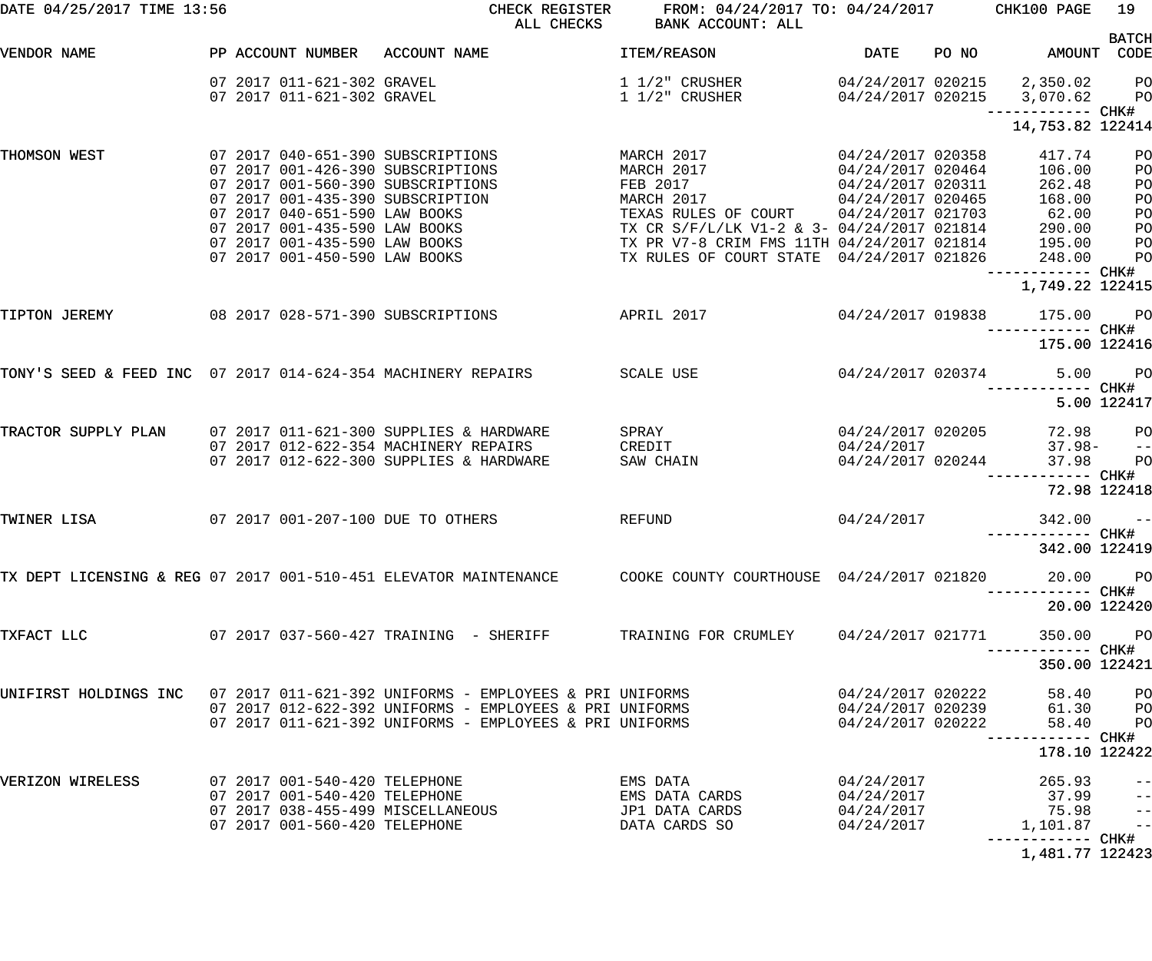| DATE 04/25/2017 TIME 13:56                                   |  |                                                                | CHECK REGISTER<br>ALL CHECKS                                                                               | FROM: 04/24/2017 TO: 04/24/2017 CHK100 PAGE<br>BANK ACCOUNT: ALL                        |                                        |       |                             | 19                          |
|--------------------------------------------------------------|--|----------------------------------------------------------------|------------------------------------------------------------------------------------------------------------|-----------------------------------------------------------------------------------------|----------------------------------------|-------|-----------------------------|-----------------------------|
|                                                              |  |                                                                |                                                                                                            |                                                                                         |                                        |       |                             | <b>BATCH</b>                |
| VENDOR NAME                                                  |  | PP ACCOUNT NUMBER                                              | ACCOUNT NAME                                                                                               | ITEM/REASON                                                                             | <b>DATE</b>                            | PO NO | AMOUNT CODE                 |                             |
|                                                              |  | 07 2017 011-621-302 GRAVEL                                     |                                                                                                            | 1 1/2" CRUSHER                                                                          |                                        |       | 04/24/2017 020215 2,350.02  | P <sub>O</sub>              |
|                                                              |  | 07 2017 011-621-302 GRAVEL                                     |                                                                                                            | $1\;1/2"$ CRUSHER                                                                       | 04/24/2017 020215                      |       | 3,070.62                    | P <sub>O</sub>              |
|                                                              |  |                                                                |                                                                                                            |                                                                                         |                                        |       | —————————— CHK#             |                             |
|                                                              |  |                                                                |                                                                                                            |                                                                                         |                                        |       | 14,753.82 122414            |                             |
| THOMSON WEST                                                 |  |                                                                | 07 2017 040-651-390 SUBSCRIPTIONS                                                                          | MARCH 2017                                                                              | 04/24/2017 020358                      |       | 417.74                      | PO                          |
|                                                              |  |                                                                | 07 2017 001-426-390 SUBSCRIPTIONS                                                                          | MARCH 2017                                                                              | 04/24/2017 020464                      |       | 106.00                      | PO                          |
|                                                              |  |                                                                | 07 2017 001-560-390 SUBSCRIPTIONS                                                                          | FEB 2017                                                                                | 04/24/2017 020311                      |       | 262.48                      | PO                          |
|                                                              |  |                                                                | 07 2017 001-435-390 SUBSCRIPTION                                                                           | MARCH 2017                                                                              | 04/24/2017 020465                      |       | 168.00                      | PO                          |
|                                                              |  | 07 2017 040-651-590 LAW BOOKS                                  |                                                                                                            | TEXAS RULES OF COURT 04/24/2017 021703                                                  |                                        |       | 62.00                       | PO                          |
|                                                              |  | 07 2017 001-435-590 LAW BOOKS                                  |                                                                                                            | TX CR S/F/L/LK V1-2 & 3- 04/24/2017 021814                                              |                                        |       | 290.00                      | PO                          |
|                                                              |  | 07 2017 001-435-590 LAW BOOKS<br>07 2017 001-450-590 LAW BOOKS |                                                                                                            | TX PR V7-8 CRIM FMS 11TH 04/24/2017 021814<br>TX RULES OF COURT STATE 04/24/2017 021826 |                                        |       | 195.00                      | PO                          |
|                                                              |  |                                                                |                                                                                                            |                                                                                         |                                        |       | 248.00<br>------------ CHK# | PO                          |
|                                                              |  |                                                                |                                                                                                            |                                                                                         |                                        |       | 1,749.22 122415             |                             |
|                                                              |  |                                                                |                                                                                                            |                                                                                         |                                        |       |                             |                             |
| TIPTON JEREMY                                                |  |                                                                | 08 2017 028-571-390 SUBSCRIPTIONS                                                                          | <b>APRIL 2017</b>                                                                       | 04/24/2017 019838                      |       | 175.00                      | <b>PO</b>                   |
|                                                              |  |                                                                |                                                                                                            |                                                                                         |                                        |       | ------------ CHK#           |                             |
|                                                              |  |                                                                |                                                                                                            |                                                                                         |                                        |       | 175.00 122416               |                             |
| TONY'S SEED & FEED INC 07 2017 014-624-354 MACHINERY REPAIRS |  |                                                                |                                                                                                            | SCALE USE                                                                               | 04/24/2017 020374                      |       | 5.00                        | <b>PO</b>                   |
|                                                              |  |                                                                |                                                                                                            |                                                                                         |                                        |       |                             |                             |
|                                                              |  |                                                                |                                                                                                            |                                                                                         |                                        |       |                             | 5.00 122417                 |
|                                                              |  |                                                                |                                                                                                            |                                                                                         |                                        |       |                             |                             |
| TRACTOR SUPPLY PLAN                                          |  |                                                                | 07 2017 011-621-300 SUPPLIES & HARDWARE<br>07 2017 012-622-354 MACHINERY REPAIRS                           | SPRAY<br>CREDIT                                                                         | 04/24/2017 020205<br>04/24/2017        |       | 72.98<br>$37.98 -$          | P <sub>O</sub><br>$- -$     |
|                                                              |  |                                                                | 07 2017 012-622-300 SUPPLIES & HARDWARE                                                                    | SAW CHAIN                                                                               | 04/24/2017 020244                      |       | 37.98                       | PO                          |
|                                                              |  |                                                                |                                                                                                            |                                                                                         |                                        |       | ------ CHK#                 |                             |
|                                                              |  |                                                                |                                                                                                            |                                                                                         |                                        |       |                             | 72.98 122418                |
|                                                              |  |                                                                |                                                                                                            |                                                                                         |                                        |       |                             |                             |
| TWINER LISA                                                  |  |                                                                | 07 2017 001-207-100 DUE TO OTHERS                                                                          | REFUND                                                                                  | 04/24/2017                             |       | 342.00                      | $ -$                        |
|                                                              |  |                                                                |                                                                                                            |                                                                                         |                                        |       | 342.00 122419               |                             |
|                                                              |  |                                                                |                                                                                                            |                                                                                         |                                        |       |                             |                             |
|                                                              |  |                                                                | TX DEPT LICENSING & REG 07 2017 001-510-451 ELEVATOR MAINTENANCE COOKE COUNTY COURTHOUSE 04/24/2017 021820 |                                                                                         |                                        |       |                             | 20.00 PO                    |
|                                                              |  |                                                                |                                                                                                            |                                                                                         |                                        |       | -----------         CHK#    |                             |
|                                                              |  |                                                                |                                                                                                            |                                                                                         |                                        |       |                             | 20.00 122420                |
| TXFACT LLC                                                   |  |                                                                | 07  2017  037-560-427  TRAINING - SHERIFF  TRAINING FOR CRUMLEY                                            |                                                                                         | 04/24/2017 021771                      |       | 350.00 PO                   |                             |
|                                                              |  |                                                                |                                                                                                            |                                                                                         |                                        |       |                             |                             |
|                                                              |  |                                                                |                                                                                                            |                                                                                         |                                        |       | 350.00 122421               |                             |
|                                                              |  |                                                                |                                                                                                            |                                                                                         |                                        |       |                             |                             |
|                                                              |  |                                                                | UNIFIRST HOLDINGS INC 07 2017 011-621-392 UNIFORMS - EMPLOYEES & PRI UNIFORMS                              |                                                                                         | 04/24/2017 020222                      |       | 58.40                       | $P$ O                       |
|                                                              |  |                                                                | 07 2017 012-622-392 UNIFORMS - EMPLOYEES & PRI UNIFORMS                                                    |                                                                                         | 04/24/2017 020239                      |       | 61.30 PO                    |                             |
|                                                              |  |                                                                | 07 2017 011-621-392 UNIFORMS - EMPLOYEES & PRI UNIFORMS                                                    |                                                                                         | 04/24/2017 020222                      |       | 58.40                       | P <sub>O</sub>              |
|                                                              |  |                                                                |                                                                                                            |                                                                                         |                                        |       | 178.10 122422               |                             |
|                                                              |  |                                                                |                                                                                                            |                                                                                         |                                        |       |                             |                             |
| VERIZON WIRELESS                                             |  |                                                                |                                                                                                            | EMS DATA                                                                                |                                        |       | 265.93                      | $-$                         |
|                                                              |  |                                                                | 07  2017  001-540-420 TELEPHONE<br>07  2017  001-540-420 TELEPHONE<br>07  2017  038-455-499  MISCELLANEOUS | EMS DATA CARDS                                                                          | 04/24/2017<br>04/24/2017<br>04/24/2017 |       | 37.99                       | $ -$                        |
|                                                              |  |                                                                |                                                                                                            | JP1 DATA CARDS                                                                          | 04/24/2017                             |       | 75.98                       | $\rightarrow$ $\rightarrow$ |
|                                                              |  | 07 2017 001-560-420 TELEPHONE                                  |                                                                                                            | DATA CARDS SO                                                                           | 04/24/2017                             |       | 1,101.87                    | $-$                         |
|                                                              |  |                                                                |                                                                                                            |                                                                                         |                                        |       |                             |                             |
|                                                              |  |                                                                |                                                                                                            |                                                                                         |                                        |       | 1,481.77 122423             |                             |